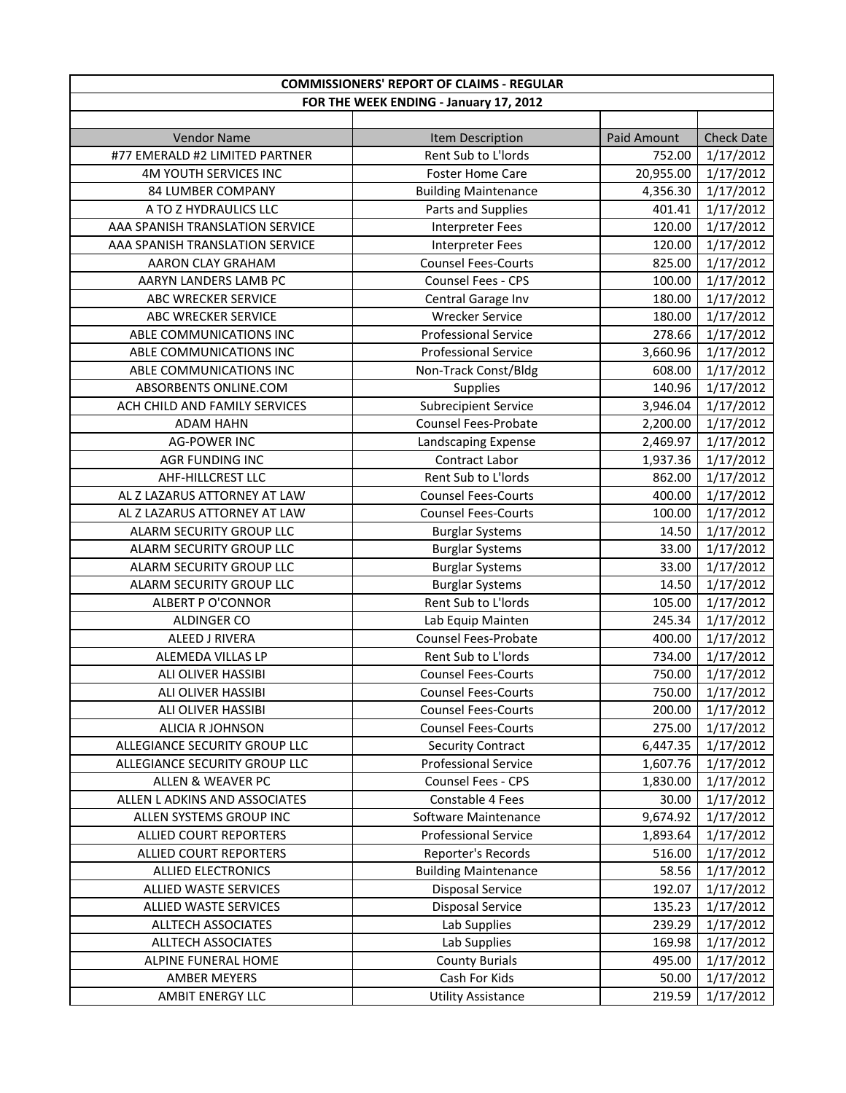| <b>COMMISSIONERS' REPORT OF CLAIMS - REGULAR</b>     |                                         |             |                   |
|------------------------------------------------------|-----------------------------------------|-------------|-------------------|
| FOR THE WEEK ENDING - January 17, 2012               |                                         |             |                   |
|                                                      |                                         |             |                   |
| <b>Vendor Name</b><br>#77 EMERALD #2 LIMITED PARTNER | Item Description<br>Rent Sub to L'Iords | Paid Amount | <b>Check Date</b> |
|                                                      |                                         | 752.00      | 1/17/2012         |
| 4M YOUTH SERVICES INC                                | <b>Foster Home Care</b>                 | 20,955.00   | 1/17/2012         |
| 84 LUMBER COMPANY                                    | <b>Building Maintenance</b>             | 4,356.30    | 1/17/2012         |
| A TO Z HYDRAULICS LLC                                | Parts and Supplies                      | 401.41      | 1/17/2012         |
| AAA SPANISH TRANSLATION SERVICE                      | <b>Interpreter Fees</b>                 | 120.00      | 1/17/2012         |
| AAA SPANISH TRANSLATION SERVICE                      | <b>Interpreter Fees</b>                 | 120.00      | 1/17/2012         |
| AARON CLAY GRAHAM                                    | <b>Counsel Fees-Courts</b>              | 825.00      | 1/17/2012         |
| AARYN LANDERS LAMB PC                                | Counsel Fees - CPS                      | 100.00      | 1/17/2012         |
| ABC WRECKER SERVICE                                  | Central Garage Inv                      | 180.00      | 1/17/2012         |
| ABC WRECKER SERVICE                                  | <b>Wrecker Service</b>                  | 180.00      | 1/17/2012         |
| ABLE COMMUNICATIONS INC                              | <b>Professional Service</b>             | 278.66      | 1/17/2012         |
| ABLE COMMUNICATIONS INC                              | <b>Professional Service</b>             | 3,660.96    | 1/17/2012         |
| ABLE COMMUNICATIONS INC                              | Non-Track Const/Bldg                    | 608.00      | 1/17/2012         |
| ABSORBENTS ONLINE.COM                                | Supplies                                | 140.96      | 1/17/2012         |
| ACH CHILD AND FAMILY SERVICES                        | <b>Subrecipient Service</b>             | 3,946.04    | 1/17/2012         |
| <b>ADAM HAHN</b>                                     | <b>Counsel Fees-Probate</b>             | 2,200.00    | 1/17/2012         |
| <b>AG-POWER INC</b>                                  | Landscaping Expense                     | 2,469.97    | 1/17/2012         |
| AGR FUNDING INC                                      | Contract Labor                          | 1,937.36    | 1/17/2012         |
| AHF-HILLCREST LLC                                    | Rent Sub to L'Iords                     | 862.00      | 1/17/2012         |
| AL Z LAZARUS ATTORNEY AT LAW                         | <b>Counsel Fees-Courts</b>              | 400.00      | 1/17/2012         |
| AL Z LAZARUS ATTORNEY AT LAW                         | <b>Counsel Fees-Courts</b>              | 100.00      | 1/17/2012         |
| ALARM SECURITY GROUP LLC                             | <b>Burglar Systems</b>                  | 14.50       | 1/17/2012         |
| ALARM SECURITY GROUP LLC                             | <b>Burglar Systems</b>                  | 33.00       | 1/17/2012         |
| ALARM SECURITY GROUP LLC                             | <b>Burglar Systems</b>                  | 33.00       | 1/17/2012         |
| ALARM SECURITY GROUP LLC                             | <b>Burglar Systems</b>                  | 14.50       | 1/17/2012         |
| <b>ALBERT P O'CONNOR</b>                             | Rent Sub to L'Iords                     | 105.00      | 1/17/2012         |
| <b>ALDINGER CO</b>                                   | Lab Equip Mainten                       | 245.34      | 1/17/2012         |
| ALEED J RIVERA                                       | <b>Counsel Fees-Probate</b>             | 400.00      | 1/17/2012         |
| ALEMEDA VILLAS LP                                    | Rent Sub to L'Iords                     | 734.00      | 1/17/2012         |
| ALI OLIVER HASSIBI                                   | <b>Counsel Fees-Courts</b>              | 750.00      | 1/17/2012         |
| ALI OLIVER HASSIBI                                   | <b>Counsel Fees-Courts</b>              | 750.00      | 1/17/2012         |
| ALI OLIVER HASSIBI                                   | <b>Counsel Fees-Courts</b>              | 200.00      | 1/17/2012         |
| ALICIA R JOHNSON                                     | <b>Counsel Fees-Courts</b>              | 275.00      | 1/17/2012         |
| ALLEGIANCE SECURITY GROUP LLC                        | <b>Security Contract</b>                | 6,447.35    | 1/17/2012         |
| ALLEGIANCE SECURITY GROUP LLC                        | <b>Professional Service</b>             | 1,607.76    | 1/17/2012         |
| ALLEN & WEAVER PC                                    | Counsel Fees - CPS                      | 1,830.00    | 1/17/2012         |
| ALLEN L ADKINS AND ASSOCIATES                        | Constable 4 Fees                        | 30.00       | 1/17/2012         |
| ALLEN SYSTEMS GROUP INC                              | Software Maintenance                    | 9,674.92    | 1/17/2012         |
| <b>ALLIED COURT REPORTERS</b>                        | <b>Professional Service</b>             | 1,893.64    | 1/17/2012         |
| ALLIED COURT REPORTERS                               | Reporter's Records                      | 516.00      | 1/17/2012         |
| <b>ALLIED ELECTRONICS</b>                            | <b>Building Maintenance</b>             | 58.56       | 1/17/2012         |
| ALLIED WASTE SERVICES                                | <b>Disposal Service</b>                 | 192.07      | 1/17/2012         |
| ALLIED WASTE SERVICES                                | <b>Disposal Service</b>                 | 135.23      | 1/17/2012         |
| ALLTECH ASSOCIATES                                   | Lab Supplies                            | 239.29      | 1/17/2012         |
| ALLTECH ASSOCIATES                                   | Lab Supplies                            | 169.98      | 1/17/2012         |
| ALPINE FUNERAL HOME                                  | <b>County Burials</b>                   | 495.00      | 1/17/2012         |
| <b>AMBER MEYERS</b>                                  | Cash For Kids                           | 50.00       | 1/17/2012         |
| AMBIT ENERGY LLC                                     | <b>Utility Assistance</b>               | 219.59      | 1/17/2012         |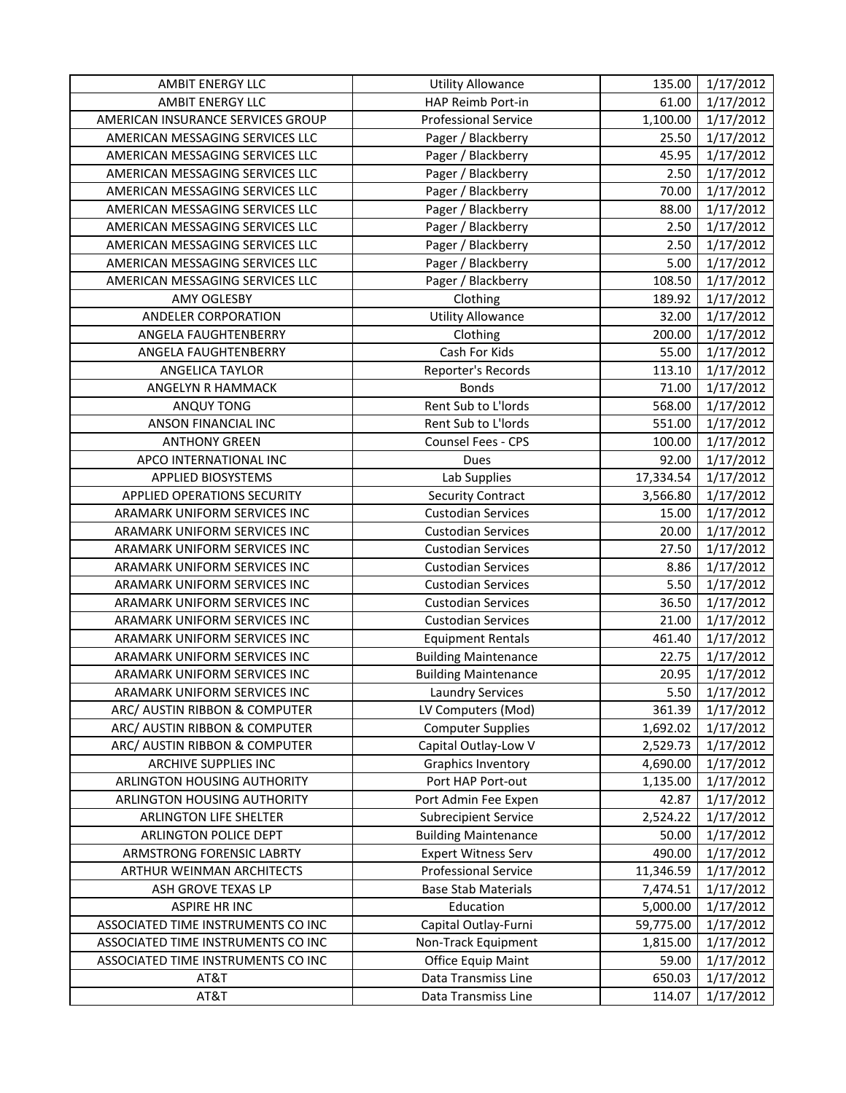| <b>AMBIT ENERGY LLC</b>            | <b>Utility Allowance</b>    | 135.00    | 1/17/2012 |
|------------------------------------|-----------------------------|-----------|-----------|
| <b>AMBIT ENERGY LLC</b>            | HAP Reimb Port-in           | 61.00     | 1/17/2012 |
| AMERICAN INSURANCE SERVICES GROUP  | <b>Professional Service</b> | 1,100.00  | 1/17/2012 |
| AMERICAN MESSAGING SERVICES LLC    | Pager / Blackberry          | 25.50     | 1/17/2012 |
| AMERICAN MESSAGING SERVICES LLC    | Pager / Blackberry          | 45.95     | 1/17/2012 |
| AMERICAN MESSAGING SERVICES LLC    | Pager / Blackberry          | 2.50      | 1/17/2012 |
| AMERICAN MESSAGING SERVICES LLC    | Pager / Blackberry          | 70.00     | 1/17/2012 |
| AMERICAN MESSAGING SERVICES LLC    | Pager / Blackberry          | 88.00     | 1/17/2012 |
| AMERICAN MESSAGING SERVICES LLC    | Pager / Blackberry          | 2.50      | 1/17/2012 |
| AMERICAN MESSAGING SERVICES LLC    | Pager / Blackberry          | 2.50      | 1/17/2012 |
| AMERICAN MESSAGING SERVICES LLC    | Pager / Blackberry          | 5.00      | 1/17/2012 |
| AMERICAN MESSAGING SERVICES LLC    | Pager / Blackberry          | 108.50    | 1/17/2012 |
| AMY OGLESBY                        | Clothing                    | 189.92    | 1/17/2012 |
| ANDELER CORPORATION                | <b>Utility Allowance</b>    | 32.00     | 1/17/2012 |
| ANGELA FAUGHTENBERRY               | Clothing                    | 200.00    | 1/17/2012 |
| ANGELA FAUGHTENBERRY               | Cash For Kids               | 55.00     | 1/17/2012 |
| ANGELICA TAYLOR                    | Reporter's Records          | 113.10    | 1/17/2012 |
| ANGELYN R HAMMACK                  | <b>Bonds</b>                | 71.00     | 1/17/2012 |
| <b>ANQUY TONG</b>                  | Rent Sub to L'Iords         | 568.00    | 1/17/2012 |
| ANSON FINANCIAL INC                | Rent Sub to L'Iords         | 551.00    | 1/17/2012 |
| <b>ANTHONY GREEN</b>               | Counsel Fees - CPS          | 100.00    | 1/17/2012 |
| APCO INTERNATIONAL INC             | Dues                        | 92.00     | 1/17/2012 |
| <b>APPLIED BIOSYSTEMS</b>          | Lab Supplies                | 17,334.54 | 1/17/2012 |
| APPLIED OPERATIONS SECURITY        | <b>Security Contract</b>    | 3,566.80  | 1/17/2012 |
| ARAMARK UNIFORM SERVICES INC       | <b>Custodian Services</b>   | 15.00     | 1/17/2012 |
| ARAMARK UNIFORM SERVICES INC       | <b>Custodian Services</b>   | 20.00     | 1/17/2012 |
| ARAMARK UNIFORM SERVICES INC       | <b>Custodian Services</b>   | 27.50     | 1/17/2012 |
| ARAMARK UNIFORM SERVICES INC       | <b>Custodian Services</b>   | 8.86      | 1/17/2012 |
| ARAMARK UNIFORM SERVICES INC       | <b>Custodian Services</b>   | 5.50      | 1/17/2012 |
| ARAMARK UNIFORM SERVICES INC       | <b>Custodian Services</b>   | 36.50     | 1/17/2012 |
| ARAMARK UNIFORM SERVICES INC       | <b>Custodian Services</b>   | 21.00     | 1/17/2012 |
| ARAMARK UNIFORM SERVICES INC       | <b>Equipment Rentals</b>    | 461.40    | 1/17/2012 |
| ARAMARK UNIFORM SERVICES INC       | <b>Building Maintenance</b> | 22.75     | 1/17/2012 |
| ARAMARK UNIFORM SERVICES INC       | <b>Building Maintenance</b> | 20.95     | 1/17/2012 |
| ARAMARK UNIFORM SERVICES INC       | Laundry Services            | 5.50      | 1/17/2012 |
| ARC/ AUSTIN RIBBON & COMPUTER      | LV Computers (Mod)          | 361.39    | 1/17/2012 |
| ARC/ AUSTIN RIBBON & COMPUTER      | <b>Computer Supplies</b>    | 1,692.02  | 1/17/2012 |
| ARC/ AUSTIN RIBBON & COMPUTER      | Capital Outlay-Low V        | 2,529.73  | 1/17/2012 |
| ARCHIVE SUPPLIES INC               | <b>Graphics Inventory</b>   | 4,690.00  | 1/17/2012 |
| ARLINGTON HOUSING AUTHORITY        | Port HAP Port-out           | 1,135.00  | 1/17/2012 |
| ARLINGTON HOUSING AUTHORITY        | Port Admin Fee Expen        | 42.87     | 1/17/2012 |
| <b>ARLINGTON LIFE SHELTER</b>      | <b>Subrecipient Service</b> | 2,524.22  | 1/17/2012 |
| <b>ARLINGTON POLICE DEPT</b>       | <b>Building Maintenance</b> | 50.00     | 1/17/2012 |
| ARMSTRONG FORENSIC LABRTY          | <b>Expert Witness Serv</b>  | 490.00    | 1/17/2012 |
| ARTHUR WEINMAN ARCHITECTS          | Professional Service        | 11,346.59 | 1/17/2012 |
| ASH GROVE TEXAS LP                 | <b>Base Stab Materials</b>  | 7,474.51  | 1/17/2012 |
| <b>ASPIRE HR INC</b>               | Education                   | 5,000.00  | 1/17/2012 |
| ASSOCIATED TIME INSTRUMENTS CO INC | Capital Outlay-Furni        | 59,775.00 | 1/17/2012 |
| ASSOCIATED TIME INSTRUMENTS CO INC | Non-Track Equipment         | 1,815.00  | 1/17/2012 |
| ASSOCIATED TIME INSTRUMENTS CO INC | Office Equip Maint          | 59.00     | 1/17/2012 |
| AT&T                               | Data Transmiss Line         | 650.03    | 1/17/2012 |
| AT&T                               | Data Transmiss Line         | 114.07    | 1/17/2012 |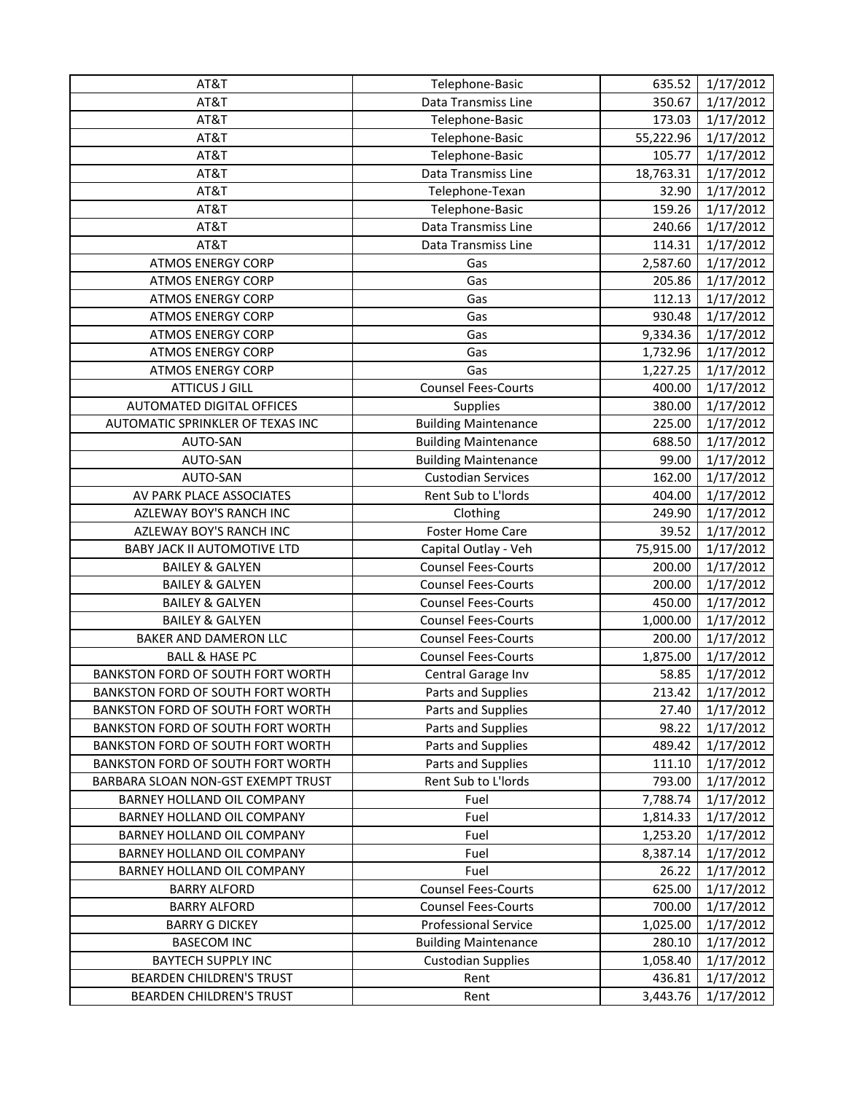| AT&T                               | Telephone-Basic             | 635.52    | 1/17/2012 |
|------------------------------------|-----------------------------|-----------|-----------|
| AT&T                               | Data Transmiss Line         | 350.67    | 1/17/2012 |
| AT&T                               | Telephone-Basic             | 173.03    | 1/17/2012 |
| AT&T                               | Telephone-Basic             | 55,222.96 | 1/17/2012 |
| AT&T                               | Telephone-Basic             | 105.77    | 1/17/2012 |
| AT&T                               | Data Transmiss Line         | 18,763.31 | 1/17/2012 |
| AT&T                               | Telephone-Texan             | 32.90     | 1/17/2012 |
| AT&T                               | Telephone-Basic             | 159.26    | 1/17/2012 |
| AT&T                               | Data Transmiss Line         | 240.66    | 1/17/2012 |
| AT&T                               | Data Transmiss Line         | 114.31    | 1/17/2012 |
| <b>ATMOS ENERGY CORP</b>           | Gas                         | 2,587.60  | 1/17/2012 |
| <b>ATMOS ENERGY CORP</b>           | Gas                         | 205.86    | 1/17/2012 |
| <b>ATMOS ENERGY CORP</b>           | Gas                         | 112.13    | 1/17/2012 |
| <b>ATMOS ENERGY CORP</b>           | Gas                         | 930.48    | 1/17/2012 |
| <b>ATMOS ENERGY CORP</b>           | Gas                         | 9,334.36  | 1/17/2012 |
| <b>ATMOS ENERGY CORP</b>           | Gas                         | 1,732.96  | 1/17/2012 |
| <b>ATMOS ENERGY CORP</b>           | Gas                         | 1,227.25  | 1/17/2012 |
| <b>ATTICUS J GILL</b>              | <b>Counsel Fees-Courts</b>  | 400.00    | 1/17/2012 |
| AUTOMATED DIGITAL OFFICES          | <b>Supplies</b>             | 380.00    | 1/17/2012 |
| AUTOMATIC SPRINKLER OF TEXAS INC   | <b>Building Maintenance</b> | 225.00    | 1/17/2012 |
| AUTO-SAN                           | <b>Building Maintenance</b> | 688.50    | 1/17/2012 |
| AUTO-SAN                           | <b>Building Maintenance</b> | 99.00     | 1/17/2012 |
| AUTO-SAN                           | <b>Custodian Services</b>   | 162.00    | 1/17/2012 |
| AV PARK PLACE ASSOCIATES           | Rent Sub to L'Iords         | 404.00    | 1/17/2012 |
| AZLEWAY BOY'S RANCH INC            | Clothing                    | 249.90    | 1/17/2012 |
| AZLEWAY BOY'S RANCH INC            | <b>Foster Home Care</b>     | 39.52     | 1/17/2012 |
| <b>BABY JACK II AUTOMOTIVE LTD</b> | Capital Outlay - Veh        | 75,915.00 | 1/17/2012 |
| <b>BAILEY &amp; GALYEN</b>         | <b>Counsel Fees-Courts</b>  | 200.00    | 1/17/2012 |
| <b>BAILEY &amp; GALYEN</b>         | <b>Counsel Fees-Courts</b>  | 200.00    | 1/17/2012 |
| <b>BAILEY &amp; GALYEN</b>         | <b>Counsel Fees-Courts</b>  | 450.00    | 1/17/2012 |
| <b>BAILEY &amp; GALYEN</b>         | <b>Counsel Fees-Courts</b>  | 1,000.00  | 1/17/2012 |
| BAKER AND DAMERON LLC              | <b>Counsel Fees-Courts</b>  | 200.00    | 1/17/2012 |
| <b>BALL &amp; HASE PC</b>          | <b>Counsel Fees-Courts</b>  | 1,875.00  | 1/17/2012 |
| BANKSTON FORD OF SOUTH FORT WORTH  | Central Garage Inv          | 58.85     | 1/17/2012 |
| BANKSTON FORD OF SOUTH FORT WORTH  | Parts and Supplies          | 213.42    | 1/17/2012 |
| BANKSTON FORD OF SOUTH FORT WORTH  | Parts and Supplies          | 27.40     | 1/17/2012 |
| BANKSTON FORD OF SOUTH FORT WORTH  | Parts and Supplies          | 98.22     | 1/17/2012 |
| BANKSTON FORD OF SOUTH FORT WORTH  | Parts and Supplies          | 489.42    | 1/17/2012 |
| BANKSTON FORD OF SOUTH FORT WORTH  | Parts and Supplies          | 111.10    | 1/17/2012 |
| BARBARA SLOAN NON-GST EXEMPT TRUST | Rent Sub to L'Iords         | 793.00    | 1/17/2012 |
| BARNEY HOLLAND OIL COMPANY         | Fuel                        | 7,788.74  | 1/17/2012 |
| BARNEY HOLLAND OIL COMPANY         | Fuel                        | 1,814.33  | 1/17/2012 |
| BARNEY HOLLAND OIL COMPANY         | Fuel                        | 1,253.20  | 1/17/2012 |
| BARNEY HOLLAND OIL COMPANY         | Fuel                        | 8,387.14  | 1/17/2012 |
| BARNEY HOLLAND OIL COMPANY         | Fuel                        | 26.22     | 1/17/2012 |
| <b>BARRY ALFORD</b>                | <b>Counsel Fees-Courts</b>  | 625.00    | 1/17/2012 |
| <b>BARRY ALFORD</b>                | <b>Counsel Fees-Courts</b>  | 700.00    | 1/17/2012 |
| <b>BARRY G DICKEY</b>              | <b>Professional Service</b> | 1,025.00  | 1/17/2012 |
| <b>BASECOM INC</b>                 | <b>Building Maintenance</b> | 280.10    | 1/17/2012 |
| <b>BAYTECH SUPPLY INC</b>          | <b>Custodian Supplies</b>   | 1,058.40  | 1/17/2012 |
| <b>BEARDEN CHILDREN'S TRUST</b>    | Rent                        | 436.81    | 1/17/2012 |
| <b>BEARDEN CHILDREN'S TRUST</b>    | Rent                        | 3,443.76  | 1/17/2012 |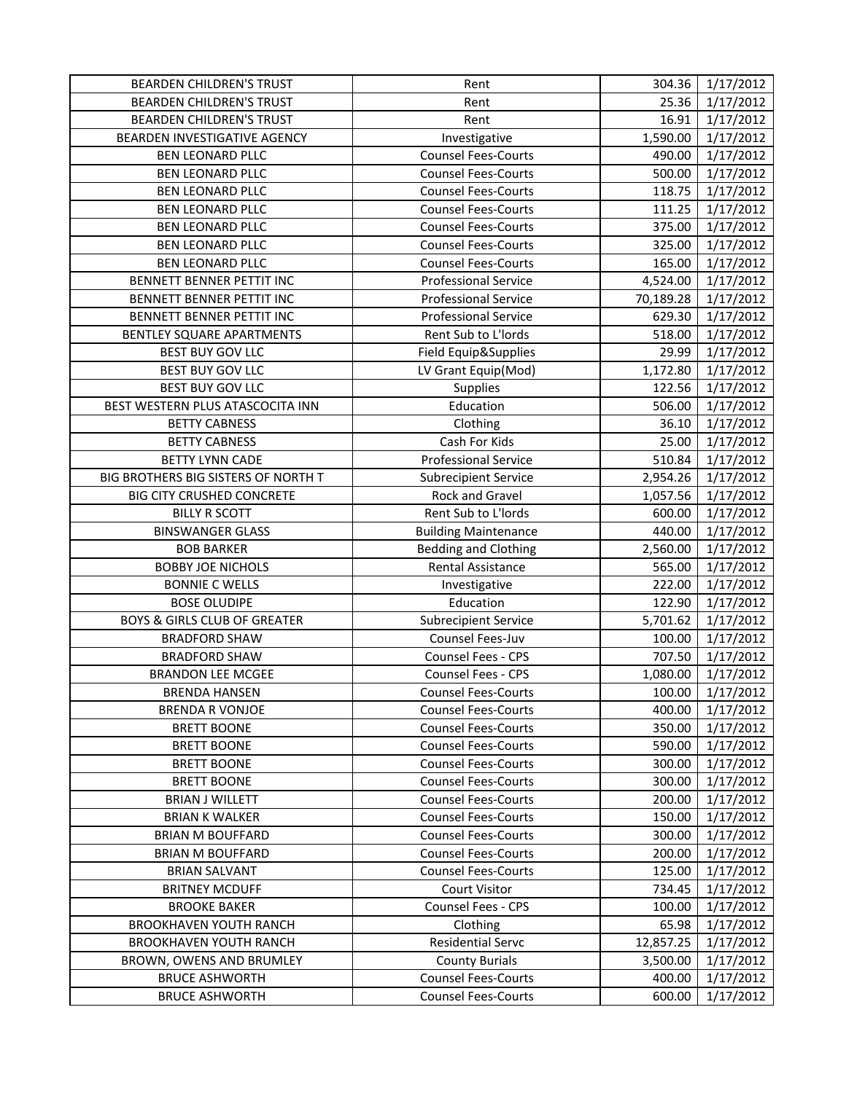| <b>BEARDEN CHILDREN'S TRUST</b>         | Rent                        | 304.36    | 1/17/2012 |
|-----------------------------------------|-----------------------------|-----------|-----------|
| <b>BEARDEN CHILDREN'S TRUST</b>         | Rent                        | 25.36     | 1/17/2012 |
| <b>BEARDEN CHILDREN'S TRUST</b>         | Rent                        | 16.91     | 1/17/2012 |
| BEARDEN INVESTIGATIVE AGENCY            | Investigative               | 1,590.00  | 1/17/2012 |
| <b>BEN LEONARD PLLC</b>                 | <b>Counsel Fees-Courts</b>  | 490.00    | 1/17/2012 |
| <b>BEN LEONARD PLLC</b>                 | <b>Counsel Fees-Courts</b>  | 500.00    | 1/17/2012 |
| <b>BEN LEONARD PLLC</b>                 | <b>Counsel Fees-Courts</b>  | 118.75    | 1/17/2012 |
| <b>BEN LEONARD PLLC</b>                 | <b>Counsel Fees-Courts</b>  | 111.25    | 1/17/2012 |
| <b>BEN LEONARD PLLC</b>                 | <b>Counsel Fees-Courts</b>  | 375.00    | 1/17/2012 |
| <b>BEN LEONARD PLLC</b>                 | <b>Counsel Fees-Courts</b>  | 325.00    | 1/17/2012 |
| <b>BEN LEONARD PLLC</b>                 | <b>Counsel Fees-Courts</b>  | 165.00    | 1/17/2012 |
| BENNETT BENNER PETTIT INC               | <b>Professional Service</b> | 4,524.00  | 1/17/2012 |
| BENNETT BENNER PETTIT INC               | <b>Professional Service</b> | 70,189.28 | 1/17/2012 |
| BENNETT BENNER PETTIT INC               | <b>Professional Service</b> | 629.30    | 1/17/2012 |
| BENTLEY SQUARE APARTMENTS               | Rent Sub to L'Iords         | 518.00    | 1/17/2012 |
| <b>BEST BUY GOV LLC</b>                 | Field Equip&Supplies        | 29.99     | 1/17/2012 |
| BEST BUY GOV LLC                        | LV Grant Equip(Mod)         | 1,172.80  | 1/17/2012 |
| BEST BUY GOV LLC                        | Supplies                    | 122.56    | 1/17/2012 |
| BEST WESTERN PLUS ATASCOCITA INN        | Education                   | 506.00    | 1/17/2012 |
| <b>BETTY CABNESS</b>                    | Clothing                    | 36.10     | 1/17/2012 |
| <b>BETTY CABNESS</b>                    | Cash For Kids               | 25.00     | 1/17/2012 |
| <b>BETTY LYNN CADE</b>                  | <b>Professional Service</b> | 510.84    | 1/17/2012 |
| BIG BROTHERS BIG SISTERS OF NORTH T     | <b>Subrecipient Service</b> | 2,954.26  | 1/17/2012 |
| <b>BIG CITY CRUSHED CONCRETE</b>        | Rock and Gravel             | 1,057.56  | 1/17/2012 |
| <b>BILLY R SCOTT</b>                    | Rent Sub to L'Iords         | 600.00    | 1/17/2012 |
| <b>BINSWANGER GLASS</b>                 | <b>Building Maintenance</b> | 440.00    | 1/17/2012 |
| <b>BOB BARKER</b>                       | <b>Bedding and Clothing</b> | 2,560.00  | 1/17/2012 |
| <b>BOBBY JOE NICHOLS</b>                | Rental Assistance           | 565.00    | 1/17/2012 |
| <b>BONNIE C WELLS</b>                   | Investigative               | 222.00    | 1/17/2012 |
| <b>BOSE OLUDIPE</b>                     | Education                   | 122.90    | 1/17/2012 |
| <b>BOYS &amp; GIRLS CLUB OF GREATER</b> | <b>Subrecipient Service</b> | 5,701.62  | 1/17/2012 |
| <b>BRADFORD SHAW</b>                    | Counsel Fees-Juv            | 100.00    | 1/17/2012 |
| <b>BRADFORD SHAW</b>                    | Counsel Fees - CPS          | 707.50    | 1/17/2012 |
| <b>BRANDON LEE MCGEE</b>                | Counsel Fees - CPS          | 1,080.00  | 1/17/2012 |
| <b>BRENDA HANSEN</b>                    | <b>Counsel Fees-Courts</b>  | 100.00    | 1/17/2012 |
| <b>BRENDA R VONJOE</b>                  | <b>Counsel Fees-Courts</b>  | 400.00    | 1/17/2012 |
| <b>BRETT BOONE</b>                      | <b>Counsel Fees-Courts</b>  | 350.00    | 1/17/2012 |
| <b>BRETT BOONE</b>                      | <b>Counsel Fees-Courts</b>  | 590.00    | 1/17/2012 |
| <b>BRETT BOONE</b>                      | <b>Counsel Fees-Courts</b>  | 300.00    | 1/17/2012 |
| <b>BRETT BOONE</b>                      | <b>Counsel Fees-Courts</b>  | 300.00    | 1/17/2012 |
| <b>BRIAN J WILLETT</b>                  | <b>Counsel Fees-Courts</b>  | 200.00    | 1/17/2012 |
| <b>BRIAN K WALKER</b>                   | <b>Counsel Fees-Courts</b>  | 150.00    | 1/17/2012 |
| <b>BRIAN M BOUFFARD</b>                 | <b>Counsel Fees-Courts</b>  | 300.00    | 1/17/2012 |
| <b>BRIAN M BOUFFARD</b>                 | <b>Counsel Fees-Courts</b>  | 200.00    | 1/17/2012 |
| <b>BRIAN SALVANT</b>                    | <b>Counsel Fees-Courts</b>  | 125.00    | 1/17/2012 |
| <b>BRITNEY MCDUFF</b>                   | <b>Court Visitor</b>        | 734.45    | 1/17/2012 |
| <b>BROOKE BAKER</b>                     | Counsel Fees - CPS          | 100.00    | 1/17/2012 |
| <b>BROOKHAVEN YOUTH RANCH</b>           | Clothing                    | 65.98     | 1/17/2012 |
| <b>BROOKHAVEN YOUTH RANCH</b>           | <b>Residential Servc</b>    | 12,857.25 | 1/17/2012 |
| BROWN, OWENS AND BRUMLEY                | <b>County Burials</b>       | 3,500.00  | 1/17/2012 |
| <b>BRUCE ASHWORTH</b>                   | <b>Counsel Fees-Courts</b>  | 400.00    | 1/17/2012 |
| <b>BRUCE ASHWORTH</b>                   | <b>Counsel Fees-Courts</b>  | 600.00    | 1/17/2012 |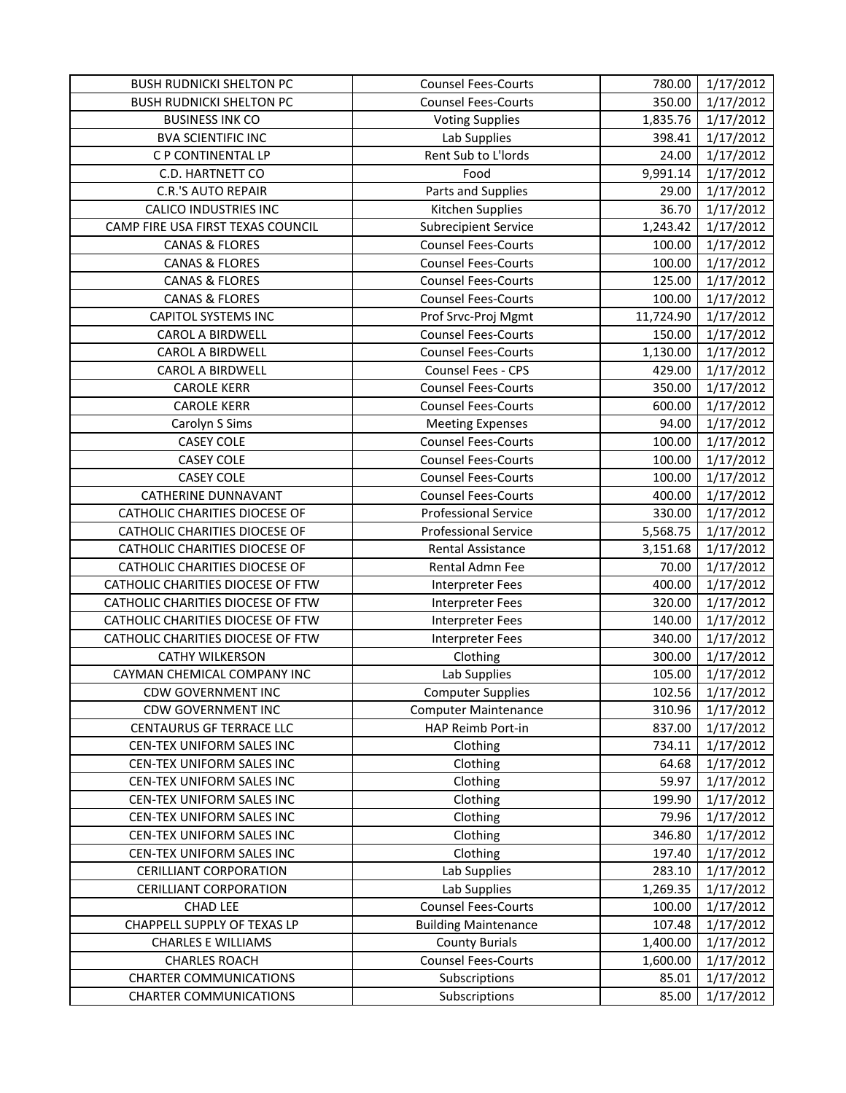| <b>BUSH RUDNICKI SHELTON PC</b>   | <b>Counsel Fees-Courts</b>  | 780.00    | 1/17/2012 |
|-----------------------------------|-----------------------------|-----------|-----------|
| <b>BUSH RUDNICKI SHELTON PC</b>   | <b>Counsel Fees-Courts</b>  | 350.00    | 1/17/2012 |
| <b>BUSINESS INK CO</b>            | <b>Voting Supplies</b>      | 1,835.76  | 1/17/2012 |
| <b>BVA SCIENTIFIC INC</b>         | Lab Supplies                | 398.41    | 1/17/2012 |
| C P CONTINENTAL LP                | Rent Sub to L'Iords         | 24.00     | 1/17/2012 |
| C.D. HARTNETT CO                  | Food                        | 9,991.14  | 1/17/2012 |
| <b>C.R.'S AUTO REPAIR</b>         | Parts and Supplies          | 29.00     | 1/17/2012 |
| <b>CALICO INDUSTRIES INC</b>      | Kitchen Supplies            | 36.70     | 1/17/2012 |
| CAMP FIRE USA FIRST TEXAS COUNCIL | <b>Subrecipient Service</b> | 1,243.42  | 1/17/2012 |
| <b>CANAS &amp; FLORES</b>         | <b>Counsel Fees-Courts</b>  | 100.00    | 1/17/2012 |
| <b>CANAS &amp; FLORES</b>         | <b>Counsel Fees-Courts</b>  | 100.00    | 1/17/2012 |
| <b>CANAS &amp; FLORES</b>         | <b>Counsel Fees-Courts</b>  | 125.00    | 1/17/2012 |
| <b>CANAS &amp; FLORES</b>         | <b>Counsel Fees-Courts</b>  | 100.00    | 1/17/2012 |
| <b>CAPITOL SYSTEMS INC</b>        | Prof Srvc-Proj Mgmt         | 11,724.90 | 1/17/2012 |
| <b>CAROL A BIRDWELL</b>           | <b>Counsel Fees-Courts</b>  | 150.00    | 1/17/2012 |
| <b>CAROL A BIRDWELL</b>           | <b>Counsel Fees-Courts</b>  | 1,130.00  | 1/17/2012 |
| <b>CAROL A BIRDWELL</b>           | Counsel Fees - CPS          | 429.00    | 1/17/2012 |
| <b>CAROLE KERR</b>                | <b>Counsel Fees-Courts</b>  | 350.00    | 1/17/2012 |
| <b>CAROLE KERR</b>                | <b>Counsel Fees-Courts</b>  | 600.00    | 1/17/2012 |
| Carolyn S Sims                    | <b>Meeting Expenses</b>     | 94.00     | 1/17/2012 |
| <b>CASEY COLE</b>                 | <b>Counsel Fees-Courts</b>  | 100.00    | 1/17/2012 |
| <b>CASEY COLE</b>                 | <b>Counsel Fees-Courts</b>  | 100.00    | 1/17/2012 |
| <b>CASEY COLE</b>                 | <b>Counsel Fees-Courts</b>  | 100.00    | 1/17/2012 |
| <b>CATHERINE DUNNAVANT</b>        | <b>Counsel Fees-Courts</b>  | 400.00    | 1/17/2012 |
| CATHOLIC CHARITIES DIOCESE OF     | <b>Professional Service</b> | 330.00    | 1/17/2012 |
| CATHOLIC CHARITIES DIOCESE OF     | <b>Professional Service</b> | 5,568.75  | 1/17/2012 |
| CATHOLIC CHARITIES DIOCESE OF     | Rental Assistance           | 3,151.68  | 1/17/2012 |
| CATHOLIC CHARITIES DIOCESE OF     | Rental Admn Fee             | 70.00     | 1/17/2012 |
| CATHOLIC CHARITIES DIOCESE OF FTW | Interpreter Fees            | 400.00    | 1/17/2012 |
| CATHOLIC CHARITIES DIOCESE OF FTW | <b>Interpreter Fees</b>     | 320.00    | 1/17/2012 |
| CATHOLIC CHARITIES DIOCESE OF FTW | <b>Interpreter Fees</b>     | 140.00    | 1/17/2012 |
| CATHOLIC CHARITIES DIOCESE OF FTW | Interpreter Fees            | 340.00    | 1/17/2012 |
| <b>CATHY WILKERSON</b>            | Clothing                    | 300.00    | 1/17/2012 |
| CAYMAN CHEMICAL COMPANY INC       | Lab Supplies                | 105.00    | 1/17/2012 |
| <b>CDW GOVERNMENT INC</b>         | <b>Computer Supplies</b>    | 102.56    | 1/17/2012 |
| <b>CDW GOVERNMENT INC</b>         | <b>Computer Maintenance</b> | 310.96    | 1/17/2012 |
| CENTAURUS GF TERRACE LLC          | HAP Reimb Port-in           | 837.00    | 1/17/2012 |
| CEN-TEX UNIFORM SALES INC         | Clothing                    | 734.11    | 1/17/2012 |
| CEN-TEX UNIFORM SALES INC         | Clothing                    | 64.68     | 1/17/2012 |
| CEN-TEX UNIFORM SALES INC         | Clothing                    | 59.97     | 1/17/2012 |
| CEN-TEX UNIFORM SALES INC         | Clothing                    | 199.90    | 1/17/2012 |
| CEN-TEX UNIFORM SALES INC         | Clothing                    | 79.96     | 1/17/2012 |
| CEN-TEX UNIFORM SALES INC         | Clothing                    | 346.80    | 1/17/2012 |
| CEN-TEX UNIFORM SALES INC         | Clothing                    | 197.40    | 1/17/2012 |
| <b>CERILLIANT CORPORATION</b>     | Lab Supplies                | 283.10    | 1/17/2012 |
| <b>CERILLIANT CORPORATION</b>     | Lab Supplies                | 1,269.35  | 1/17/2012 |
| <b>CHAD LEE</b>                   | <b>Counsel Fees-Courts</b>  | 100.00    | 1/17/2012 |
| CHAPPELL SUPPLY OF TEXAS LP       | <b>Building Maintenance</b> | 107.48    | 1/17/2012 |
| <b>CHARLES E WILLIAMS</b>         | <b>County Burials</b>       | 1,400.00  | 1/17/2012 |
| <b>CHARLES ROACH</b>              | <b>Counsel Fees-Courts</b>  | 1,600.00  | 1/17/2012 |
| <b>CHARTER COMMUNICATIONS</b>     | Subscriptions               | 85.01     | 1/17/2012 |
| <b>CHARTER COMMUNICATIONS</b>     | Subscriptions               | 85.00     | 1/17/2012 |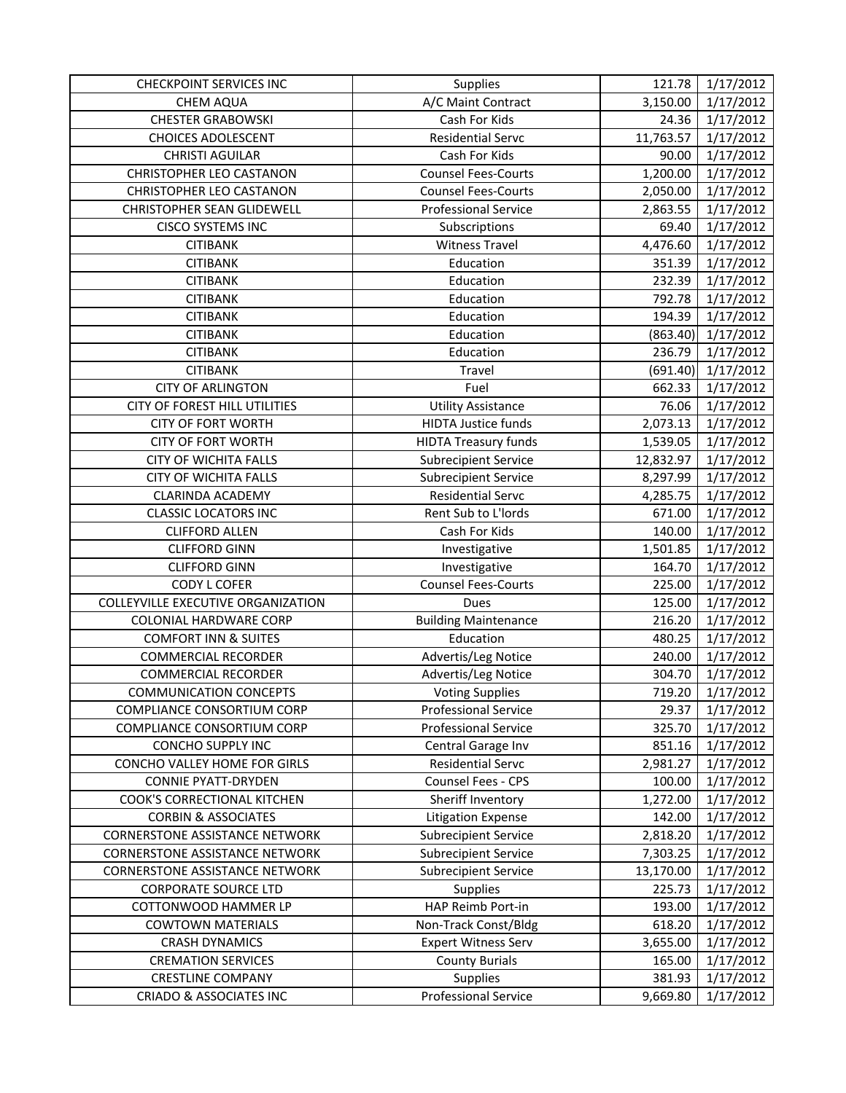| <b>CHECKPOINT SERVICES INC</b>        | Supplies                    | 121.78    | 1/17/2012 |
|---------------------------------------|-----------------------------|-----------|-----------|
| <b>CHEM AQUA</b>                      | A/C Maint Contract          | 3,150.00  | 1/17/2012 |
| <b>CHESTER GRABOWSKI</b>              | Cash For Kids               | 24.36     | 1/17/2012 |
| <b>CHOICES ADOLESCENT</b>             | <b>Residential Servc</b>    | 11,763.57 | 1/17/2012 |
| <b>CHRISTI AGUILAR</b>                | Cash For Kids               | 90.00     | 1/17/2012 |
| <b>CHRISTOPHER LEO CASTANON</b>       | <b>Counsel Fees-Courts</b>  | 1,200.00  | 1/17/2012 |
| CHRISTOPHER LEO CASTANON              | <b>Counsel Fees-Courts</b>  | 2,050.00  | 1/17/2012 |
| CHRISTOPHER SEAN GLIDEWELL            | <b>Professional Service</b> | 2,863.55  | 1/17/2012 |
| <b>CISCO SYSTEMS INC</b>              | Subscriptions               | 69.40     | 1/17/2012 |
| <b>CITIBANK</b>                       | <b>Witness Travel</b>       | 4,476.60  | 1/17/2012 |
| <b>CITIBANK</b>                       | Education                   | 351.39    | 1/17/2012 |
| <b>CITIBANK</b>                       | Education                   | 232.39    | 1/17/2012 |
| <b>CITIBANK</b>                       | Education                   | 792.78    | 1/17/2012 |
| <b>CITIBANK</b>                       | Education                   | 194.39    | 1/17/2012 |
| <b>CITIBANK</b>                       | Education                   | (863.40)  | 1/17/2012 |
| <b>CITIBANK</b>                       | Education                   | 236.79    | 1/17/2012 |
| <b>CITIBANK</b>                       | Travel                      | (691.40)  | 1/17/2012 |
| <b>CITY OF ARLINGTON</b>              | Fuel                        | 662.33    | 1/17/2012 |
| CITY OF FOREST HILL UTILITIES         | <b>Utility Assistance</b>   | 76.06     | 1/17/2012 |
| <b>CITY OF FORT WORTH</b>             | <b>HIDTA Justice funds</b>  | 2,073.13  | 1/17/2012 |
| <b>CITY OF FORT WORTH</b>             | <b>HIDTA Treasury funds</b> | 1,539.05  | 1/17/2012 |
| <b>CITY OF WICHITA FALLS</b>          | <b>Subrecipient Service</b> | 12,832.97 | 1/17/2012 |
| <b>CITY OF WICHITA FALLS</b>          | <b>Subrecipient Service</b> | 8,297.99  | 1/17/2012 |
| <b>CLARINDA ACADEMY</b>               | <b>Residential Servc</b>    | 4,285.75  | 1/17/2012 |
| <b>CLASSIC LOCATORS INC</b>           | Rent Sub to L'Iords         | 671.00    | 1/17/2012 |
| <b>CLIFFORD ALLEN</b>                 | Cash For Kids               | 140.00    | 1/17/2012 |
| <b>CLIFFORD GINN</b>                  | Investigative               | 1,501.85  | 1/17/2012 |
| <b>CLIFFORD GINN</b>                  | Investigative               | 164.70    | 1/17/2012 |
| CODY L COFER                          | <b>Counsel Fees-Courts</b>  | 225.00    | 1/17/2012 |
| COLLEYVILLE EXECUTIVE ORGANIZATION    | Dues                        | 125.00    | 1/17/2012 |
| <b>COLONIAL HARDWARE CORP</b>         | <b>Building Maintenance</b> | 216.20    | 1/17/2012 |
| <b>COMFORT INN &amp; SUITES</b>       | Education                   | 480.25    | 1/17/2012 |
| <b>COMMERCIAL RECORDER</b>            | Advertis/Leg Notice         | 240.00    | 1/17/2012 |
| <b>COMMERCIAL RECORDER</b>            | Advertis/Leg Notice         | 304.70    | 1/17/2012 |
| <b>COMMUNICATION CONCEPTS</b>         | <b>Voting Supplies</b>      | 719.20    | 1/17/2012 |
| COMPLIANCE CONSORTIUM CORP            | <b>Professional Service</b> | 29.37     | 1/17/2012 |
| COMPLIANCE CONSORTIUM CORP            | <b>Professional Service</b> | 325.70    | 1/17/2012 |
| CONCHO SUPPLY INC                     | Central Garage Inv          | 851.16    | 1/17/2012 |
| CONCHO VALLEY HOME FOR GIRLS          | <b>Residential Servc</b>    | 2,981.27  | 1/17/2012 |
| <b>CONNIE PYATT-DRYDEN</b>            | <b>Counsel Fees - CPS</b>   | 100.00    | 1/17/2012 |
| COOK'S CORRECTIONAL KITCHEN           | Sheriff Inventory           | 1,272.00  | 1/17/2012 |
| <b>CORBIN &amp; ASSOCIATES</b>        | <b>Litigation Expense</b>   | 142.00    | 1/17/2012 |
| <b>CORNERSTONE ASSISTANCE NETWORK</b> | <b>Subrecipient Service</b> | 2,818.20  | 1/17/2012 |
| <b>CORNERSTONE ASSISTANCE NETWORK</b> | <b>Subrecipient Service</b> | 7,303.25  | 1/17/2012 |
| <b>CORNERSTONE ASSISTANCE NETWORK</b> | <b>Subrecipient Service</b> | 13,170.00 | 1/17/2012 |
| <b>CORPORATE SOURCE LTD</b>           | <b>Supplies</b>             | 225.73    | 1/17/2012 |
| COTTONWOOD HAMMER LP                  | HAP Reimb Port-in           | 193.00    | 1/17/2012 |
| <b>COWTOWN MATERIALS</b>              | Non-Track Const/Bldg        | 618.20    | 1/17/2012 |
| <b>CRASH DYNAMICS</b>                 | <b>Expert Witness Serv</b>  | 3,655.00  | 1/17/2012 |
| <b>CREMATION SERVICES</b>             | <b>County Burials</b>       | 165.00    | 1/17/2012 |
| <b>CRESTLINE COMPANY</b>              | Supplies                    | 381.93    | 1/17/2012 |
| <b>CRIADO &amp; ASSOCIATES INC</b>    | <b>Professional Service</b> | 9,669.80  | 1/17/2012 |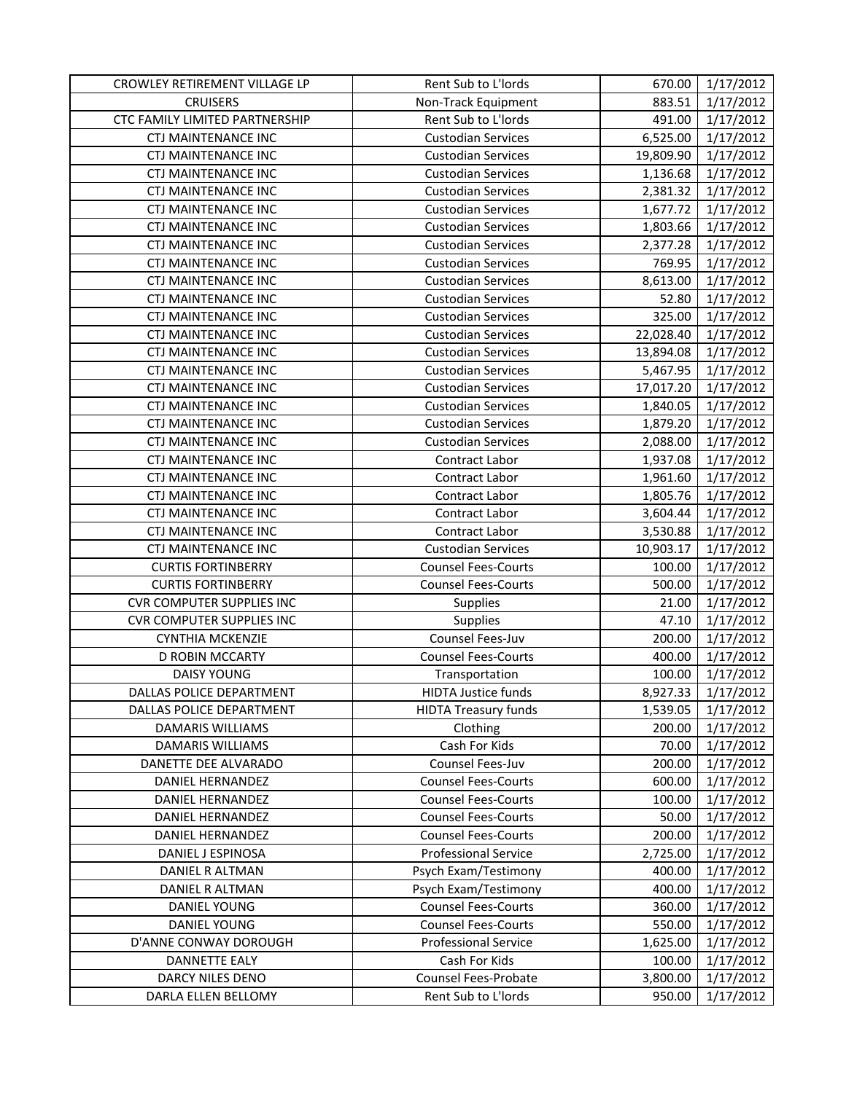| CROWLEY RETIREMENT VILLAGE LP    | Rent Sub to L'Iords         | 670.00    | 1/17/2012 |
|----------------------------------|-----------------------------|-----------|-----------|
| <b>CRUISERS</b>                  | Non-Track Equipment         | 883.51    | 1/17/2012 |
| CTC FAMILY LIMITED PARTNERSHIP   | Rent Sub to L'Iords         | 491.00    | 1/17/2012 |
| <b>CTJ MAINTENANCE INC</b>       | <b>Custodian Services</b>   | 6,525.00  | 1/17/2012 |
| <b>CTJ MAINTENANCE INC</b>       | <b>Custodian Services</b>   | 19,809.90 | 1/17/2012 |
| CTJ MAINTENANCE INC              | <b>Custodian Services</b>   | 1,136.68  | 1/17/2012 |
| <b>CTJ MAINTENANCE INC</b>       | <b>Custodian Services</b>   | 2,381.32  | 1/17/2012 |
| CTJ MAINTENANCE INC              | <b>Custodian Services</b>   | 1,677.72  | 1/17/2012 |
| <b>CTJ MAINTENANCE INC</b>       | <b>Custodian Services</b>   | 1,803.66  | 1/17/2012 |
| <b>CTJ MAINTENANCE INC</b>       | <b>Custodian Services</b>   | 2,377.28  | 1/17/2012 |
| <b>CTJ MAINTENANCE INC</b>       | <b>Custodian Services</b>   | 769.95    | 1/17/2012 |
| <b>CTJ MAINTENANCE INC</b>       | <b>Custodian Services</b>   | 8,613.00  | 1/17/2012 |
| CTJ MAINTENANCE INC              | <b>Custodian Services</b>   | 52.80     | 1/17/2012 |
| CTJ MAINTENANCE INC              | <b>Custodian Services</b>   | 325.00    | 1/17/2012 |
| CTJ MAINTENANCE INC              | <b>Custodian Services</b>   | 22,028.40 | 1/17/2012 |
| CTJ MAINTENANCE INC              | <b>Custodian Services</b>   | 13,894.08 | 1/17/2012 |
| CTJ MAINTENANCE INC              | <b>Custodian Services</b>   | 5,467.95  | 1/17/2012 |
| <b>CTJ MAINTENANCE INC</b>       | <b>Custodian Services</b>   | 17,017.20 | 1/17/2012 |
| <b>CTJ MAINTENANCE INC</b>       | <b>Custodian Services</b>   | 1,840.05  | 1/17/2012 |
| CTJ MAINTENANCE INC              | <b>Custodian Services</b>   | 1,879.20  | 1/17/2012 |
| CTJ MAINTENANCE INC              | <b>Custodian Services</b>   | 2,088.00  | 1/17/2012 |
| <b>CTJ MAINTENANCE INC</b>       | Contract Labor              | 1,937.08  | 1/17/2012 |
| <b>CTJ MAINTENANCE INC</b>       | Contract Labor              | 1,961.60  | 1/17/2012 |
| <b>CTJ MAINTENANCE INC</b>       | Contract Labor              | 1,805.76  | 1/17/2012 |
| <b>CTJ MAINTENANCE INC</b>       | Contract Labor              | 3,604.44  | 1/17/2012 |
| <b>CTJ MAINTENANCE INC</b>       | Contract Labor              | 3,530.88  | 1/17/2012 |
| CTJ MAINTENANCE INC              | <b>Custodian Services</b>   | 10,903.17 | 1/17/2012 |
| <b>CURTIS FORTINBERRY</b>        | <b>Counsel Fees-Courts</b>  | 100.00    | 1/17/2012 |
| <b>CURTIS FORTINBERRY</b>        | <b>Counsel Fees-Courts</b>  | 500.00    | 1/17/2012 |
| <b>CVR COMPUTER SUPPLIES INC</b> | Supplies                    | 21.00     | 1/17/2012 |
| <b>CVR COMPUTER SUPPLIES INC</b> | Supplies                    | 47.10     | 1/17/2012 |
| <b>CYNTHIA MCKENZIE</b>          | Counsel Fees-Juv            | 200.00    | 1/17/2012 |
| D ROBIN MCCARTY                  | <b>Counsel Fees-Courts</b>  | 400.00    | 1/17/2012 |
| <b>DAISY YOUNG</b>               | Transportation              | 100.00    | 1/17/2012 |
| DALLAS POLICE DEPARTMENT         | HIDTA Justice funds         | 8,927.33  | 1/17/2012 |
| DALLAS POLICE DEPARTMENT         | <b>HIDTA Treasury funds</b> | 1,539.05  | 1/17/2012 |
| DAMARIS WILLIAMS                 | Clothing                    | 200.00    | 1/17/2012 |
| DAMARIS WILLIAMS                 | Cash For Kids               | 70.00     | 1/17/2012 |
| DANETTE DEE ALVARADO             | Counsel Fees-Juv            | 200.00    | 1/17/2012 |
| DANIEL HERNANDEZ                 | <b>Counsel Fees-Courts</b>  | 600.00    | 1/17/2012 |
| <b>DANIEL HERNANDEZ</b>          | <b>Counsel Fees-Courts</b>  | 100.00    | 1/17/2012 |
| DANIEL HERNANDEZ                 | <b>Counsel Fees-Courts</b>  | 50.00     | 1/17/2012 |
| DANIEL HERNANDEZ                 | <b>Counsel Fees-Courts</b>  | 200.00    | 1/17/2012 |
| DANIEL J ESPINOSA                | <b>Professional Service</b> | 2,725.00  | 1/17/2012 |
| DANIEL R ALTMAN                  | Psych Exam/Testimony        | 400.00    | 1/17/2012 |
| DANIEL R ALTMAN                  | Psych Exam/Testimony        | 400.00    | 1/17/2012 |
| DANIEL YOUNG                     | <b>Counsel Fees-Courts</b>  | 360.00    | 1/17/2012 |
| <b>DANIEL YOUNG</b>              | <b>Counsel Fees-Courts</b>  | 550.00    | 1/17/2012 |
| D'ANNE CONWAY DOROUGH            | <b>Professional Service</b> | 1,625.00  | 1/17/2012 |
| <b>DANNETTE EALY</b>             | Cash For Kids               | 100.00    | 1/17/2012 |
| DARCY NILES DENO                 | Counsel Fees-Probate        | 3,800.00  | 1/17/2012 |
| DARLA ELLEN BELLOMY              | Rent Sub to L'Iords         | 950.00    | 1/17/2012 |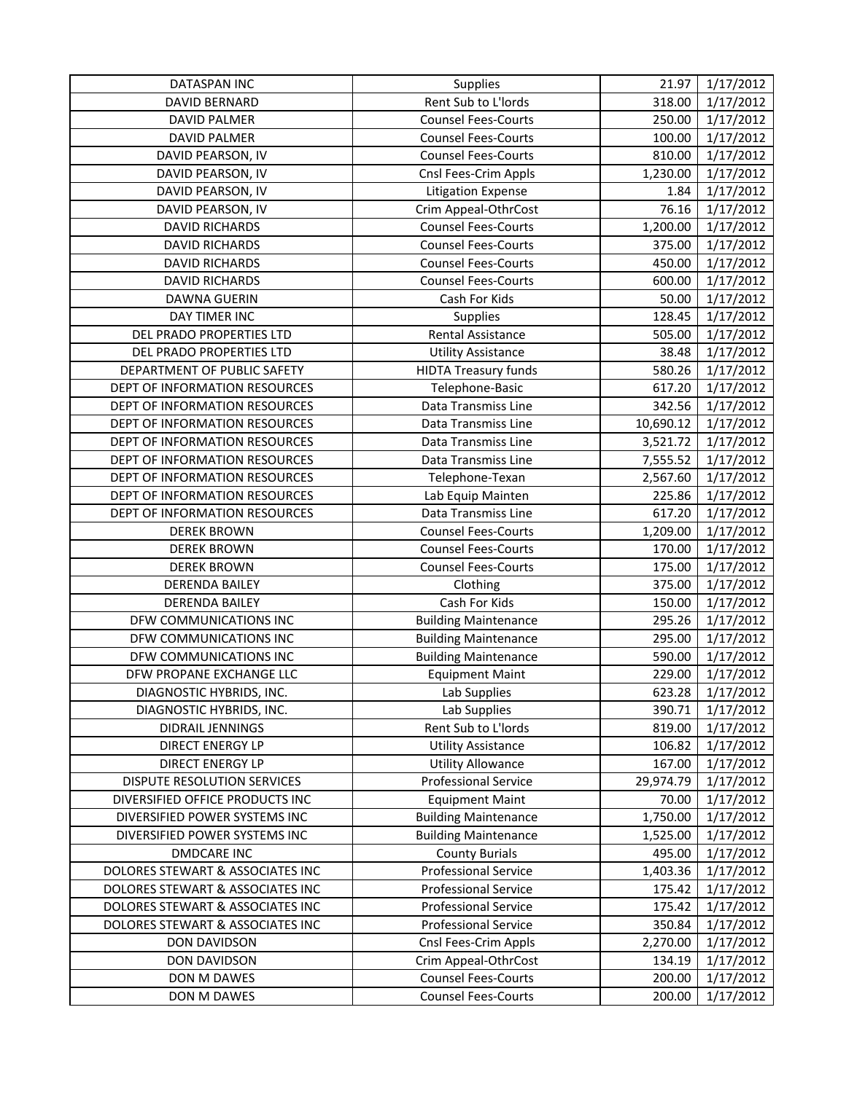| <b>DATASPAN INC</b>              | Supplies                    | 21.97                 | 1/17/2012 |
|----------------------------------|-----------------------------|-----------------------|-----------|
| DAVID BERNARD                    | Rent Sub to L'Iords         | 318.00                | 1/17/2012 |
| <b>DAVID PALMER</b>              | Counsel Fees-Courts         | 250.00                | 1/17/2012 |
| <b>DAVID PALMER</b>              | <b>Counsel Fees-Courts</b>  | 100.00                | 1/17/2012 |
| DAVID PEARSON, IV                | <b>Counsel Fees-Courts</b>  | 810.00                | 1/17/2012 |
| DAVID PEARSON, IV                | Cnsl Fees-Crim Appls        | 1,230.00              | 1/17/2012 |
| DAVID PEARSON, IV                | <b>Litigation Expense</b>   | 1.84                  | 1/17/2012 |
| DAVID PEARSON, IV                | Crim Appeal-OthrCost        | 76.16                 | 1/17/2012 |
| <b>DAVID RICHARDS</b>            | <b>Counsel Fees-Courts</b>  | 1,200.00              | 1/17/2012 |
| <b>DAVID RICHARDS</b>            | <b>Counsel Fees-Courts</b>  | 375.00                | 1/17/2012 |
| <b>DAVID RICHARDS</b>            | <b>Counsel Fees-Courts</b>  | 450.00                | 1/17/2012 |
| <b>DAVID RICHARDS</b>            | <b>Counsel Fees-Courts</b>  | 600.00                | 1/17/2012 |
| DAWNA GUERIN                     | Cash For Kids               | 50.00                 | 1/17/2012 |
| DAY TIMER INC                    | Supplies                    | 128.45                | 1/17/2012 |
| DEL PRADO PROPERTIES LTD         | Rental Assistance           | 505.00                | 1/17/2012 |
| DEL PRADO PROPERTIES LTD         | <b>Utility Assistance</b>   | 38.48                 | 1/17/2012 |
| DEPARTMENT OF PUBLIC SAFETY      | <b>HIDTA Treasury funds</b> | 580.26                | 1/17/2012 |
| DEPT OF INFORMATION RESOURCES    | Telephone-Basic             | 617.20                | 1/17/2012 |
| DEPT OF INFORMATION RESOURCES    | Data Transmiss Line         | 342.56                | 1/17/2012 |
| DEPT OF INFORMATION RESOURCES    | Data Transmiss Line         | 10,690.12             | 1/17/2012 |
| DEPT OF INFORMATION RESOURCES    | Data Transmiss Line         | 3,521.72              | 1/17/2012 |
| DEPT OF INFORMATION RESOURCES    | Data Transmiss Line         | 7,555.52              | 1/17/2012 |
| DEPT OF INFORMATION RESOURCES    | Telephone-Texan             | 2,567.60              | 1/17/2012 |
| DEPT OF INFORMATION RESOURCES    | Lab Equip Mainten           | 225.86                | 1/17/2012 |
| DEPT OF INFORMATION RESOURCES    | Data Transmiss Line         | 617.20                | 1/17/2012 |
| <b>DEREK BROWN</b>               | <b>Counsel Fees-Courts</b>  | 1,209.00              | 1/17/2012 |
| <b>DEREK BROWN</b>               | <b>Counsel Fees-Courts</b>  | 170.00                | 1/17/2012 |
| <b>DEREK BROWN</b>               | <b>Counsel Fees-Courts</b>  | 175.00                | 1/17/2012 |
| <b>DERENDA BAILEY</b>            | Clothing                    | 375.00                | 1/17/2012 |
| <b>DERENDA BAILEY</b>            | Cash For Kids               | 150.00                | 1/17/2012 |
| DFW COMMUNICATIONS INC           | <b>Building Maintenance</b> | 295.26                | 1/17/2012 |
| DFW COMMUNICATIONS INC           | <b>Building Maintenance</b> | 295.00                | 1/17/2012 |
| DFW COMMUNICATIONS INC           | <b>Building Maintenance</b> | 590.00                | 1/17/2012 |
| DFW PROPANE EXCHANGE LLC         | <b>Equipment Maint</b>      | 229.00                | 1/17/2012 |
| DIAGNOSTIC HYBRIDS, INC.         | Lab Supplies                | 623.28                | 1/17/2012 |
| DIAGNOSTIC HYBRIDS, INC.         | Lab Supplies                | 390.71                | 1/17/2012 |
| DIDRAIL JENNINGS                 | Rent Sub to L'Iords         | 819.00                | 1/17/2012 |
| <b>DIRECT ENERGY LP</b>          | <b>Utility Assistance</b>   | 106.82                | 1/17/2012 |
| <b>DIRECT ENERGY LP</b>          | <b>Utility Allowance</b>    | 167.00                | 1/17/2012 |
| DISPUTE RESOLUTION SERVICES      | Professional Service        | 29,974.79             | 1/17/2012 |
| DIVERSIFIED OFFICE PRODUCTS INC  | <b>Equipment Maint</b>      | 70.00                 | 1/17/2012 |
| DIVERSIFIED POWER SYSTEMS INC    | <b>Building Maintenance</b> | $\overline{1,750.00}$ | 1/17/2012 |
| DIVERSIFIED POWER SYSTEMS INC    | <b>Building Maintenance</b> | 1,525.00              | 1/17/2012 |
| <b>DMDCARE INC</b>               | <b>County Burials</b>       | 495.00                | 1/17/2012 |
| DOLORES STEWART & ASSOCIATES INC | <b>Professional Service</b> | 1,403.36              | 1/17/2012 |
| DOLORES STEWART & ASSOCIATES INC | <b>Professional Service</b> | 175.42                | 1/17/2012 |
| DOLORES STEWART & ASSOCIATES INC | <b>Professional Service</b> | 175.42                | 1/17/2012 |
| DOLORES STEWART & ASSOCIATES INC | <b>Professional Service</b> | 350.84                | 1/17/2012 |
| <b>DON DAVIDSON</b>              | Cnsl Fees-Crim Appls        | 2,270.00              | 1/17/2012 |
| <b>DON DAVIDSON</b>              | Crim Appeal-OthrCost        | 134.19                | 1/17/2012 |
| DON M DAWES                      | <b>Counsel Fees-Courts</b>  | 200.00                | 1/17/2012 |
| DON M DAWES                      | <b>Counsel Fees-Courts</b>  | 200.00                | 1/17/2012 |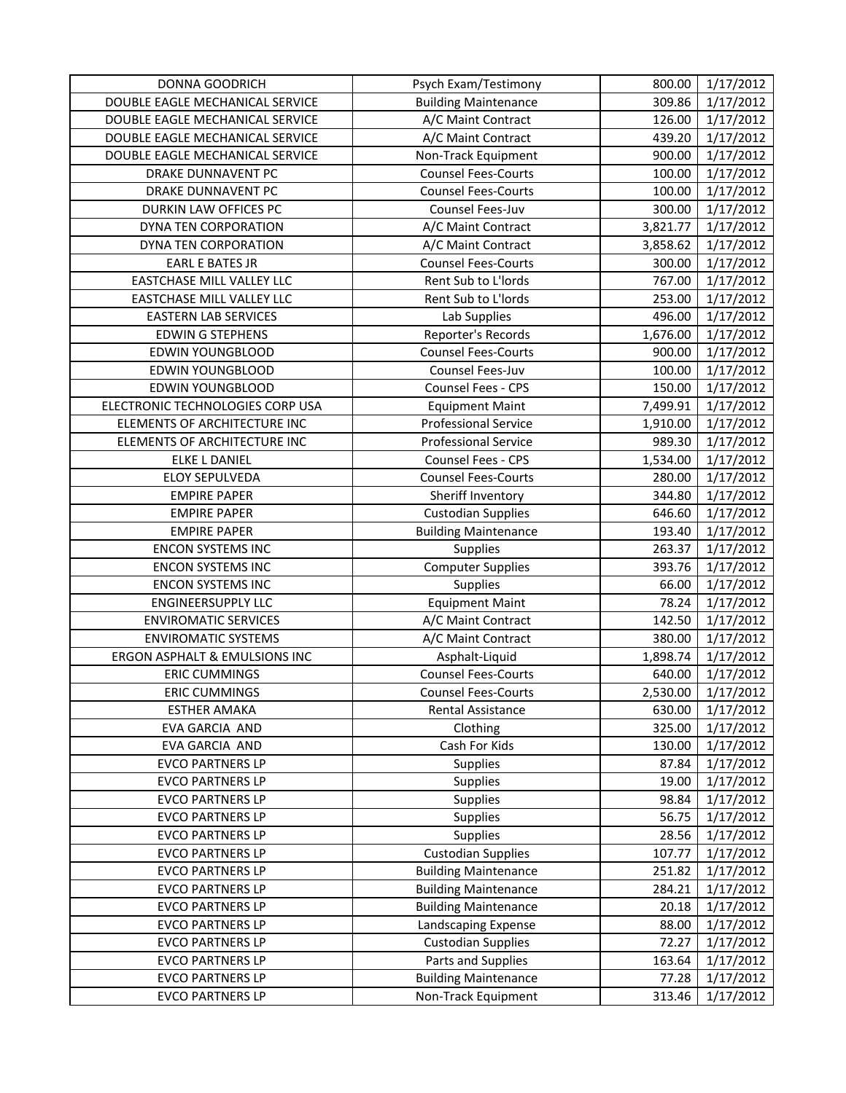| DONNA GOODRICH                                     | Psych Exam/Testimony                               | 800.00          | 1/17/2012              |
|----------------------------------------------------|----------------------------------------------------|-----------------|------------------------|
| DOUBLE EAGLE MECHANICAL SERVICE                    | <b>Building Maintenance</b>                        | 309.86          | 1/17/2012              |
| DOUBLE EAGLE MECHANICAL SERVICE                    | A/C Maint Contract                                 | 126.00          | 1/17/2012              |
| DOUBLE EAGLE MECHANICAL SERVICE                    | A/C Maint Contract                                 | 439.20          | 1/17/2012              |
| DOUBLE EAGLE MECHANICAL SERVICE                    | Non-Track Equipment                                | 900.00          | 1/17/2012              |
| DRAKE DUNNAVENT PC                                 | <b>Counsel Fees-Courts</b>                         | 100.00          | 1/17/2012              |
| DRAKE DUNNAVENT PC                                 | <b>Counsel Fees-Courts</b>                         | 100.00          | 1/17/2012              |
| DURKIN LAW OFFICES PC                              | Counsel Fees-Juv                                   | 300.00          | 1/17/2012              |
| DYNA TEN CORPORATION                               | A/C Maint Contract                                 | 3,821.77        | 1/17/2012              |
| DYNA TEN CORPORATION                               | A/C Maint Contract                                 | 3,858.62        | 1/17/2012              |
| <b>EARL E BATES JR</b>                             | <b>Counsel Fees-Courts</b>                         | 300.00          | 1/17/2012              |
| EASTCHASE MILL VALLEY LLC                          | Rent Sub to L'Iords                                | 767.00          | 1/17/2012              |
| EASTCHASE MILL VALLEY LLC                          | Rent Sub to L'Iords                                | 253.00          | 1/17/2012              |
| <b>EASTERN LAB SERVICES</b>                        | Lab Supplies                                       | 496.00          | 1/17/2012              |
| <b>EDWIN G STEPHENS</b>                            | Reporter's Records                                 | 1,676.00        | 1/17/2012              |
| <b>EDWIN YOUNGBLOOD</b>                            | <b>Counsel Fees-Courts</b>                         | 900.00          | 1/17/2012              |
| <b>EDWIN YOUNGBLOOD</b>                            | Counsel Fees-Juv                                   | 100.00          | 1/17/2012              |
| <b>EDWIN YOUNGBLOOD</b>                            | Counsel Fees - CPS                                 | 150.00          | 1/17/2012              |
| ELECTRONIC TECHNOLOGIES CORP USA                   | <b>Equipment Maint</b>                             | 7,499.91        | 1/17/2012              |
| ELEMENTS OF ARCHITECTURE INC                       | <b>Professional Service</b>                        | 1,910.00        | 1/17/2012              |
| ELEMENTS OF ARCHITECTURE INC                       | <b>Professional Service</b>                        | 989.30          | 1/17/2012              |
| <b>ELKE L DANIEL</b>                               | Counsel Fees - CPS                                 | 1,534.00        | 1/17/2012              |
| <b>ELOY SEPULVEDA</b>                              | <b>Counsel Fees-Courts</b>                         | 280.00          | 1/17/2012              |
| <b>EMPIRE PAPER</b>                                | Sheriff Inventory                                  | 344.80          | 1/17/2012              |
| <b>EMPIRE PAPER</b>                                | <b>Custodian Supplies</b>                          | 646.60          | 1/17/2012              |
| <b>EMPIRE PAPER</b>                                | <b>Building Maintenance</b>                        | 193.40          | 1/17/2012              |
| <b>ENCON SYSTEMS INC</b>                           | <b>Supplies</b>                                    | 263.37          | 1/17/2012              |
| <b>ENCON SYSTEMS INC</b>                           | Computer Supplies                                  | 393.76          | 1/17/2012              |
| <b>ENCON SYSTEMS INC</b>                           | Supplies                                           | 66.00           | 1/17/2012              |
| <b>ENGINEERSUPPLY LLC</b>                          | <b>Equipment Maint</b>                             | 78.24           | 1/17/2012              |
| <b>ENVIROMATIC SERVICES</b>                        |                                                    |                 |                        |
|                                                    | A/C Maint Contract                                 | 142.50          | 1/17/2012              |
| <b>ENVIROMATIC SYSTEMS</b>                         | A/C Maint Contract                                 | 380.00          | 1/17/2012              |
| ERGON ASPHALT & EMULSIONS INC                      | Asphalt-Liquid                                     | 1,898.74        | 1/17/2012              |
| <b>ERIC CUMMINGS</b>                               | <b>Counsel Fees-Courts</b>                         | 640.00          | 1/17/2012              |
| <b>ERIC CUMMINGS</b>                               | <b>Counsel Fees-Courts</b>                         | 2,530.00        | 1/17/2012              |
| <b>ESTHER AMAKA</b>                                | <b>Rental Assistance</b>                           | 630.00          | 1/17/2012              |
| EVA GARCIA AND                                     | Clothing                                           | 325.00          | 1/17/2012              |
| EVA GARCIA AND                                     | Cash For Kids                                      | 130.00          | 1/17/2012              |
| <b>EVCO PARTNERS LP</b>                            | Supplies                                           | 87.84           | 1/17/2012              |
| <b>EVCO PARTNERS LP</b>                            | Supplies                                           | 19.00           | 1/17/2012              |
| <b>EVCO PARTNERS LP</b>                            | <b>Supplies</b>                                    | 98.84           | 1/17/2012              |
| <b>EVCO PARTNERS LP</b>                            | Supplies                                           | 56.75           | 1/17/2012              |
| <b>EVCO PARTNERS LP</b>                            | <b>Supplies</b>                                    | 28.56           | 1/17/2012              |
| <b>EVCO PARTNERS LP</b>                            | <b>Custodian Supplies</b>                          | 107.77          | 1/17/2012              |
| <b>EVCO PARTNERS LP</b>                            | <b>Building Maintenance</b>                        | 251.82          | 1/17/2012              |
| <b>EVCO PARTNERS LP</b>                            | <b>Building Maintenance</b>                        | 284.21          | 1/17/2012              |
| <b>EVCO PARTNERS LP</b>                            | <b>Building Maintenance</b>                        | 20.18           | 1/17/2012              |
| <b>EVCO PARTNERS LP</b>                            | Landscaping Expense                                | 88.00           | 1/17/2012              |
| <b>EVCO PARTNERS LP</b>                            | <b>Custodian Supplies</b>                          | 72.27           | 1/17/2012              |
| <b>EVCO PARTNERS LP</b>                            | Parts and Supplies                                 | 163.64          | 1/17/2012              |
| <b>EVCO PARTNERS LP</b><br><b>EVCO PARTNERS LP</b> | <b>Building Maintenance</b><br>Non-Track Equipment | 77.28<br>313.46 | 1/17/2012<br>1/17/2012 |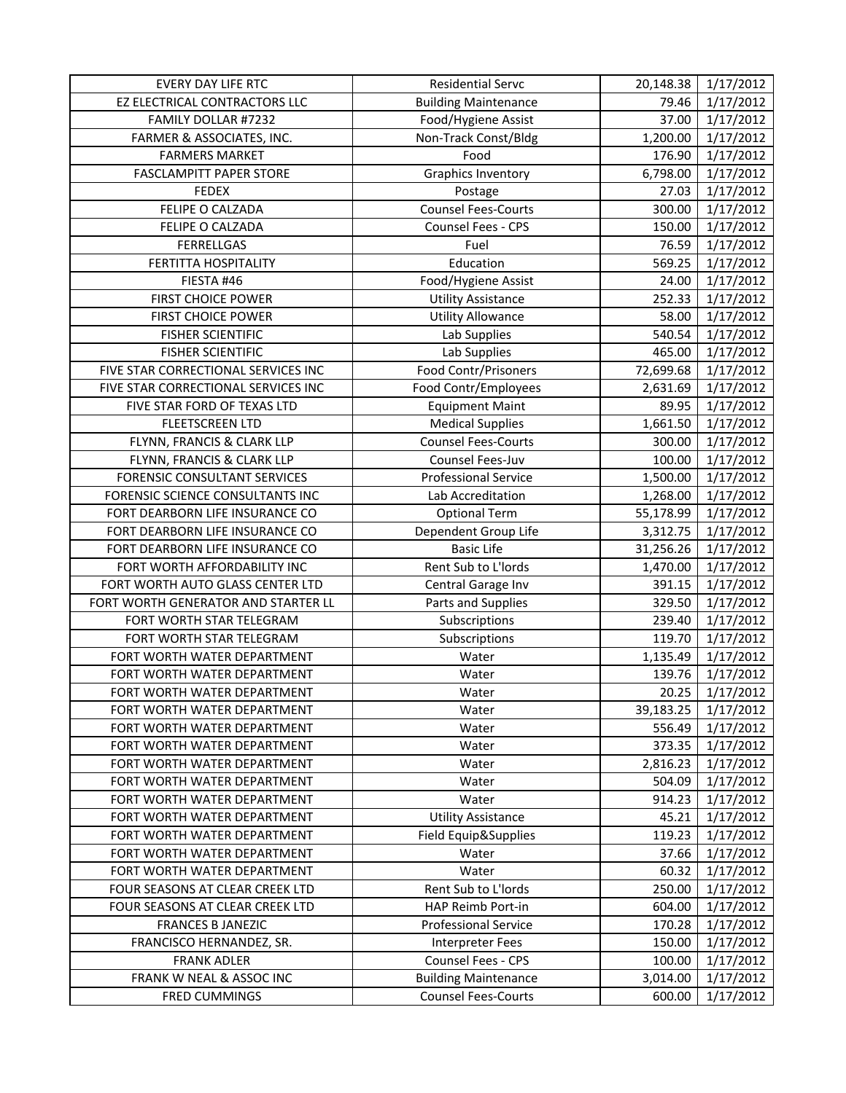| <b>EVERY DAY LIFE RTC</b>           | <b>Residential Servc</b>    | 20,148.38 | 1/17/2012 |
|-------------------------------------|-----------------------------|-----------|-----------|
| EZ ELECTRICAL CONTRACTORS LLC       | <b>Building Maintenance</b> | 79.46     | 1/17/2012 |
| FAMILY DOLLAR #7232                 | Food/Hygiene Assist         | 37.00     | 1/17/2012 |
| FARMER & ASSOCIATES, INC.           | Non-Track Const/Bldg        | 1,200.00  | 1/17/2012 |
| <b>FARMERS MARKET</b>               | Food                        | 176.90    | 1/17/2012 |
| <b>FASCLAMPITT PAPER STORE</b>      | <b>Graphics Inventory</b>   | 6,798.00  | 1/17/2012 |
| <b>FEDEX</b>                        | Postage                     | 27.03     | 1/17/2012 |
| FELIPE O CALZADA                    | <b>Counsel Fees-Courts</b>  | 300.00    | 1/17/2012 |
| FELIPE O CALZADA                    | Counsel Fees - CPS          | 150.00    | 1/17/2012 |
| <b>FERRELLGAS</b>                   | Fuel                        | 76.59     | 1/17/2012 |
| <b>FERTITTA HOSPITALITY</b>         | Education                   | 569.25    | 1/17/2012 |
| FIESTA #46                          | Food/Hygiene Assist         | 24.00     | 1/17/2012 |
| <b>FIRST CHOICE POWER</b>           | <b>Utility Assistance</b>   | 252.33    | 1/17/2012 |
| <b>FIRST CHOICE POWER</b>           | Utility Allowance           | 58.00     | 1/17/2012 |
| <b>FISHER SCIENTIFIC</b>            | Lab Supplies                | 540.54    | 1/17/2012 |
| <b>FISHER SCIENTIFIC</b>            | Lab Supplies                | 465.00    | 1/17/2012 |
| FIVE STAR CORRECTIONAL SERVICES INC | Food Contr/Prisoners        | 72,699.68 | 1/17/2012 |
| FIVE STAR CORRECTIONAL SERVICES INC | Food Contr/Employees        | 2,631.69  | 1/17/2012 |
| FIVE STAR FORD OF TEXAS LTD         | <b>Equipment Maint</b>      | 89.95     | 1/17/2012 |
| <b>FLEETSCREEN LTD</b>              | <b>Medical Supplies</b>     | 1,661.50  | 1/17/2012 |
| FLYNN, FRANCIS & CLARK LLP          | <b>Counsel Fees-Courts</b>  | 300.00    | 1/17/2012 |
| FLYNN, FRANCIS & CLARK LLP          | Counsel Fees-Juv            | 100.00    | 1/17/2012 |
| <b>FORENSIC CONSULTANT SERVICES</b> | <b>Professional Service</b> | 1,500.00  | 1/17/2012 |
| FORENSIC SCIENCE CONSULTANTS INC    | Lab Accreditation           | 1,268.00  | 1/17/2012 |
| FORT DEARBORN LIFE INSURANCE CO     | <b>Optional Term</b>        | 55,178.99 | 1/17/2012 |
| FORT DEARBORN LIFE INSURANCE CO     | Dependent Group Life        | 3,312.75  | 1/17/2012 |
| FORT DEARBORN LIFE INSURANCE CO     | <b>Basic Life</b>           | 31,256.26 | 1/17/2012 |
| FORT WORTH AFFORDABILITY INC        | Rent Sub to L'Iords         | 1,470.00  | 1/17/2012 |
| FORT WORTH AUTO GLASS CENTER LTD    | Central Garage Inv          | 391.15    | 1/17/2012 |
| FORT WORTH GENERATOR AND STARTER LL | Parts and Supplies          | 329.50    | 1/17/2012 |
| FORT WORTH STAR TELEGRAM            | Subscriptions               | 239.40    | 1/17/2012 |
| FORT WORTH STAR TELEGRAM            | Subscriptions               | 119.70    | 1/17/2012 |
| FORT WORTH WATER DEPARTMENT         | Water                       | 1,135.49  | 1/17/2012 |
| FORT WORTH WATER DEPARTMENT         | Water                       | 139.76    | 1/17/2012 |
| FORT WORTH WATER DEPARTMENT         | Water                       | 20.25     | 1/17/2012 |
| FORT WORTH WATER DEPARTMENT         | Water                       | 39,183.25 | 1/17/2012 |
| FORT WORTH WATER DEPARTMENT         | Water                       | 556.49    | 1/17/2012 |
| FORT WORTH WATER DEPARTMENT         | Water                       | 373.35    | 1/17/2012 |
| FORT WORTH WATER DEPARTMENT         | Water                       | 2,816.23  | 1/17/2012 |
| FORT WORTH WATER DEPARTMENT         | Water                       | 504.09    | 1/17/2012 |
| FORT WORTH WATER DEPARTMENT         | Water                       | 914.23    | 1/17/2012 |
| FORT WORTH WATER DEPARTMENT         | <b>Utility Assistance</b>   | 45.21     | 1/17/2012 |
| FORT WORTH WATER DEPARTMENT         | Field Equip&Supplies        | 119.23    | 1/17/2012 |
| FORT WORTH WATER DEPARTMENT         | Water                       | 37.66     | 1/17/2012 |
| FORT WORTH WATER DEPARTMENT         | Water                       | 60.32     | 1/17/2012 |
| FOUR SEASONS AT CLEAR CREEK LTD     | Rent Sub to L'Iords         | 250.00    | 1/17/2012 |
| FOUR SEASONS AT CLEAR CREEK LTD     | HAP Reimb Port-in           | 604.00    | 1/17/2012 |
| <b>FRANCES B JANEZIC</b>            | <b>Professional Service</b> | 170.28    | 1/17/2012 |
| FRANCISCO HERNANDEZ, SR.            | <b>Interpreter Fees</b>     | 150.00    | 1/17/2012 |
| <b>FRANK ADLER</b>                  | Counsel Fees - CPS          | 100.00    | 1/17/2012 |
| FRANK W NEAL & ASSOC INC            | <b>Building Maintenance</b> | 3,014.00  | 1/17/2012 |
| <b>FRED CUMMINGS</b>                | <b>Counsel Fees-Courts</b>  | 600.00    | 1/17/2012 |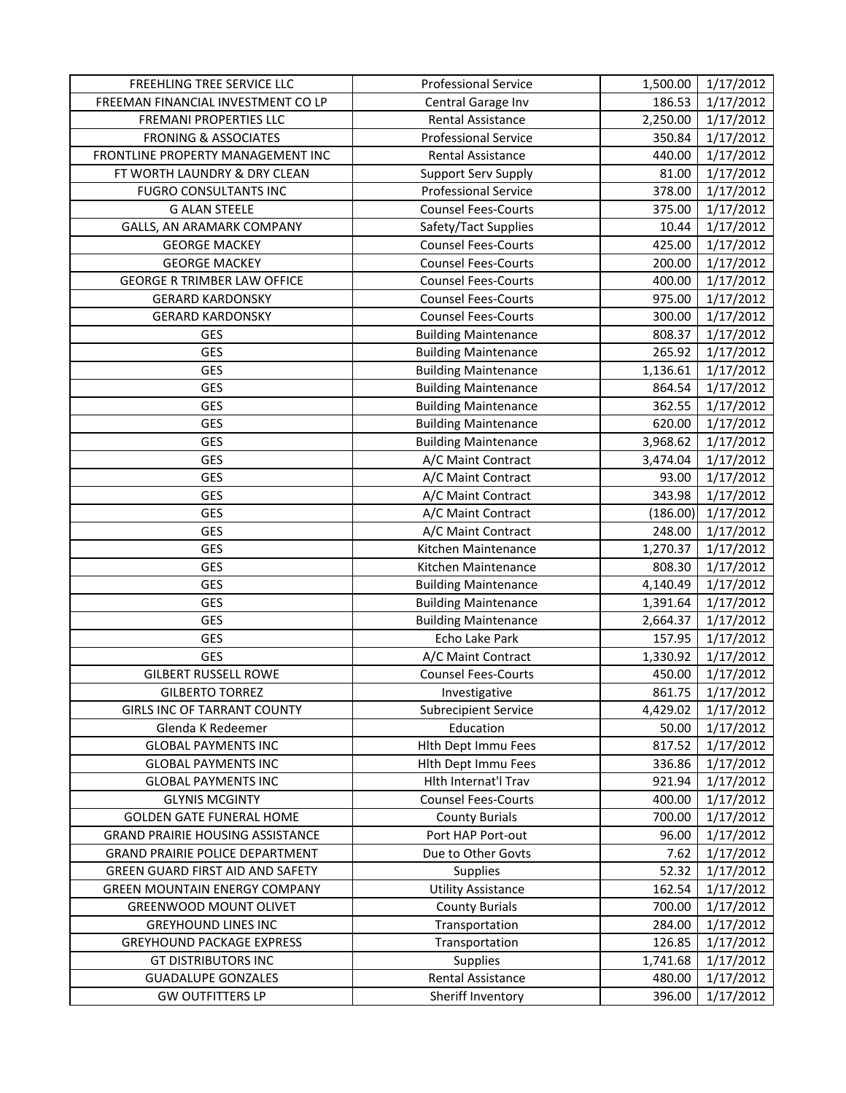| FREEHLING TREE SERVICE LLC              | <b>Professional Service</b> | 1,500.00 | 1/17/2012 |
|-----------------------------------------|-----------------------------|----------|-----------|
| FREEMAN FINANCIAL INVESTMENT CO LP      | Central Garage Inv          | 186.53   | 1/17/2012 |
| FREMANI PROPERTIES LLC                  | <b>Rental Assistance</b>    | 2,250.00 | 1/17/2012 |
| <b>FRONING &amp; ASSOCIATES</b>         | <b>Professional Service</b> | 350.84   | 1/17/2012 |
| FRONTLINE PROPERTY MANAGEMENT INC       | Rental Assistance           | 440.00   | 1/17/2012 |
| FT WORTH LAUNDRY & DRY CLEAN            | <b>Support Serv Supply</b>  | 81.00    | 1/17/2012 |
| <b>FUGRO CONSULTANTS INC</b>            | <b>Professional Service</b> | 378.00   | 1/17/2012 |
| <b>G ALAN STEELE</b>                    | <b>Counsel Fees-Courts</b>  | 375.00   | 1/17/2012 |
| GALLS, AN ARAMARK COMPANY               | Safety/Tact Supplies        | 10.44    | 1/17/2012 |
| <b>GEORGE MACKEY</b>                    | <b>Counsel Fees-Courts</b>  | 425.00   | 1/17/2012 |
| <b>GEORGE MACKEY</b>                    | <b>Counsel Fees-Courts</b>  | 200.00   | 1/17/2012 |
| <b>GEORGE R TRIMBER LAW OFFICE</b>      | <b>Counsel Fees-Courts</b>  | 400.00   | 1/17/2012 |
| <b>GERARD KARDONSKY</b>                 | <b>Counsel Fees-Courts</b>  | 975.00   | 1/17/2012 |
| <b>GERARD KARDONSKY</b>                 | <b>Counsel Fees-Courts</b>  | 300.00   | 1/17/2012 |
| <b>GES</b>                              | <b>Building Maintenance</b> | 808.37   | 1/17/2012 |
| <b>GES</b>                              | <b>Building Maintenance</b> | 265.92   | 1/17/2012 |
| <b>GES</b>                              | <b>Building Maintenance</b> | 1,136.61 | 1/17/2012 |
| <b>GES</b>                              | <b>Building Maintenance</b> | 864.54   | 1/17/2012 |
| <b>GES</b>                              | <b>Building Maintenance</b> | 362.55   | 1/17/2012 |
| <b>GES</b>                              | <b>Building Maintenance</b> | 620.00   | 1/17/2012 |
| <b>GES</b>                              | <b>Building Maintenance</b> | 3,968.62 | 1/17/2012 |
| <b>GES</b>                              | A/C Maint Contract          | 3,474.04 | 1/17/2012 |
| <b>GES</b>                              | A/C Maint Contract          | 93.00    | 1/17/2012 |
| <b>GES</b>                              | A/C Maint Contract          | 343.98   | 1/17/2012 |
| <b>GES</b>                              | A/C Maint Contract          | (186.00) | 1/17/2012 |
| <b>GES</b>                              | A/C Maint Contract          | 248.00   | 1/17/2012 |
| <b>GES</b>                              | Kitchen Maintenance         | 1,270.37 | 1/17/2012 |
| <b>GES</b>                              | Kitchen Maintenance         | 808.30   | 1/17/2012 |
| <b>GES</b>                              | <b>Building Maintenance</b> | 4,140.49 | 1/17/2012 |
| <b>GES</b>                              | <b>Building Maintenance</b> | 1,391.64 | 1/17/2012 |
| <b>GES</b>                              | <b>Building Maintenance</b> | 2,664.37 | 1/17/2012 |
| <b>GES</b>                              | Echo Lake Park              | 157.95   | 1/17/2012 |
| <b>GES</b>                              | A/C Maint Contract          | 1,330.92 | 1/17/2012 |
| <b>GILBERT RUSSELL ROWE</b>             | <b>Counsel Fees-Courts</b>  | 450.00   | 1/17/2012 |
| <b>GILBERTO TORREZ</b>                  | Investigative               | 861.75   | 1/17/2012 |
| <b>GIRLS INC OF TARRANT COUNTY</b>      | <b>Subrecipient Service</b> | 4,429.02 | 1/17/2012 |
| Glenda K Redeemer                       | Education                   | 50.00    | 1/17/2012 |
| <b>GLOBAL PAYMENTS INC</b>              | Hith Dept Immu Fees         | 817.52   | 1/17/2012 |
| <b>GLOBAL PAYMENTS INC</b>              | Hith Dept Immu Fees         | 336.86   | 1/17/2012 |
| <b>GLOBAL PAYMENTS INC</b>              | Hith Internat'l Trav        | 921.94   | 1/17/2012 |
| <b>GLYNIS MCGINTY</b>                   | <b>Counsel Fees-Courts</b>  | 400.00   | 1/17/2012 |
| <b>GOLDEN GATE FUNERAL HOME</b>         | <b>County Burials</b>       | 700.00   | 1/17/2012 |
| <b>GRAND PRAIRIE HOUSING ASSISTANCE</b> | Port HAP Port-out           | 96.00    | 1/17/2012 |
| <b>GRAND PRAIRIE POLICE DEPARTMENT</b>  | Due to Other Govts          | 7.62     | 1/17/2012 |
| GREEN GUARD FIRST AID AND SAFETY        | <b>Supplies</b>             | 52.32    | 1/17/2012 |
| <b>GREEN MOUNTAIN ENERGY COMPANY</b>    | <b>Utility Assistance</b>   | 162.54   | 1/17/2012 |
| <b>GREENWOOD MOUNT OLIVET</b>           | <b>County Burials</b>       | 700.00   | 1/17/2012 |
| <b>GREYHOUND LINES INC</b>              | Transportation              | 284.00   | 1/17/2012 |
| <b>GREYHOUND PACKAGE EXPRESS</b>        | Transportation              | 126.85   | 1/17/2012 |
| <b>GT DISTRIBUTORS INC</b>              | Supplies                    | 1,741.68 | 1/17/2012 |
| <b>GUADALUPE GONZALES</b>               | Rental Assistance           | 480.00   | 1/17/2012 |
| <b>GW OUTFITTERS LP</b>                 | Sheriff Inventory           | 396.00   | 1/17/2012 |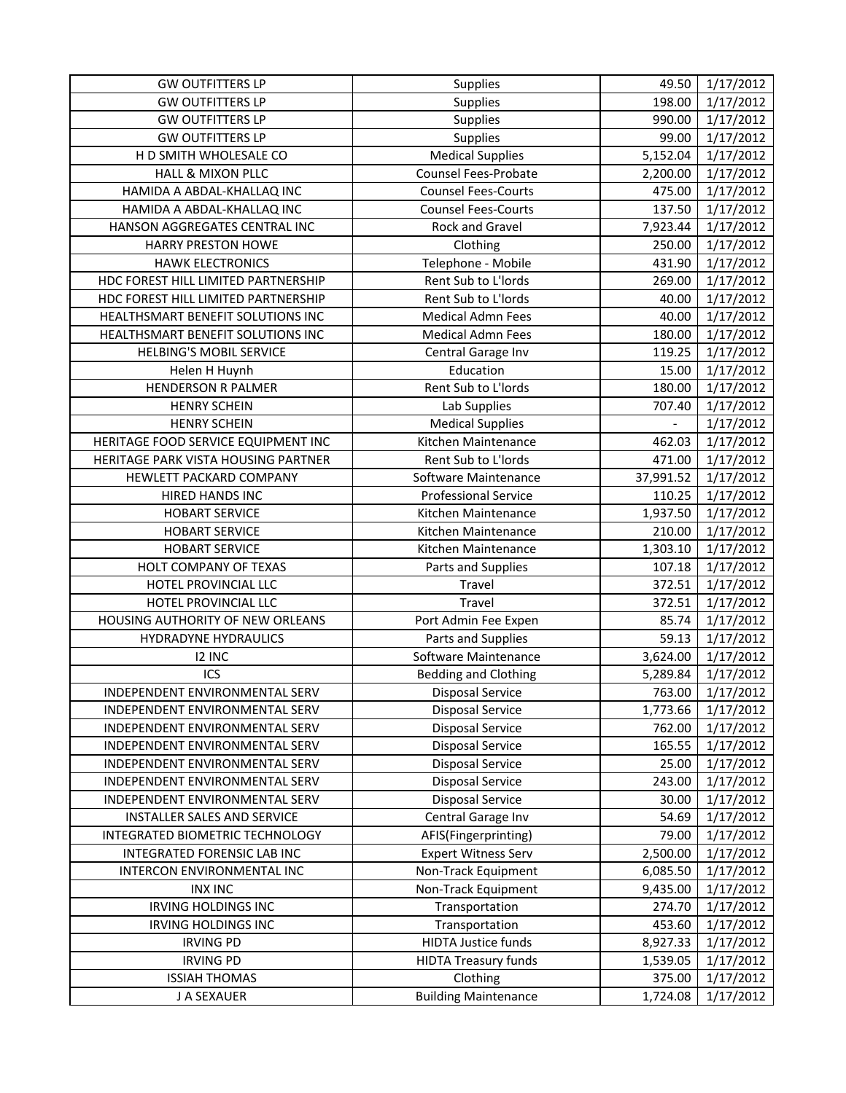| <b>GW OUTFITTERS LP</b>             | Supplies                    | 49.50                   | 1/17/2012 |
|-------------------------------------|-----------------------------|-------------------------|-----------|
| <b>GW OUTFITTERS LP</b>             | Supplies                    | 198.00                  | 1/17/2012 |
| <b>GW OUTFITTERS LP</b>             | Supplies                    | 990.00                  | 1/17/2012 |
| <b>GW OUTFITTERS LP</b>             | Supplies                    | 99.00                   | 1/17/2012 |
| H D SMITH WHOLESALE CO              | <b>Medical Supplies</b>     | $\overline{5}$ , 152.04 | 1/17/2012 |
| <b>HALL &amp; MIXON PLLC</b>        | <b>Counsel Fees-Probate</b> | 2,200.00                | 1/17/2012 |
| HAMIDA A ABDAL-KHALLAQ INC          | <b>Counsel Fees-Courts</b>  | 475.00                  | 1/17/2012 |
| HAMIDA A ABDAL-KHALLAQ INC          | <b>Counsel Fees-Courts</b>  | 137.50                  | 1/17/2012 |
| HANSON AGGREGATES CENTRAL INC       | Rock and Gravel             | 7,923.44                | 1/17/2012 |
| HARRY PRESTON HOWE                  | Clothing                    | 250.00                  | 1/17/2012 |
| <b>HAWK ELECTRONICS</b>             | Telephone - Mobile          | 431.90                  | 1/17/2012 |
| HDC FOREST HILL LIMITED PARTNERSHIP | Rent Sub to L'Iords         | 269.00                  | 1/17/2012 |
| HDC FOREST HILL LIMITED PARTNERSHIP | Rent Sub to L'Iords         | 40.00                   | 1/17/2012 |
| HEALTHSMART BENEFIT SOLUTIONS INC   | <b>Medical Admn Fees</b>    | 40.00                   | 1/17/2012 |
| HEALTHSMART BENEFIT SOLUTIONS INC   | <b>Medical Admn Fees</b>    | 180.00                  | 1/17/2012 |
| <b>HELBING'S MOBIL SERVICE</b>      | Central Garage Inv          | 119.25                  | 1/17/2012 |
| Helen H Huynh                       | Education                   | 15.00                   | 1/17/2012 |
| <b>HENDERSON R PALMER</b>           | Rent Sub to L'Iords         | 180.00                  | 1/17/2012 |
| <b>HENRY SCHEIN</b>                 | Lab Supplies                | 707.40                  | 1/17/2012 |
| <b>HENRY SCHEIN</b>                 | <b>Medical Supplies</b>     |                         | 1/17/2012 |
| HERITAGE FOOD SERVICE EQUIPMENT INC | Kitchen Maintenance         | 462.03                  | 1/17/2012 |
| HERITAGE PARK VISTA HOUSING PARTNER | Rent Sub to L'Iords         | 471.00                  | 1/17/2012 |
| HEWLETT PACKARD COMPANY             | Software Maintenance        | 37,991.52               | 1/17/2012 |
| HIRED HANDS INC                     | <b>Professional Service</b> | 110.25                  | 1/17/2012 |
| <b>HOBART SERVICE</b>               | Kitchen Maintenance         | 1,937.50                | 1/17/2012 |
| <b>HOBART SERVICE</b>               | Kitchen Maintenance         | 210.00                  | 1/17/2012 |
| <b>HOBART SERVICE</b>               | Kitchen Maintenance         | 1,303.10                | 1/17/2012 |
| HOLT COMPANY OF TEXAS               | Parts and Supplies          | 107.18                  | 1/17/2012 |
| HOTEL PROVINCIAL LLC                | Travel                      | 372.51                  | 1/17/2012 |
| HOTEL PROVINCIAL LLC                | Travel                      | 372.51                  | 1/17/2012 |
| HOUSING AUTHORITY OF NEW ORLEANS    | Port Admin Fee Expen        | 85.74                   | 1/17/2012 |
| <b>HYDRADYNE HYDRAULICS</b>         | Parts and Supplies          | 59.13                   | 1/17/2012 |
| 12 INC                              | Software Maintenance        | 3,624.00                | 1/17/2012 |
| ICS                                 | <b>Bedding and Clothing</b> | 5,289.84                | 1/17/2012 |
| INDEPENDENT ENVIRONMENTAL SERV      | <b>Disposal Service</b>     | 763.00                  | 1/17/2012 |
| INDEPENDENT ENVIRONMENTAL SERV      | <b>Disposal Service</b>     | 1,773.66                | 1/17/2012 |
| INDEPENDENT ENVIRONMENTAL SERV      | Disposal Service            | 762.00                  | 1/17/2012 |
| INDEPENDENT ENVIRONMENTAL SERV      | <b>Disposal Service</b>     | 165.55                  | 1/17/2012 |
| INDEPENDENT ENVIRONMENTAL SERV      | Disposal Service            | 25.00                   | 1/17/2012 |
| INDEPENDENT ENVIRONMENTAL SERV      | <b>Disposal Service</b>     | 243.00                  | 1/17/2012 |
| INDEPENDENT ENVIRONMENTAL SERV      | <b>Disposal Service</b>     | 30.00                   | 1/17/2012 |
| INSTALLER SALES AND SERVICE         | Central Garage Inv          | 54.69                   | 1/17/2012 |
| INTEGRATED BIOMETRIC TECHNOLOGY     | AFIS(Fingerprinting)        | 79.00                   | 1/17/2012 |
| INTEGRATED FORENSIC LAB INC         | <b>Expert Witness Serv</b>  | 2,500.00                | 1/17/2012 |
| INTERCON ENVIRONMENTAL INC          | Non-Track Equipment         | 6,085.50                | 1/17/2012 |
| <b>INX INC</b>                      | Non-Track Equipment         | 9,435.00                | 1/17/2012 |
| <b>IRVING HOLDINGS INC</b>          | Transportation              | 274.70                  | 1/17/2012 |
| <b>IRVING HOLDINGS INC</b>          | Transportation              | 453.60                  | 1/17/2012 |
| <b>IRVING PD</b>                    | <b>HIDTA Justice funds</b>  | 8,927.33                | 1/17/2012 |
| <b>IRVING PD</b>                    | <b>HIDTA Treasury funds</b> | 1,539.05                | 1/17/2012 |
| <b>ISSIAH THOMAS</b>                | Clothing                    | 375.00                  | 1/17/2012 |
| J A SEXAUER                         | <b>Building Maintenance</b> | 1,724.08                | 1/17/2012 |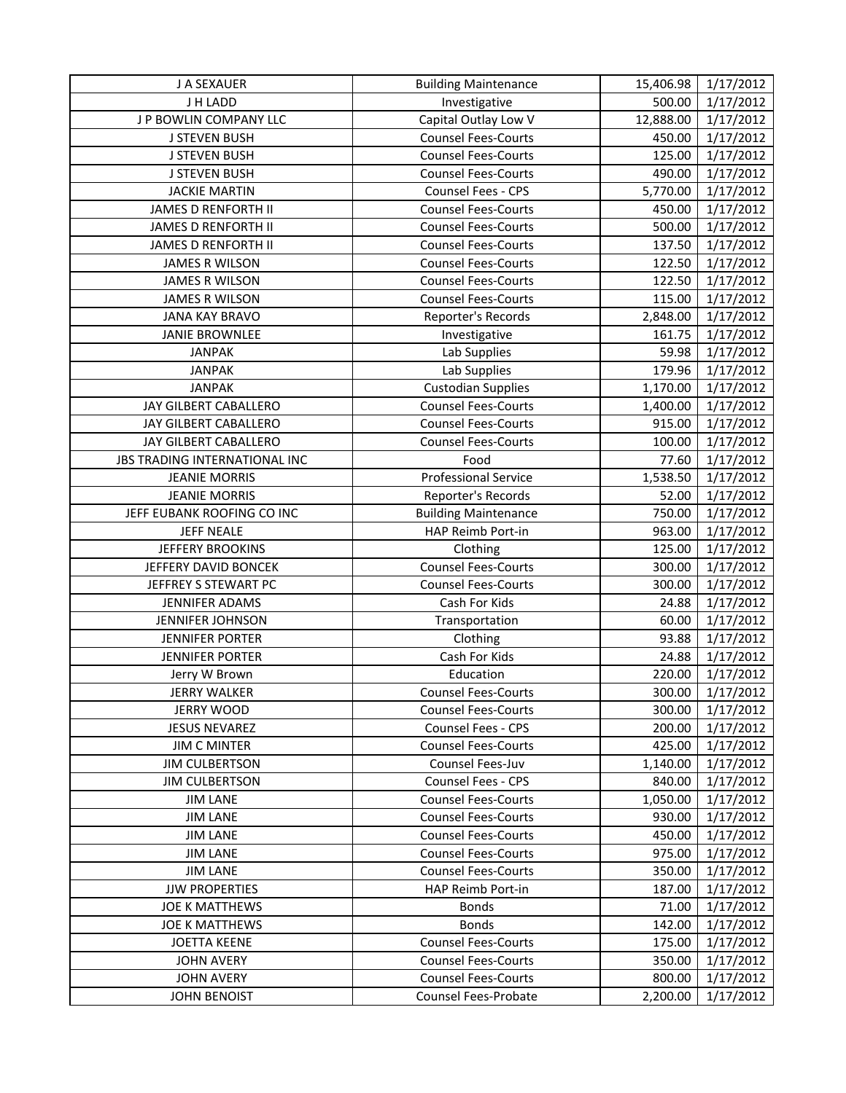| J A SEXAUER                          | <b>Building Maintenance</b> | 15,406.98 | 1/17/2012 |
|--------------------------------------|-----------------------------|-----------|-----------|
| J H LADD                             | Investigative               | 500.00    | 1/17/2012 |
| J P BOWLIN COMPANY LLC               | Capital Outlay Low V        | 12,888.00 | 1/17/2012 |
| <b>J STEVEN BUSH</b>                 | <b>Counsel Fees-Courts</b>  | 450.00    | 1/17/2012 |
| <b>J STEVEN BUSH</b>                 | <b>Counsel Fees-Courts</b>  | 125.00    | 1/17/2012 |
| <b>J STEVEN BUSH</b>                 | <b>Counsel Fees-Courts</b>  | 490.00    | 1/17/2012 |
| <b>JACKIE MARTIN</b>                 | Counsel Fees - CPS          | 5,770.00  | 1/17/2012 |
| JAMES D RENFORTH II                  | <b>Counsel Fees-Courts</b>  | 450.00    | 1/17/2012 |
| <b>JAMES D RENFORTH II</b>           | <b>Counsel Fees-Courts</b>  | 500.00    | 1/17/2012 |
| <b>JAMES D RENFORTH II</b>           | <b>Counsel Fees-Courts</b>  | 137.50    | 1/17/2012 |
| <b>JAMES R WILSON</b>                | <b>Counsel Fees-Courts</b>  | 122.50    | 1/17/2012 |
| <b>JAMES R WILSON</b>                | <b>Counsel Fees-Courts</b>  | 122.50    | 1/17/2012 |
| <b>JAMES R WILSON</b>                | <b>Counsel Fees-Courts</b>  | 115.00    | 1/17/2012 |
| <b>JANA KAY BRAVO</b>                | Reporter's Records          | 2,848.00  | 1/17/2012 |
| <b>JANIE BROWNLEE</b>                | Investigative               | 161.75    | 1/17/2012 |
| <b>JANPAK</b>                        | Lab Supplies                | 59.98     | 1/17/2012 |
| <b>JANPAK</b>                        | Lab Supplies                | 179.96    | 1/17/2012 |
| <b>JANPAK</b>                        | <b>Custodian Supplies</b>   | 1,170.00  | 1/17/2012 |
| JAY GILBERT CABALLERO                | Counsel Fees-Courts         | 1,400.00  | 1/17/2012 |
| JAY GILBERT CABALLERO                | <b>Counsel Fees-Courts</b>  | 915.00    | 1/17/2012 |
| JAY GILBERT CABALLERO                | <b>Counsel Fees-Courts</b>  | 100.00    | 1/17/2012 |
| <b>JBS TRADING INTERNATIONAL INC</b> | Food                        | 77.60     | 1/17/2012 |
| <b>JEANIE MORRIS</b>                 | <b>Professional Service</b> | 1,538.50  | 1/17/2012 |
| <b>JEANIE MORRIS</b>                 | Reporter's Records          | 52.00     | 1/17/2012 |
| JEFF EUBANK ROOFING CO INC           | <b>Building Maintenance</b> | 750.00    | 1/17/2012 |
| <b>JEFF NEALE</b>                    | HAP Reimb Port-in           | 963.00    | 1/17/2012 |
| <b>JEFFERY BROOKINS</b>              | Clothing                    | 125.00    | 1/17/2012 |
| JEFFERY DAVID BONCEK                 | Counsel Fees-Courts         | 300.00    | 1/17/2012 |
| JEFFREY S STEWART PC                 | <b>Counsel Fees-Courts</b>  | 300.00    | 1/17/2012 |
| <b>JENNIFER ADAMS</b>                | Cash For Kids               | 24.88     | 1/17/2012 |
| <b>JENNIFER JOHNSON</b>              | Transportation              | 60.00     | 1/17/2012 |
| <b>JENNIFER PORTER</b>               | Clothing                    | 93.88     | 1/17/2012 |
| <b>JENNIFER PORTER</b>               | Cash For Kids               | 24.88     | 1/17/2012 |
| Jerry W Brown                        | Education                   | 220.00    | 1/17/2012 |
| <b>JERRY WALKER</b>                  | <b>Counsel Fees-Courts</b>  | 300.00    | 1/17/2012 |
| <b>JERRY WOOD</b>                    | <b>Counsel Fees-Courts</b>  | 300.00    | 1/17/2012 |
| <b>JESUS NEVAREZ</b>                 | Counsel Fees - CPS          | 200.00    | 1/17/2012 |
| <b>JIM C MINTER</b>                  | <b>Counsel Fees-Courts</b>  | 425.00    | 1/17/2012 |
| <b>JIM CULBERTSON</b>                | Counsel Fees-Juv            | 1,140.00  | 1/17/2012 |
| <b>JIM CULBERTSON</b>                | Counsel Fees - CPS          | 840.00    | 1/17/2012 |
| <b>JIM LANE</b>                      | <b>Counsel Fees-Courts</b>  | 1,050.00  | 1/17/2012 |
| <b>JIM LANE</b>                      | <b>Counsel Fees-Courts</b>  | 930.00    | 1/17/2012 |
| <b>JIM LANE</b>                      | <b>Counsel Fees-Courts</b>  | 450.00    | 1/17/2012 |
| <b>JIM LANE</b>                      | <b>Counsel Fees-Courts</b>  | 975.00    | 1/17/2012 |
| <b>JIM LANE</b>                      | <b>Counsel Fees-Courts</b>  | 350.00    | 1/17/2012 |
| <b>JJW PROPERTIES</b>                | HAP Reimb Port-in           | 187.00    | 1/17/2012 |
| <b>JOE K MATTHEWS</b>                | <b>Bonds</b>                | 71.00     | 1/17/2012 |
| <b>JOE K MATTHEWS</b>                | <b>Bonds</b>                | 142.00    | 1/17/2012 |
| <b>JOETTA KEENE</b>                  | <b>Counsel Fees-Courts</b>  | 175.00    | 1/17/2012 |
| <b>JOHN AVERY</b>                    | <b>Counsel Fees-Courts</b>  | 350.00    | 1/17/2012 |
| <b>JOHN AVERY</b>                    | <b>Counsel Fees-Courts</b>  | 800.00    | 1/17/2012 |
| <b>JOHN BENOIST</b>                  | <b>Counsel Fees-Probate</b> | 2,200.00  | 1/17/2012 |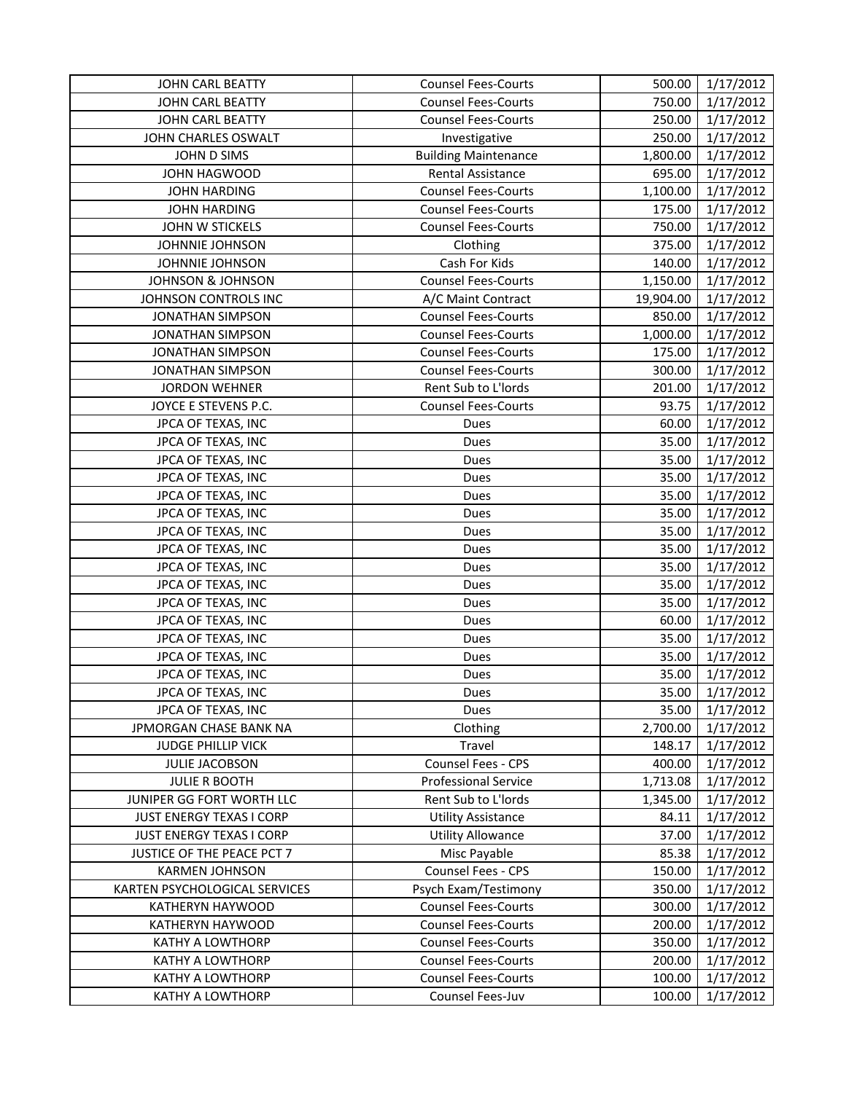| JOHN CARL BEATTY                | <b>Counsel Fees-Courts</b>  | 500.00    | 1/17/2012       |
|---------------------------------|-----------------------------|-----------|-----------------|
| JOHN CARL BEATTY                | <b>Counsel Fees-Courts</b>  | 750.00    | 1/17/2012       |
| JOHN CARL BEATTY                | <b>Counsel Fees-Courts</b>  | 250.00    | 1/17/2012       |
| JOHN CHARLES OSWALT             | Investigative               | 250.00    | 1/17/2012       |
| JOHN D SIMS                     | <b>Building Maintenance</b> | 1,800.00  | 1/17/2012       |
| JOHN HAGWOOD                    | Rental Assistance           | 695.00    | 1/17/2012       |
| <b>JOHN HARDING</b>             | <b>Counsel Fees-Courts</b>  | 1,100.00  | 1/17/2012       |
| <b>JOHN HARDING</b>             | <b>Counsel Fees-Courts</b>  | 175.00    | 1/17/2012       |
| JOHN W STICKELS                 | <b>Counsel Fees-Courts</b>  | 750.00    | 1/17/2012       |
| JOHNNIE JOHNSON                 | Clothing                    | 375.00    | 1/17/2012       |
| <b>JOHNNIE JOHNSON</b>          | Cash For Kids               | 140.00    | 1/17/2012       |
| <b>JOHNSON &amp; JOHNSON</b>    | <b>Counsel Fees-Courts</b>  | 1,150.00  | 1/17/2012       |
| JOHNSON CONTROLS INC            | A/C Maint Contract          | 19,904.00 | 1/17/2012       |
| <b>JONATHAN SIMPSON</b>         | <b>Counsel Fees-Courts</b>  | 850.00    | 1/17/2012       |
| <b>JONATHAN SIMPSON</b>         | <b>Counsel Fees-Courts</b>  | 1,000.00  | 1/17/2012       |
| <b>JONATHAN SIMPSON</b>         | <b>Counsel Fees-Courts</b>  | 175.00    | 1/17/2012       |
| <b>JONATHAN SIMPSON</b>         | <b>Counsel Fees-Courts</b>  | 300.00    | 1/17/2012       |
| <b>JORDON WEHNER</b>            | Rent Sub to L'Iords         | 201.00    | 1/17/2012       |
| JOYCE E STEVENS P.C.            | <b>Counsel Fees-Courts</b>  | 93.75     | 1/17/2012       |
| JPCA OF TEXAS, INC              | Dues                        | 60.00     | 1/17/2012       |
| JPCA OF TEXAS, INC              | Dues                        | 35.00     | 1/17/2012       |
| JPCA OF TEXAS, INC              | Dues                        | 35.00     | 1/17/2012       |
| JPCA OF TEXAS, INC              | Dues                        | 35.00     | 1/17/2012       |
| JPCA OF TEXAS, INC              | Dues                        | 35.00     | 1/17/2012       |
| JPCA OF TEXAS, INC              | Dues                        | 35.00     | 1/17/2012       |
| JPCA OF TEXAS, INC              | Dues                        | 35.00     | 1/17/2012       |
| JPCA OF TEXAS, INC              | Dues                        | 35.00     | 1/17/2012       |
| JPCA OF TEXAS, INC              | Dues                        | 35.00     | 1/17/2012       |
| JPCA OF TEXAS, INC              | Dues                        | 35.00     | 1/17/2012       |
| JPCA OF TEXAS, INC              | Dues                        | 35.00     | 1/17/2012       |
| JPCA OF TEXAS, INC              | Dues                        | 60.00     | 1/17/2012       |
| JPCA OF TEXAS, INC              | Dues                        | 35.00     | 1/17/2012       |
| JPCA OF TEXAS, INC              | Dues                        | 35.00     | 1/17/2012       |
| JPCA OF TEXAS, INC              | Dues                        | 35.00     | 1/17/2012       |
| JPCA OF TEXAS, INC              | Dues                        |           | 35.00 1/17/2012 |
| JPCA OF TEXAS, INC              | Dues                        | 35.00     | 1/17/2012       |
| JPMORGAN CHASE BANK NA          | Clothing                    | 2,700.00  | 1/17/2012       |
| <b>JUDGE PHILLIP VICK</b>       | Travel                      | 148.17    | 1/17/2012       |
| <b>JULIE JACOBSON</b>           | Counsel Fees - CPS          | 400.00    | 1/17/2012       |
| <b>JULIE R BOOTH</b>            | <b>Professional Service</b> | 1,713.08  | 1/17/2012       |
| JUNIPER GG FORT WORTH LLC       | Rent Sub to L'Iords         | 1,345.00  | 1/17/2012       |
| <b>JUST ENERGY TEXAS I CORP</b> | <b>Utility Assistance</b>   | 84.11     | 1/17/2012       |
| <b>JUST ENERGY TEXAS I CORP</b> | <b>Utility Allowance</b>    | 37.00     | 1/17/2012       |
| JUSTICE OF THE PEACE PCT 7      | Misc Payable                | 85.38     | 1/17/2012       |
| <b>KARMEN JOHNSON</b>           | Counsel Fees - CPS          | 150.00    | 1/17/2012       |
| KARTEN PSYCHOLOGICAL SERVICES   | Psych Exam/Testimony        | 350.00    | 1/17/2012       |
| KATHERYN HAYWOOD                | <b>Counsel Fees-Courts</b>  | 300.00    | 1/17/2012       |
| KATHERYN HAYWOOD                | <b>Counsel Fees-Courts</b>  | 200.00    | 1/17/2012       |
| KATHY A LOWTHORP                | <b>Counsel Fees-Courts</b>  | 350.00    | 1/17/2012       |
| KATHY A LOWTHORP                | <b>Counsel Fees-Courts</b>  | 200.00    | 1/17/2012       |
| KATHY A LOWTHORP                | <b>Counsel Fees-Courts</b>  | 100.00    | 1/17/2012       |
| KATHY A LOWTHORP                | Counsel Fees-Juv            | 100.00    | 1/17/2012       |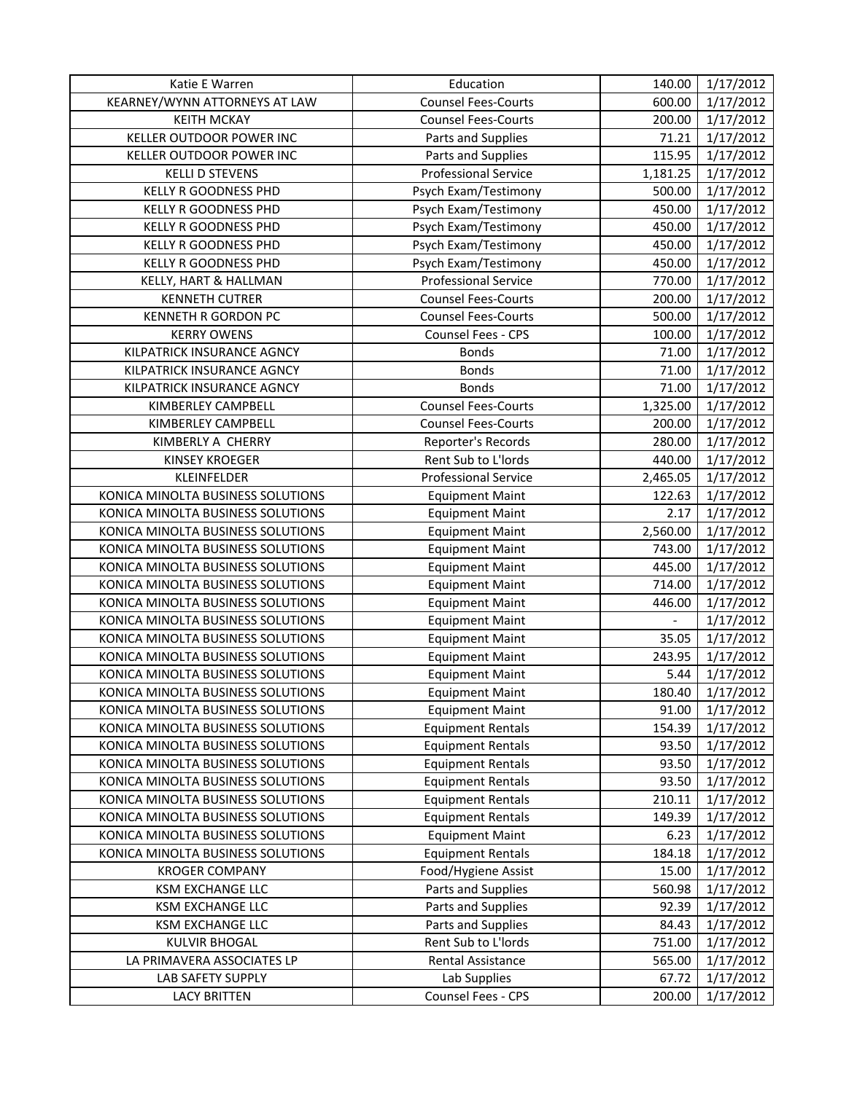| Katie E Warren                    | Education                   | 140.00         | 1/17/2012 |
|-----------------------------------|-----------------------------|----------------|-----------|
| KEARNEY/WYNN ATTORNEYS AT LAW     | <b>Counsel Fees-Courts</b>  | 600.00         | 1/17/2012 |
| <b>KEITH MCKAY</b>                | <b>Counsel Fees-Courts</b>  | 200.00         | 1/17/2012 |
| KELLER OUTDOOR POWER INC          | Parts and Supplies          | 71.21          | 1/17/2012 |
| KELLER OUTDOOR POWER INC          | Parts and Supplies          | 115.95         | 1/17/2012 |
| <b>KELLI D STEVENS</b>            | <b>Professional Service</b> | 1,181.25       | 1/17/2012 |
| <b>KELLY R GOODNESS PHD</b>       | Psych Exam/Testimony        | 500.00         | 1/17/2012 |
| KELLY R GOODNESS PHD              | Psych Exam/Testimony        | 450.00         | 1/17/2012 |
| KELLY R GOODNESS PHD              | Psych Exam/Testimony        | 450.00         | 1/17/2012 |
| KELLY R GOODNESS PHD              | Psych Exam/Testimony        | 450.00         | 1/17/2012 |
| KELLY R GOODNESS PHD              | Psych Exam/Testimony        | 450.00         | 1/17/2012 |
| KELLY, HART & HALLMAN             | <b>Professional Service</b> | 770.00         | 1/17/2012 |
| <b>KENNETH CUTRER</b>             | <b>Counsel Fees-Courts</b>  | 200.00         | 1/17/2012 |
| KENNETH R GORDON PC               | <b>Counsel Fees-Courts</b>  | 500.00         | 1/17/2012 |
| <b>KERRY OWENS</b>                | Counsel Fees - CPS          | 100.00         | 1/17/2012 |
| KILPATRICK INSURANCE AGNCY        | <b>Bonds</b>                | 71.00          | 1/17/2012 |
| KILPATRICK INSURANCE AGNCY        | <b>Bonds</b>                | 71.00          | 1/17/2012 |
| KILPATRICK INSURANCE AGNCY        | <b>Bonds</b>                | 71.00          | 1/17/2012 |
| KIMBERLEY CAMPBELL                | <b>Counsel Fees-Courts</b>  | 1,325.00       | 1/17/2012 |
| KIMBERLEY CAMPBELL                | <b>Counsel Fees-Courts</b>  | 200.00         | 1/17/2012 |
| KIMBERLY A CHERRY                 | Reporter's Records          | 280.00         | 1/17/2012 |
| <b>KINSEY KROEGER</b>             | Rent Sub to L'Iords         | 440.00         | 1/17/2012 |
| KLEINFELDER                       | <b>Professional Service</b> | 2,465.05       | 1/17/2012 |
| KONICA MINOLTA BUSINESS SOLUTIONS | <b>Equipment Maint</b>      | 122.63         | 1/17/2012 |
| KONICA MINOLTA BUSINESS SOLUTIONS | <b>Equipment Maint</b>      | 2.17           | 1/17/2012 |
| KONICA MINOLTA BUSINESS SOLUTIONS | <b>Equipment Maint</b>      | 2,560.00       | 1/17/2012 |
| KONICA MINOLTA BUSINESS SOLUTIONS | <b>Equipment Maint</b>      | 743.00         | 1/17/2012 |
| KONICA MINOLTA BUSINESS SOLUTIONS | <b>Equipment Maint</b>      | 445.00         | 1/17/2012 |
| KONICA MINOLTA BUSINESS SOLUTIONS | <b>Equipment Maint</b>      | 714.00         | 1/17/2012 |
| KONICA MINOLTA BUSINESS SOLUTIONS | <b>Equipment Maint</b>      | 446.00         | 1/17/2012 |
| KONICA MINOLTA BUSINESS SOLUTIONS | <b>Equipment Maint</b>      | $\mathbb{L}^2$ | 1/17/2012 |
| KONICA MINOLTA BUSINESS SOLUTIONS | <b>Equipment Maint</b>      | 35.05          | 1/17/2012 |
| KONICA MINOLTA BUSINESS SOLUTIONS | <b>Equipment Maint</b>      | 243.95         | 1/17/2012 |
| KONICA MINOLTA BUSINESS SOLUTIONS | <b>Equipment Maint</b>      | 5.44           | 1/17/2012 |
| KONICA MINOLTA BUSINESS SOLUTIONS | <b>Equipment Maint</b>      | 180.40         | 1/17/2012 |
| KONICA MINOLTA BUSINESS SOLUTIONS | <b>Equipment Maint</b>      | 91.00          | 1/17/2012 |
| KONICA MINOLTA BUSINESS SOLUTIONS | <b>Equipment Rentals</b>    | 154.39         | 1/17/2012 |
| KONICA MINOLTA BUSINESS SOLUTIONS | <b>Equipment Rentals</b>    | 93.50          | 1/17/2012 |
| KONICA MINOLTA BUSINESS SOLUTIONS | <b>Equipment Rentals</b>    | 93.50          | 1/17/2012 |
| KONICA MINOLTA BUSINESS SOLUTIONS | <b>Equipment Rentals</b>    | 93.50          | 1/17/2012 |
| KONICA MINOLTA BUSINESS SOLUTIONS | <b>Equipment Rentals</b>    | 210.11         | 1/17/2012 |
| KONICA MINOLTA BUSINESS SOLUTIONS | <b>Equipment Rentals</b>    | 149.39         | 1/17/2012 |
| KONICA MINOLTA BUSINESS SOLUTIONS | <b>Equipment Maint</b>      | 6.23           | 1/17/2012 |
| KONICA MINOLTA BUSINESS SOLUTIONS | <b>Equipment Rentals</b>    | 184.18         | 1/17/2012 |
| <b>KROGER COMPANY</b>             | Food/Hygiene Assist         | 15.00          | 1/17/2012 |
| KSM EXCHANGE LLC                  | Parts and Supplies          | 560.98         | 1/17/2012 |
| KSM EXCHANGE LLC                  | Parts and Supplies          | 92.39          | 1/17/2012 |
| KSM EXCHANGE LLC                  | Parts and Supplies          | 84.43          | 1/17/2012 |
| <b>KULVIR BHOGAL</b>              | Rent Sub to L'Iords         | 751.00         | 1/17/2012 |
| LA PRIMAVERA ASSOCIATES LP        | Rental Assistance           | 565.00         | 1/17/2012 |
| LAB SAFETY SUPPLY                 | Lab Supplies                | 67.72          | 1/17/2012 |
| <b>LACY BRITTEN</b>               | Counsel Fees - CPS          | 200.00         | 1/17/2012 |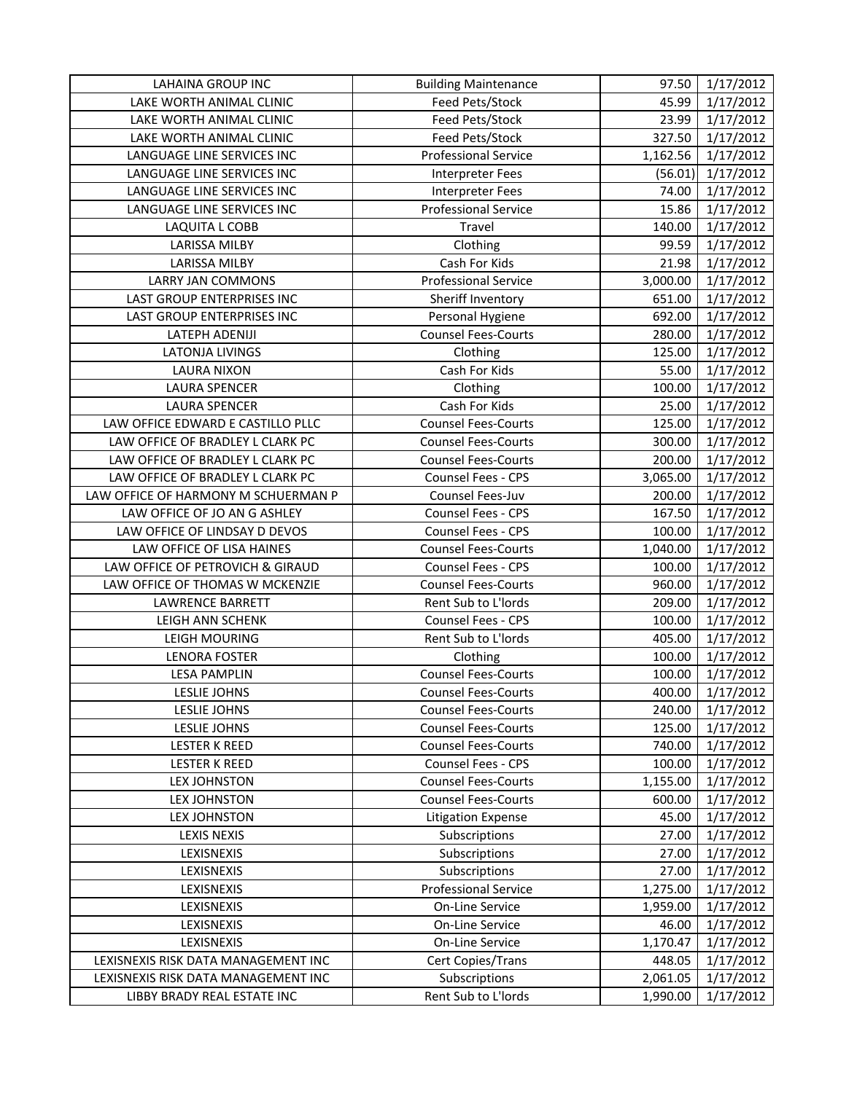| <b>LAHAINA GROUP INC</b>            | <b>Building Maintenance</b> | 97.50    | 1/17/2012 |
|-------------------------------------|-----------------------------|----------|-----------|
| LAKE WORTH ANIMAL CLINIC            | Feed Pets/Stock             | 45.99    | 1/17/2012 |
| LAKE WORTH ANIMAL CLINIC            | Feed Pets/Stock             | 23.99    | 1/17/2012 |
| LAKE WORTH ANIMAL CLINIC            | Feed Pets/Stock             | 327.50   | 1/17/2012 |
| LANGUAGE LINE SERVICES INC          | <b>Professional Service</b> | 1,162.56 | 1/17/2012 |
| LANGUAGE LINE SERVICES INC          | <b>Interpreter Fees</b>     | (56.01)  | 1/17/2012 |
| LANGUAGE LINE SERVICES INC          | Interpreter Fees            | 74.00    | 1/17/2012 |
| LANGUAGE LINE SERVICES INC          | <b>Professional Service</b> | 15.86    | 1/17/2012 |
| LAQUITA L COBB                      | Travel                      | 140.00   | 1/17/2012 |
| <b>LARISSA MILBY</b>                | Clothing                    | 99.59    | 1/17/2012 |
| <b>LARISSA MILBY</b>                | Cash For Kids               | 21.98    | 1/17/2012 |
| <b>LARRY JAN COMMONS</b>            | <b>Professional Service</b> | 3,000.00 | 1/17/2012 |
| LAST GROUP ENTERPRISES INC          | Sheriff Inventory           | 651.00   | 1/17/2012 |
| LAST GROUP ENTERPRISES INC          | Personal Hygiene            | 692.00   | 1/17/2012 |
| LATEPH ADENIJI                      | <b>Counsel Fees-Courts</b>  | 280.00   | 1/17/2012 |
| <b>LATONJA LIVINGS</b>              | Clothing                    | 125.00   | 1/17/2012 |
| <b>LAURA NIXON</b>                  | Cash For Kids               | 55.00    | 1/17/2012 |
| <b>LAURA SPENCER</b>                | Clothing                    | 100.00   | 1/17/2012 |
| <b>LAURA SPENCER</b>                | Cash For Kids               | 25.00    | 1/17/2012 |
| LAW OFFICE EDWARD E CASTILLO PLLC   | <b>Counsel Fees-Courts</b>  | 125.00   | 1/17/2012 |
| LAW OFFICE OF BRADLEY L CLARK PC    | <b>Counsel Fees-Courts</b>  | 300.00   | 1/17/2012 |
| LAW OFFICE OF BRADLEY L CLARK PC    | <b>Counsel Fees-Courts</b>  | 200.00   | 1/17/2012 |
| LAW OFFICE OF BRADLEY L CLARK PC    | <b>Counsel Fees - CPS</b>   | 3,065.00 | 1/17/2012 |
| LAW OFFICE OF HARMONY M SCHUERMAN P | Counsel Fees-Juv            | 200.00   | 1/17/2012 |
| LAW OFFICE OF JO AN G ASHLEY        | Counsel Fees - CPS          | 167.50   | 1/17/2012 |
| LAW OFFICE OF LINDSAY D DEVOS       | Counsel Fees - CPS          | 100.00   | 1/17/2012 |
| LAW OFFICE OF LISA HAINES           | <b>Counsel Fees-Courts</b>  | 1,040.00 | 1/17/2012 |
| LAW OFFICE OF PETROVICH & GIRAUD    | Counsel Fees - CPS          | 100.00   | 1/17/2012 |
| LAW OFFICE OF THOMAS W MCKENZIE     | <b>Counsel Fees-Courts</b>  | 960.00   | 1/17/2012 |
| <b>LAWRENCE BARRETT</b>             | Rent Sub to L'Iords         | 209.00   | 1/17/2012 |
| LEIGH ANN SCHENK                    | Counsel Fees - CPS          | 100.00   | 1/17/2012 |
| LEIGH MOURING                       | Rent Sub to L'Iords         | 405.00   | 1/17/2012 |
| <b>LENORA FOSTER</b>                | Clothing                    | 100.00   | 1/17/2012 |
| <b>LESA PAMPLIN</b>                 | <b>Counsel Fees-Courts</b>  | 100.00   | 1/17/2012 |
| LESLIE JOHNS                        | <b>Counsel Fees-Courts</b>  | 400.00   | 1/17/2012 |
| LESLIE JOHNS                        | <b>Counsel Fees-Courts</b>  | 240.00   | 1/17/2012 |
| LESLIE JOHNS                        | <b>Counsel Fees-Courts</b>  | 125.00   | 1/17/2012 |
| <b>LESTER K REED</b>                | <b>Counsel Fees-Courts</b>  | 740.00   | 1/17/2012 |
| <b>LESTER K REED</b>                | Counsel Fees - CPS          | 100.00   | 1/17/2012 |
| LEX JOHNSTON                        | <b>Counsel Fees-Courts</b>  | 1,155.00 | 1/17/2012 |
| <b>LEX JOHNSTON</b>                 | <b>Counsel Fees-Courts</b>  | 600.00   | 1/17/2012 |
| <b>LEX JOHNSTON</b>                 | <b>Litigation Expense</b>   | 45.00    | 1/17/2012 |
| <b>LEXIS NEXIS</b>                  | Subscriptions               | 27.00    | 1/17/2012 |
| LEXISNEXIS                          | Subscriptions               | 27.00    | 1/17/2012 |
| LEXISNEXIS                          | Subscriptions               | 27.00    | 1/17/2012 |
| LEXISNEXIS                          | <b>Professional Service</b> | 1,275.00 | 1/17/2012 |
| LEXISNEXIS                          | On-Line Service             | 1,959.00 | 1/17/2012 |
| LEXISNEXIS                          | On-Line Service             | 46.00    | 1/17/2012 |
| LEXISNEXIS                          | On-Line Service             | 1,170.47 | 1/17/2012 |
| LEXISNEXIS RISK DATA MANAGEMENT INC | Cert Copies/Trans           | 448.05   | 1/17/2012 |
| LEXISNEXIS RISK DATA MANAGEMENT INC | Subscriptions               | 2,061.05 | 1/17/2012 |
| LIBBY BRADY REAL ESTATE INC         | Rent Sub to L'Iords         | 1,990.00 | 1/17/2012 |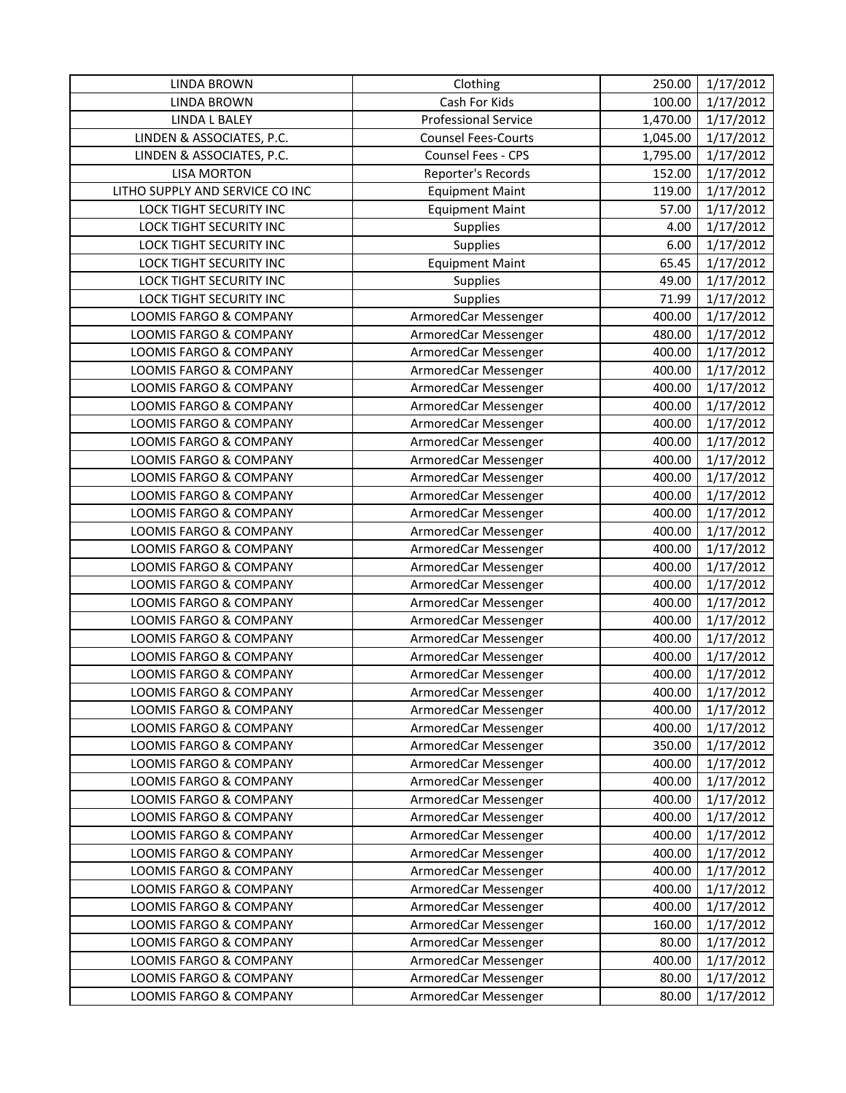| <b>LINDA BROWN</b>                               | Clothing                                     | 250.00         | 1/17/2012              |
|--------------------------------------------------|----------------------------------------------|----------------|------------------------|
| <b>LINDA BROWN</b>                               | Cash For Kids                                | 100.00         | 1/17/2012              |
| <b>LINDA L BALEY</b>                             | <b>Professional Service</b>                  | 1,470.00       | 1/17/2012              |
| LINDEN & ASSOCIATES, P.C.                        | <b>Counsel Fees-Courts</b>                   | 1,045.00       | 1/17/2012              |
| LINDEN & ASSOCIATES, P.C.                        | <b>Counsel Fees - CPS</b>                    | 1,795.00       | 1/17/2012              |
| <b>LISA MORTON</b>                               | Reporter's Records                           | 152.00         | 1/17/2012              |
| LITHO SUPPLY AND SERVICE CO INC                  | <b>Equipment Maint</b>                       | 119.00         | 1/17/2012              |
| LOCK TIGHT SECURITY INC                          | <b>Equipment Maint</b>                       | 57.00          | 1/17/2012              |
| LOCK TIGHT SECURITY INC                          | Supplies                                     | 4.00           | 1/17/2012              |
| LOCK TIGHT SECURITY INC                          | Supplies                                     | 6.00           | 1/17/2012              |
| <b>LOCK TIGHT SECURITY INC</b>                   | <b>Equipment Maint</b>                       | 65.45          | 1/17/2012              |
| LOCK TIGHT SECURITY INC                          | Supplies                                     | 49.00          | 1/17/2012              |
| LOCK TIGHT SECURITY INC                          | Supplies                                     | 71.99          | 1/17/2012              |
| LOOMIS FARGO & COMPANY                           | ArmoredCar Messenger                         | 400.00         | 1/17/2012              |
| LOOMIS FARGO & COMPANY                           | ArmoredCar Messenger                         | 480.00         | 1/17/2012              |
| LOOMIS FARGO & COMPANY                           | ArmoredCar Messenger                         | 400.00         | 1/17/2012              |
| LOOMIS FARGO & COMPANY                           | ArmoredCar Messenger                         | 400.00         | 1/17/2012              |
| <b>LOOMIS FARGO &amp; COMPANY</b>                | ArmoredCar Messenger                         | 400.00         | 1/17/2012              |
| LOOMIS FARGO & COMPANY                           | ArmoredCar Messenger                         | 400.00         | 1/17/2012              |
| LOOMIS FARGO & COMPANY                           | ArmoredCar Messenger                         | 400.00         | 1/17/2012              |
| LOOMIS FARGO & COMPANY                           | ArmoredCar Messenger                         | 400.00         | 1/17/2012              |
| LOOMIS FARGO & COMPANY                           | ArmoredCar Messenger                         | 400.00         | 1/17/2012              |
| LOOMIS FARGO & COMPANY                           | ArmoredCar Messenger                         | 400.00         | 1/17/2012              |
| LOOMIS FARGO & COMPANY                           | ArmoredCar Messenger                         | 400.00         | 1/17/2012              |
| LOOMIS FARGO & COMPANY                           | ArmoredCar Messenger                         | 400.00         | 1/17/2012              |
| LOOMIS FARGO & COMPANY                           | ArmoredCar Messenger                         | 400.00         | 1/17/2012              |
| LOOMIS FARGO & COMPANY                           | ArmoredCar Messenger                         | 400.00         | 1/17/2012              |
| LOOMIS FARGO & COMPANY                           | ArmoredCar Messenger                         | 400.00         | 1/17/2012              |
| LOOMIS FARGO & COMPANY                           | ArmoredCar Messenger                         | 400.00         | 1/17/2012              |
| LOOMIS FARGO & COMPANY                           | ArmoredCar Messenger                         | 400.00         | 1/17/2012              |
| LOOMIS FARGO & COMPANY                           | ArmoredCar Messenger                         | 400.00         | 1/17/2012              |
| LOOMIS FARGO & COMPANY                           | ArmoredCar Messenger                         | 400.00         | 1/17/2012              |
| LOOMIS FARGO & COMPANY                           | ArmoredCar Messenger                         | 400.00         | 1/17/2012              |
| LOOMIS FARGO & COMPANY                           | ArmoredCar Messenger                         | 400.00         | 1/17/2012              |
| LOOMIS FARGO & COMPANY                           | ArmoredCar Messenger                         | 400.00         | 1/17/2012              |
| LOOMIS FARGO & COMPANY                           | ArmoredCar Messenger                         | 400.00         | 1/17/2012              |
| LOOMIS FARGO & COMPANY                           | ArmoredCar Messenger                         | 400.00         | 1/17/2012              |
| LOOMIS FARGO & COMPANY                           | ArmoredCar Messenger                         | 350.00         | 1/17/2012              |
| LOOMIS FARGO & COMPANY                           | ArmoredCar Messenger                         | 400.00         | 1/17/2012              |
| LOOMIS FARGO & COMPANY                           | ArmoredCar Messenger                         | 400.00         | 1/17/2012              |
| <b>LOOMIS FARGO &amp; COMPANY</b>                | ArmoredCar Messenger                         | 400.00         | 1/17/2012              |
| LOOMIS FARGO & COMPANY                           | ArmoredCar Messenger                         | 400.00         | 1/17/2012              |
| LOOMIS FARGO & COMPANY                           | ArmoredCar Messenger                         | 400.00         | 1/17/2012              |
| LOOMIS FARGO & COMPANY                           | ArmoredCar Messenger                         | 400.00         | 1/17/2012              |
| LOOMIS FARGO & COMPANY                           | ArmoredCar Messenger                         | 400.00         | 1/17/2012              |
| LOOMIS FARGO & COMPANY                           | ArmoredCar Messenger                         | 400.00         | 1/17/2012              |
| LOOMIS FARGO & COMPANY                           | ArmoredCar Messenger                         | 400.00         | 1/17/2012              |
| LOOMIS FARGO & COMPANY                           | ArmoredCar Messenger                         | 160.00         | 1/17/2012              |
| LOOMIS FARGO & COMPANY<br>LOOMIS FARGO & COMPANY | ArmoredCar Messenger                         | 80.00          | 1/17/2012              |
| LOOMIS FARGO & COMPANY                           | ArmoredCar Messenger                         | 400.00         | 1/17/2012<br>1/17/2012 |
| LOOMIS FARGO & COMPANY                           | ArmoredCar Messenger<br>ArmoredCar Messenger | 80.00<br>80.00 | 1/17/2012              |
|                                                  |                                              |                |                        |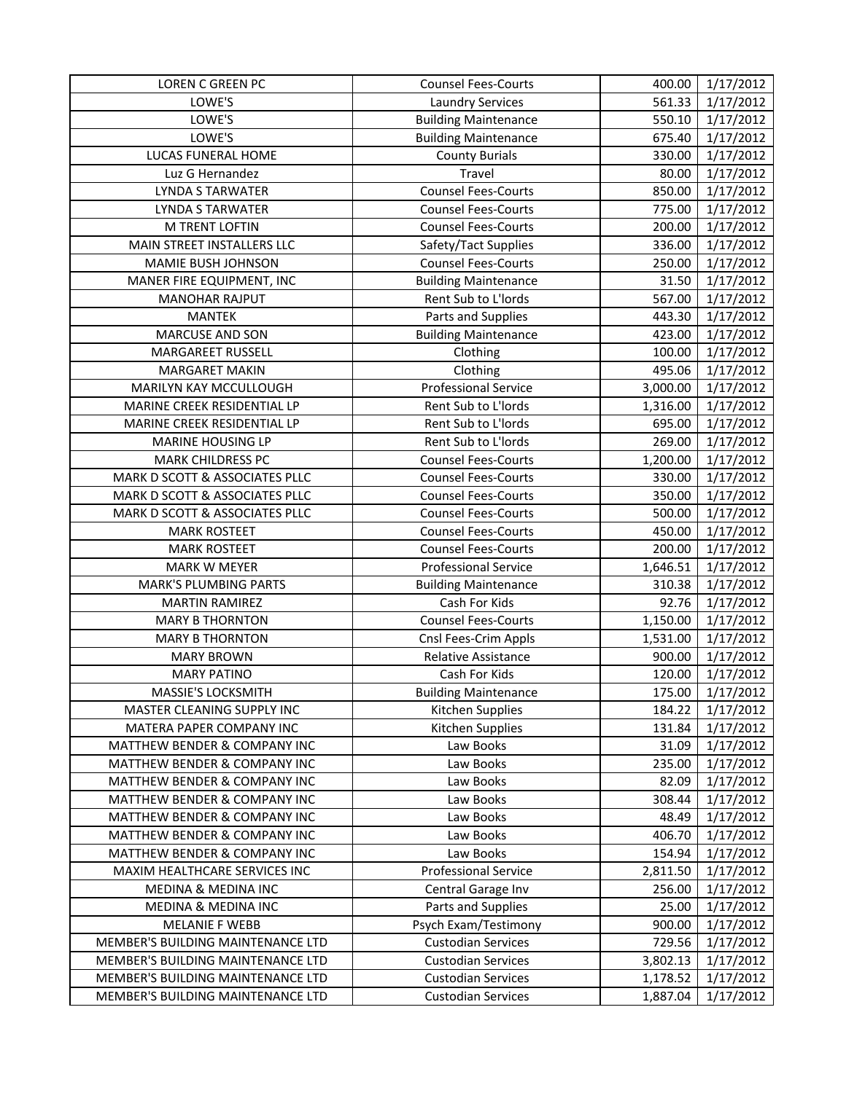| <b>LOREN C GREEN PC</b>                 | <b>Counsel Fees-Courts</b>  | 400.00   | 1/17/2012 |
|-----------------------------------------|-----------------------------|----------|-----------|
| LOWE'S                                  | <b>Laundry Services</b>     | 561.33   | 1/17/2012 |
| LOWE'S                                  | <b>Building Maintenance</b> | 550.10   | 1/17/2012 |
| LOWE'S                                  | <b>Building Maintenance</b> | 675.40   | 1/17/2012 |
| LUCAS FUNERAL HOME                      | <b>County Burials</b>       | 330.00   | 1/17/2012 |
| Luz G Hernandez                         | Travel                      | 80.00    | 1/17/2012 |
| <b>LYNDA S TARWATER</b>                 | <b>Counsel Fees-Courts</b>  | 850.00   | 1/17/2012 |
| <b>LYNDA S TARWATER</b>                 | <b>Counsel Fees-Courts</b>  | 775.00   | 1/17/2012 |
| M TRENT LOFTIN                          | <b>Counsel Fees-Courts</b>  | 200.00   | 1/17/2012 |
| MAIN STREET INSTALLERS LLC              | Safety/Tact Supplies        | 336.00   | 1/17/2012 |
| MAMIE BUSH JOHNSON                      | <b>Counsel Fees-Courts</b>  | 250.00   | 1/17/2012 |
| MANER FIRE EQUIPMENT, INC               | <b>Building Maintenance</b> | 31.50    | 1/17/2012 |
| <b>MANOHAR RAJPUT</b>                   | Rent Sub to L'Iords         | 567.00   | 1/17/2012 |
| <b>MANTEK</b>                           | Parts and Supplies          | 443.30   | 1/17/2012 |
| <b>MARCUSE AND SON</b>                  | <b>Building Maintenance</b> | 423.00   | 1/17/2012 |
| MARGAREET RUSSELL                       | Clothing                    | 100.00   | 1/17/2012 |
| <b>MARGARET MAKIN</b>                   | Clothing                    | 495.06   | 1/17/2012 |
| MARILYN KAY MCCULLOUGH                  | <b>Professional Service</b> | 3,000.00 | 1/17/2012 |
| MARINE CREEK RESIDENTIAL LP             | Rent Sub to L'Iords         | 1,316.00 | 1/17/2012 |
| MARINE CREEK RESIDENTIAL LP             | Rent Sub to L'Iords         | 695.00   | 1/17/2012 |
| MARINE HOUSING LP                       | Rent Sub to L'Iords         | 269.00   | 1/17/2012 |
| <b>MARK CHILDRESS PC</b>                | <b>Counsel Fees-Courts</b>  | 1,200.00 | 1/17/2012 |
| MARK D SCOTT & ASSOCIATES PLLC          | <b>Counsel Fees-Courts</b>  | 330.00   | 1/17/2012 |
| MARK D SCOTT & ASSOCIATES PLLC          | <b>Counsel Fees-Courts</b>  | 350.00   | 1/17/2012 |
| MARK D SCOTT & ASSOCIATES PLLC          | <b>Counsel Fees-Courts</b>  | 500.00   | 1/17/2012 |
| <b>MARK ROSTEET</b>                     | <b>Counsel Fees-Courts</b>  | 450.00   | 1/17/2012 |
| <b>MARK ROSTEET</b>                     | <b>Counsel Fees-Courts</b>  | 200.00   | 1/17/2012 |
| MARK W MEYER                            | <b>Professional Service</b> | 1,646.51 | 1/17/2012 |
| <b>MARK'S PLUMBING PARTS</b>            | <b>Building Maintenance</b> | 310.38   | 1/17/2012 |
| <b>MARTIN RAMIREZ</b>                   | Cash For Kids               | 92.76    | 1/17/2012 |
| <b>MARY B THORNTON</b>                  | <b>Counsel Fees-Courts</b>  | 1,150.00 | 1/17/2012 |
| <b>MARY B THORNTON</b>                  | Cnsl Fees-Crim Appls        | 1,531.00 | 1/17/2012 |
| <b>MARY BROWN</b>                       | Relative Assistance         | 900.00   | 1/17/2012 |
| <b>MARY PATINO</b>                      | Cash For Kids               | 120.00   | 1/17/2012 |
| MASSIE'S LOCKSMITH                      | <b>Building Maintenance</b> | 175.00   | 1/17/2012 |
| MASTER CLEANING SUPPLY INC              | Kitchen Supplies            | 184.22   | 1/17/2012 |
| MATERA PAPER COMPANY INC                | Kitchen Supplies            | 131.84   | 1/17/2012 |
| MATTHEW BENDER & COMPANY INC            | Law Books                   | 31.09    | 1/17/2012 |
| <b>MATTHEW BENDER &amp; COMPANY INC</b> | Law Books                   | 235.00   | 1/17/2012 |
| MATTHEW BENDER & COMPANY INC            | Law Books                   | 82.09    | 1/17/2012 |
| MATTHEW BENDER & COMPANY INC            | Law Books                   | 308.44   | 1/17/2012 |
| MATTHEW BENDER & COMPANY INC            | Law Books                   | 48.49    | 1/17/2012 |
| MATTHEW BENDER & COMPANY INC            | Law Books                   | 406.70   | 1/17/2012 |
| MATTHEW BENDER & COMPANY INC            | Law Books                   | 154.94   | 1/17/2012 |
| MAXIM HEALTHCARE SERVICES INC           | <b>Professional Service</b> | 2,811.50 | 1/17/2012 |
| MEDINA & MEDINA INC                     | Central Garage Inv          | 256.00   | 1/17/2012 |
| MEDINA & MEDINA INC                     | Parts and Supplies          | 25.00    | 1/17/2012 |
| <b>MELANIE F WEBB</b>                   | Psych Exam/Testimony        | 900.00   | 1/17/2012 |
| MEMBER'S BUILDING MAINTENANCE LTD       | <b>Custodian Services</b>   | 729.56   | 1/17/2012 |
| MEMBER'S BUILDING MAINTENANCE LTD       | <b>Custodian Services</b>   | 3,802.13 | 1/17/2012 |
| MEMBER'S BUILDING MAINTENANCE LTD       | <b>Custodian Services</b>   | 1,178.52 | 1/17/2012 |
| MEMBER'S BUILDING MAINTENANCE LTD       | <b>Custodian Services</b>   | 1,887.04 | 1/17/2012 |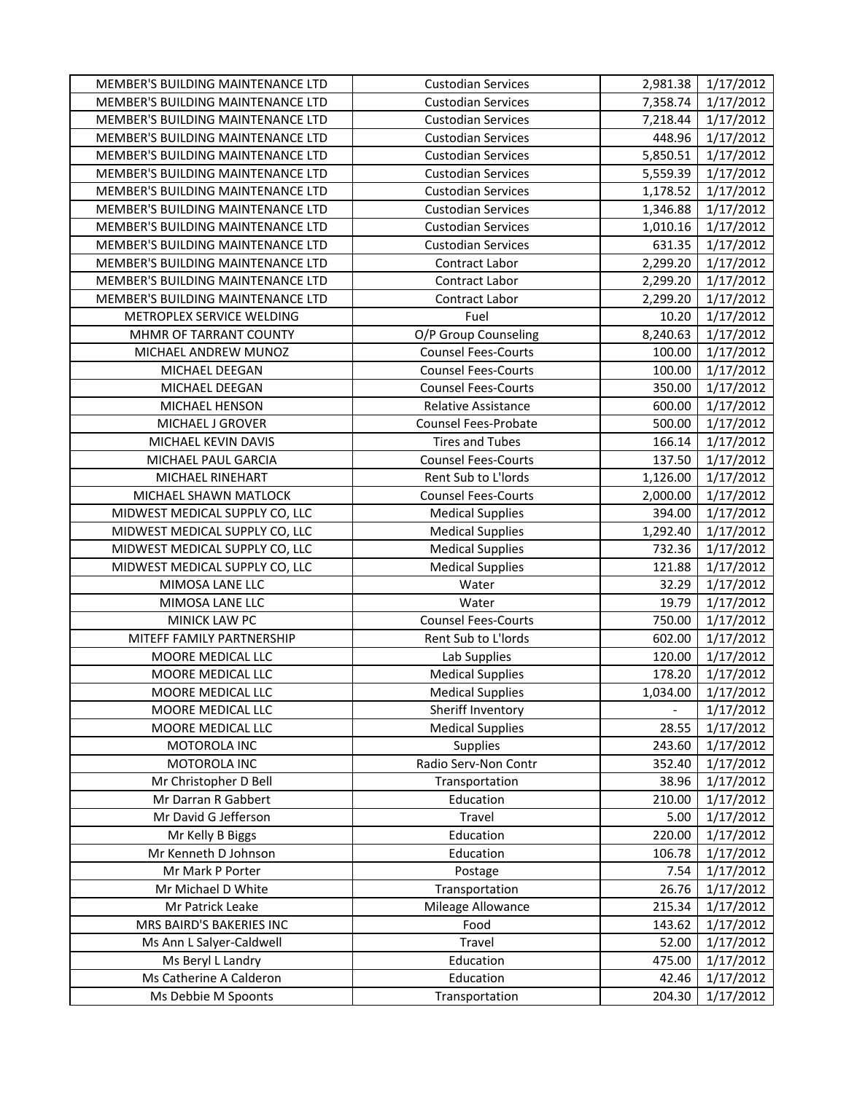| MEMBER'S BUILDING MAINTENANCE LTD | <b>Custodian Services</b>   | 2,981.38 | 1/17/2012 |
|-----------------------------------|-----------------------------|----------|-----------|
| MEMBER'S BUILDING MAINTENANCE LTD | <b>Custodian Services</b>   | 7,358.74 | 1/17/2012 |
| MEMBER'S BUILDING MAINTENANCE LTD | <b>Custodian Services</b>   | 7,218.44 | 1/17/2012 |
| MEMBER'S BUILDING MAINTENANCE LTD | <b>Custodian Services</b>   | 448.96   | 1/17/2012 |
| MEMBER'S BUILDING MAINTENANCE LTD | <b>Custodian Services</b>   | 5,850.51 | 1/17/2012 |
| MEMBER'S BUILDING MAINTENANCE LTD | <b>Custodian Services</b>   | 5,559.39 | 1/17/2012 |
| MEMBER'S BUILDING MAINTENANCE LTD | <b>Custodian Services</b>   | 1,178.52 | 1/17/2012 |
| MEMBER'S BUILDING MAINTENANCE LTD | <b>Custodian Services</b>   | 1,346.88 | 1/17/2012 |
| MEMBER'S BUILDING MAINTENANCE LTD | <b>Custodian Services</b>   | 1,010.16 | 1/17/2012 |
| MEMBER'S BUILDING MAINTENANCE LTD | <b>Custodian Services</b>   | 631.35   | 1/17/2012 |
| MEMBER'S BUILDING MAINTENANCE LTD | <b>Contract Labor</b>       | 2,299.20 | 1/17/2012 |
| MEMBER'S BUILDING MAINTENANCE LTD | Contract Labor              | 2,299.20 | 1/17/2012 |
| MEMBER'S BUILDING MAINTENANCE LTD | Contract Labor              | 2,299.20 | 1/17/2012 |
| METROPLEX SERVICE WELDING         | Fuel                        | 10.20    | 1/17/2012 |
| MHMR OF TARRANT COUNTY            | O/P Group Counseling        | 8,240.63 | 1/17/2012 |
| MICHAEL ANDREW MUNOZ              | <b>Counsel Fees-Courts</b>  | 100.00   | 1/17/2012 |
| MICHAEL DEEGAN                    | <b>Counsel Fees-Courts</b>  | 100.00   | 1/17/2012 |
| MICHAEL DEEGAN                    | <b>Counsel Fees-Courts</b>  | 350.00   | 1/17/2012 |
| MICHAEL HENSON                    | Relative Assistance         | 600.00   | 1/17/2012 |
| MICHAEL J GROVER                  | <b>Counsel Fees-Probate</b> | 500.00   | 1/17/2012 |
| MICHAEL KEVIN DAVIS               | <b>Tires and Tubes</b>      | 166.14   | 1/17/2012 |
| MICHAEL PAUL GARCIA               | <b>Counsel Fees-Courts</b>  | 137.50   | 1/17/2012 |
| MICHAEL RINEHART                  | Rent Sub to L'Iords         | 1,126.00 | 1/17/2012 |
| MICHAEL SHAWN MATLOCK             | <b>Counsel Fees-Courts</b>  | 2,000.00 | 1/17/2012 |
| MIDWEST MEDICAL SUPPLY CO, LLC    | <b>Medical Supplies</b>     | 394.00   | 1/17/2012 |
| MIDWEST MEDICAL SUPPLY CO, LLC    | <b>Medical Supplies</b>     | 1,292.40 | 1/17/2012 |
| MIDWEST MEDICAL SUPPLY CO, LLC    | <b>Medical Supplies</b>     | 732.36   | 1/17/2012 |
| MIDWEST MEDICAL SUPPLY CO, LLC    | <b>Medical Supplies</b>     | 121.88   | 1/17/2012 |
| MIMOSA LANE LLC                   | Water                       | 32.29    | 1/17/2012 |
| MIMOSA LANE LLC                   | Water                       | 19.79    | 1/17/2012 |
| MINICK LAW PC                     | <b>Counsel Fees-Courts</b>  | 750.00   | 1/17/2012 |
| MITEFF FAMILY PARTNERSHIP         | Rent Sub to L'Iords         | 602.00   | 1/17/2012 |
| MOORE MEDICAL LLC                 | Lab Supplies                | 120.00   | 1/17/2012 |
| MOORE MEDICAL LLC                 | <b>Medical Supplies</b>     | 178.20   | 1/17/2012 |
| MOORE MEDICAL LLC                 | <b>Medical Supplies</b>     | 1,034.00 | 1/17/2012 |
| MOORE MEDICAL LLC                 | Sheriff Inventory           |          | 1/17/2012 |
| MOORE MEDICAL LLC                 | <b>Medical Supplies</b>     | 28.55    | 1/17/2012 |
| MOTOROLA INC                      | Supplies                    | 243.60   | 1/17/2012 |
| MOTOROLA INC                      | Radio Serv-Non Contr        | 352.40   | 1/17/2012 |
| Mr Christopher D Bell             | Transportation              | 38.96    | 1/17/2012 |
| Mr Darran R Gabbert               | Education                   | 210.00   | 1/17/2012 |
| Mr David G Jefferson              | Travel                      | 5.00     | 1/17/2012 |
| Mr Kelly B Biggs                  | Education                   | 220.00   | 1/17/2012 |
| Mr Kenneth D Johnson              | Education                   | 106.78   | 1/17/2012 |
| Mr Mark P Porter                  | Postage                     | 7.54     | 1/17/2012 |
| Mr Michael D White                | Transportation              | 26.76    | 1/17/2012 |
| Mr Patrick Leake                  | Mileage Allowance           | 215.34   | 1/17/2012 |
| MRS BAIRD'S BAKERIES INC          | Food                        | 143.62   | 1/17/2012 |
| Ms Ann L Salyer-Caldwell          | Travel                      | 52.00    | 1/17/2012 |
| Ms Beryl L Landry                 | Education                   | 475.00   | 1/17/2012 |
| Ms Catherine A Calderon           | Education                   | 42.46    | 1/17/2012 |
| Ms Debbie M Spoonts               | Transportation              | 204.30   | 1/17/2012 |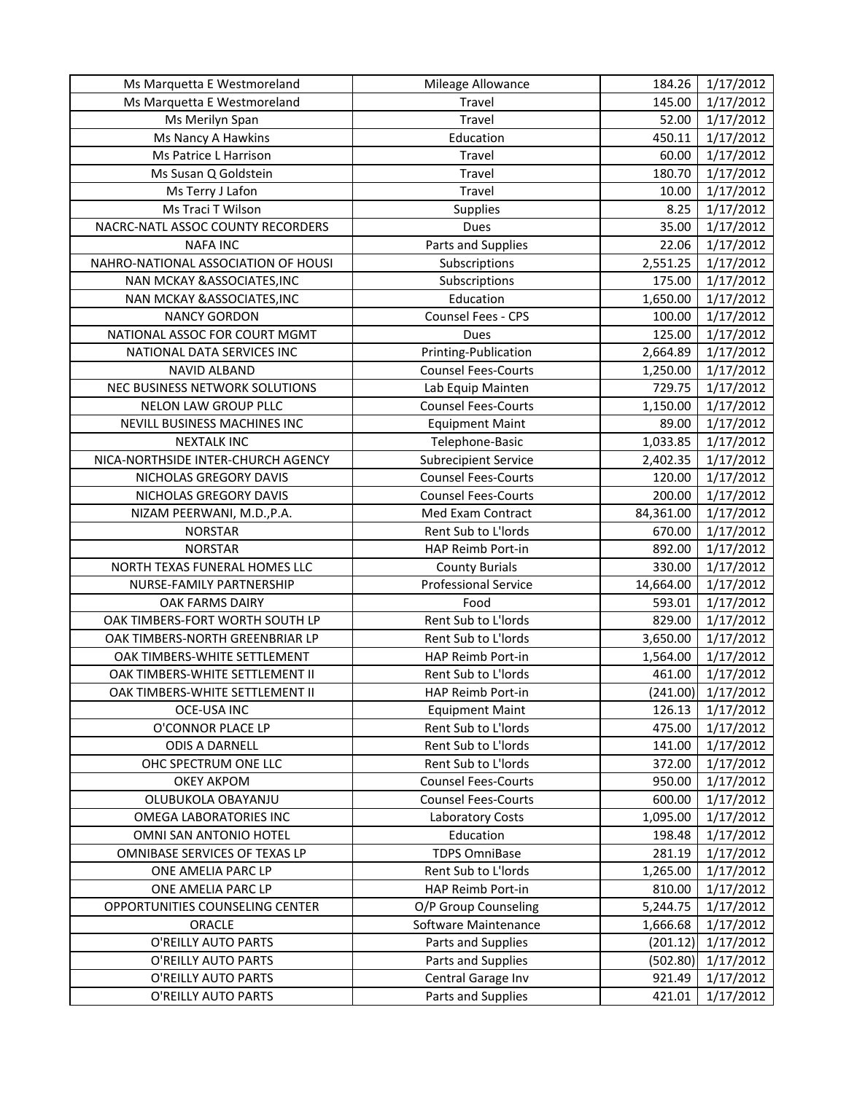| Ms Marquetta E Westmoreland         | Mileage Allowance           | 184.26    | 1/17/2012 |
|-------------------------------------|-----------------------------|-----------|-----------|
| Ms Marquetta E Westmoreland         | Travel                      | 145.00    | 1/17/2012 |
| Ms Merilyn Span                     | Travel                      | 52.00     | 1/17/2012 |
| Ms Nancy A Hawkins                  | Education                   | 450.11    | 1/17/2012 |
| Ms Patrice L Harrison               | Travel                      | 60.00     | 1/17/2012 |
| Ms Susan Q Goldstein                | Travel                      | 180.70    | 1/17/2012 |
| Ms Terry J Lafon                    | Travel                      | 10.00     | 1/17/2012 |
| Ms Traci T Wilson                   | Supplies                    | 8.25      | 1/17/2012 |
| NACRC-NATL ASSOC COUNTY RECORDERS   | Dues                        | 35.00     | 1/17/2012 |
| <b>NAFA INC</b>                     | Parts and Supplies          | 22.06     | 1/17/2012 |
| NAHRO-NATIONAL ASSOCIATION OF HOUSI | Subscriptions               | 2,551.25  | 1/17/2012 |
| NAN MCKAY & ASSOCIATES, INC         | Subscriptions               | 175.00    | 1/17/2012 |
| NAN MCKAY & ASSOCIATES, INC         | Education                   | 1,650.00  | 1/17/2012 |
| <b>NANCY GORDON</b>                 | Counsel Fees - CPS          | 100.00    | 1/17/2012 |
| NATIONAL ASSOC FOR COURT MGMT       | Dues                        | 125.00    | 1/17/2012 |
| NATIONAL DATA SERVICES INC          | Printing-Publication        | 2,664.89  | 1/17/2012 |
| <b>NAVID ALBAND</b>                 | <b>Counsel Fees-Courts</b>  | 1,250.00  | 1/17/2012 |
| NEC BUSINESS NETWORK SOLUTIONS      | Lab Equip Mainten           | 729.75    | 1/17/2012 |
| NELON LAW GROUP PLLC                | <b>Counsel Fees-Courts</b>  | 1,150.00  | 1/17/2012 |
| NEVILL BUSINESS MACHINES INC        | <b>Equipment Maint</b>      | 89.00     | 1/17/2012 |
| <b>NEXTALK INC</b>                  | Telephone-Basic             | 1,033.85  | 1/17/2012 |
| NICA-NORTHSIDE INTER-CHURCH AGENCY  | <b>Subrecipient Service</b> | 2,402.35  | 1/17/2012 |
| NICHOLAS GREGORY DAVIS              | <b>Counsel Fees-Courts</b>  | 120.00    | 1/17/2012 |
| NICHOLAS GREGORY DAVIS              | <b>Counsel Fees-Courts</b>  | 200.00    | 1/17/2012 |
| NIZAM PEERWANI, M.D., P.A.          | Med Exam Contract           | 84,361.00 | 1/17/2012 |
| <b>NORSTAR</b>                      | Rent Sub to L'Iords         | 670.00    | 1/17/2012 |
| <b>NORSTAR</b>                      | HAP Reimb Port-in           | 892.00    | 1/17/2012 |
| NORTH TEXAS FUNERAL HOMES LLC       | <b>County Burials</b>       | 330.00    | 1/17/2012 |
| NURSE-FAMILY PARTNERSHIP            | <b>Professional Service</b> | 14,664.00 | 1/17/2012 |
| OAK FARMS DAIRY                     | Food                        | 593.01    | 1/17/2012 |
| OAK TIMBERS-FORT WORTH SOUTH LP     | Rent Sub to L'Iords         | 829.00    | 1/17/2012 |
| OAK TIMBERS-NORTH GREENBRIAR LP     | Rent Sub to L'Iords         | 3,650.00  | 1/17/2012 |
| OAK TIMBERS-WHITE SETTLEMENT        | HAP Reimb Port-in           | 1,564.00  | 1/17/2012 |
| OAK TIMBERS-WHITE SETTLEMENT II     | Rent Sub to L'Iords         | 461.00    | 1/17/2012 |
| OAK TIMBERS-WHITE SETTLEMENT II     | HAP Reimb Port-in           | (241.00)  | 1/17/2012 |
| OCE-USA INC                         | <b>Equipment Maint</b>      | 126.13    | 1/17/2012 |
| O'CONNOR PLACE LP                   | Rent Sub to L'Iords         | 475.00    | 1/17/2012 |
| <b>ODIS A DARNELL</b>               | Rent Sub to L'Iords         | 141.00    | 1/17/2012 |
| OHC SPECTRUM ONE LLC                | Rent Sub to L'Iords         | 372.00    | 1/17/2012 |
| <b>OKEY AKPOM</b>                   | <b>Counsel Fees-Courts</b>  | 950.00    | 1/17/2012 |
| OLUBUKOLA OBAYANJU                  | <b>Counsel Fees-Courts</b>  | 600.00    | 1/17/2012 |
| OMEGA LABORATORIES INC              | Laboratory Costs            | 1,095.00  | 1/17/2012 |
| OMNI SAN ANTONIO HOTEL              | Education                   | 198.48    | 1/17/2012 |
| OMNIBASE SERVICES OF TEXAS LP       | <b>TDPS OmniBase</b>        | 281.19    | 1/17/2012 |
| ONE AMELIA PARC LP                  | Rent Sub to L'Iords         | 1,265.00  | 1/17/2012 |
| ONE AMELIA PARC LP                  | HAP Reimb Port-in           | 810.00    | 1/17/2012 |
| OPPORTUNITIES COUNSELING CENTER     | O/P Group Counseling        | 5,244.75  | 1/17/2012 |
| ORACLE                              | Software Maintenance        | 1,666.68  | 1/17/2012 |
| O'REILLY AUTO PARTS                 | Parts and Supplies          | (201.12)  | 1/17/2012 |
| O'REILLY AUTO PARTS                 | Parts and Supplies          | (502.80)  | 1/17/2012 |
| O'REILLY AUTO PARTS                 | Central Garage Inv          | 921.49    | 1/17/2012 |
| O'REILLY AUTO PARTS                 | Parts and Supplies          | 421.01    | 1/17/2012 |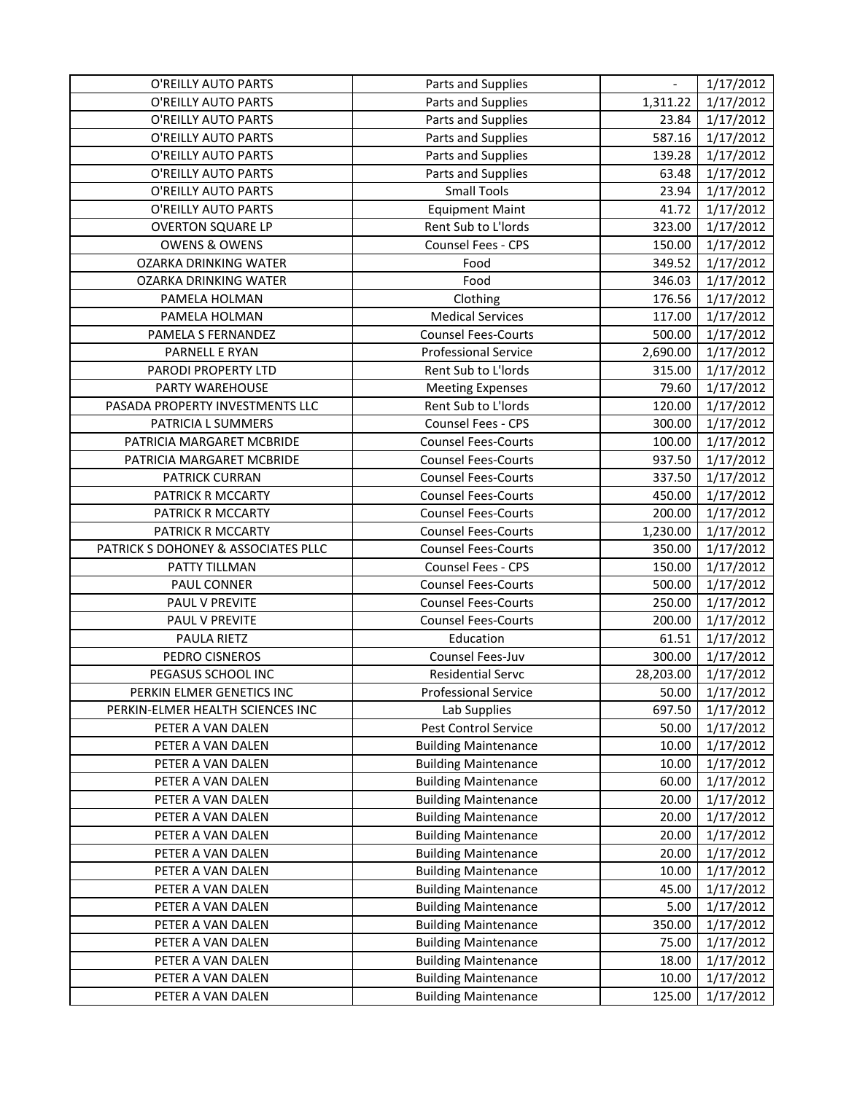| O'REILLY AUTO PARTS                 | Parts and Supplies          |           | 1/17/2012 |
|-------------------------------------|-----------------------------|-----------|-----------|
| O'REILLY AUTO PARTS                 | Parts and Supplies          | 1,311.22  | 1/17/2012 |
| O'REILLY AUTO PARTS                 | Parts and Supplies          | 23.84     | 1/17/2012 |
| O'REILLY AUTO PARTS                 | Parts and Supplies          | 587.16    | 1/17/2012 |
| O'REILLY AUTO PARTS                 | Parts and Supplies          | 139.28    | 1/17/2012 |
| O'REILLY AUTO PARTS                 | Parts and Supplies          | 63.48     | 1/17/2012 |
| O'REILLY AUTO PARTS                 | <b>Small Tools</b>          | 23.94     | 1/17/2012 |
| O'REILLY AUTO PARTS                 | <b>Equipment Maint</b>      | 41.72     | 1/17/2012 |
| <b>OVERTON SQUARE LP</b>            | Rent Sub to L'Iords         | 323.00    | 1/17/2012 |
| <b>OWENS &amp; OWENS</b>            | Counsel Fees - CPS          | 150.00    | 1/17/2012 |
| <b>OZARKA DRINKING WATER</b>        | Food                        | 349.52    | 1/17/2012 |
| <b>OZARKA DRINKING WATER</b>        | Food                        | 346.03    | 1/17/2012 |
| PAMELA HOLMAN                       | Clothing                    | 176.56    | 1/17/2012 |
| PAMELA HOLMAN                       | <b>Medical Services</b>     | 117.00    | 1/17/2012 |
| PAMELA S FERNANDEZ                  | <b>Counsel Fees-Courts</b>  | 500.00    | 1/17/2012 |
| PARNELL E RYAN                      | <b>Professional Service</b> | 2,690.00  | 1/17/2012 |
| PARODI PROPERTY LTD                 | Rent Sub to L'Iords         | 315.00    | 1/17/2012 |
| PARTY WAREHOUSE                     | <b>Meeting Expenses</b>     | 79.60     | 1/17/2012 |
| PASADA PROPERTY INVESTMENTS LLC     | Rent Sub to L'Iords         | 120.00    | 1/17/2012 |
| PATRICIA L SUMMERS                  | Counsel Fees - CPS          | 300.00    | 1/17/2012 |
| PATRICIA MARGARET MCBRIDE           | <b>Counsel Fees-Courts</b>  | 100.00    | 1/17/2012 |
| PATRICIA MARGARET MCBRIDE           | <b>Counsel Fees-Courts</b>  | 937.50    | 1/17/2012 |
| PATRICK CURRAN                      | <b>Counsel Fees-Courts</b>  | 337.50    | 1/17/2012 |
| PATRICK R MCCARTY                   | <b>Counsel Fees-Courts</b>  | 450.00    | 1/17/2012 |
| PATRICK R MCCARTY                   | <b>Counsel Fees-Courts</b>  | 200.00    | 1/17/2012 |
| PATRICK R MCCARTY                   | <b>Counsel Fees-Courts</b>  | 1,230.00  | 1/17/2012 |
| PATRICK S DOHONEY & ASSOCIATES PLLC | <b>Counsel Fees-Courts</b>  | 350.00    | 1/17/2012 |
| PATTY TILLMAN                       | Counsel Fees - CPS          | 150.00    | 1/17/2012 |
| PAUL CONNER                         | <b>Counsel Fees-Courts</b>  | 500.00    | 1/17/2012 |
| PAUL V PREVITE                      | <b>Counsel Fees-Courts</b>  | 250.00    | 1/17/2012 |
| PAUL V PREVITE                      | <b>Counsel Fees-Courts</b>  | 200.00    | 1/17/2012 |
| PAULA RIETZ                         | Education                   | 61.51     | 1/17/2012 |
| PEDRO CISNEROS                      | Counsel Fees-Juv            | 300.00    | 1/17/2012 |
| PEGASUS SCHOOL INC                  | <b>Residential Servc</b>    | 28,203.00 | 1/17/2012 |
| PERKIN ELMER GENETICS INC           | <b>Professional Service</b> | 50.00     | 1/17/2012 |
| PERKIN-ELMER HEALTH SCIENCES INC    | Lab Supplies                | 697.50    | 1/17/2012 |
| PETER A VAN DALEN                   | Pest Control Service        | 50.00     | 1/17/2012 |
| PETER A VAN DALEN                   | <b>Building Maintenance</b> | 10.00     | 1/17/2012 |
| PETER A VAN DALEN                   | <b>Building Maintenance</b> | 10.00     | 1/17/2012 |
| PETER A VAN DALEN                   | <b>Building Maintenance</b> | 60.00     | 1/17/2012 |
| PETER A VAN DALEN                   | <b>Building Maintenance</b> | 20.00     | 1/17/2012 |
| PETER A VAN DALEN                   | <b>Building Maintenance</b> | 20.00     | 1/17/2012 |
| PETER A VAN DALEN                   | <b>Building Maintenance</b> | 20.00     | 1/17/2012 |
| PETER A VAN DALEN                   | <b>Building Maintenance</b> | 20.00     | 1/17/2012 |
| PETER A VAN DALEN                   | <b>Building Maintenance</b> | 10.00     | 1/17/2012 |
| PETER A VAN DALEN                   | <b>Building Maintenance</b> | 45.00     | 1/17/2012 |
| PETER A VAN DALEN                   | <b>Building Maintenance</b> | 5.00      | 1/17/2012 |
| PETER A VAN DALEN                   | <b>Building Maintenance</b> | 350.00    | 1/17/2012 |
| PETER A VAN DALEN                   | <b>Building Maintenance</b> | 75.00     | 1/17/2012 |
| PETER A VAN DALEN                   | <b>Building Maintenance</b> | 18.00     | 1/17/2012 |
| PETER A VAN DALEN                   | <b>Building Maintenance</b> | 10.00     | 1/17/2012 |
| PETER A VAN DALEN                   | <b>Building Maintenance</b> | 125.00    | 1/17/2012 |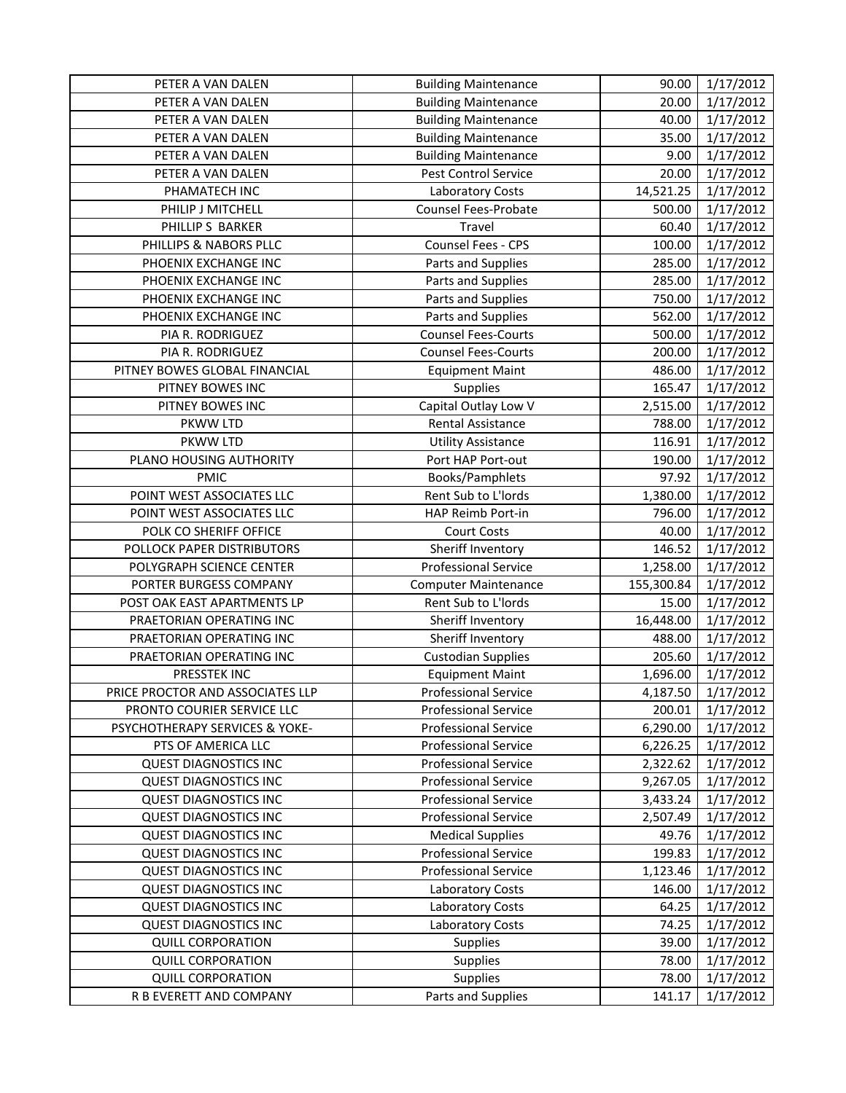| PETER A VAN DALEN                | <b>Building Maintenance</b> | 90.00      | 1/17/2012 |
|----------------------------------|-----------------------------|------------|-----------|
| PETER A VAN DALEN                | <b>Building Maintenance</b> | 20.00      | 1/17/2012 |
| PETER A VAN DALEN                | <b>Building Maintenance</b> | 40.00      | 1/17/2012 |
| PETER A VAN DALEN                | <b>Building Maintenance</b> | 35.00      | 1/17/2012 |
| PETER A VAN DALEN                | <b>Building Maintenance</b> | 9.00       | 1/17/2012 |
| PETER A VAN DALEN                | <b>Pest Control Service</b> | 20.00      | 1/17/2012 |
| PHAMATECH INC                    | <b>Laboratory Costs</b>     | 14,521.25  | 1/17/2012 |
| PHILIP J MITCHELL                | Counsel Fees-Probate        | 500.00     | 1/17/2012 |
| PHILLIP S BARKER                 | Travel                      | 60.40      | 1/17/2012 |
| PHILLIPS & NABORS PLLC           | Counsel Fees - CPS          | 100.00     | 1/17/2012 |
| PHOENIX EXCHANGE INC             | Parts and Supplies          | 285.00     | 1/17/2012 |
| PHOENIX EXCHANGE INC             | Parts and Supplies          | 285.00     | 1/17/2012 |
| PHOENIX EXCHANGE INC             | Parts and Supplies          | 750.00     | 1/17/2012 |
| PHOENIX EXCHANGE INC             | Parts and Supplies          | 562.00     | 1/17/2012 |
| PIA R. RODRIGUEZ                 | <b>Counsel Fees-Courts</b>  | 500.00     | 1/17/2012 |
| PIA R. RODRIGUEZ                 | <b>Counsel Fees-Courts</b>  | 200.00     | 1/17/2012 |
| PITNEY BOWES GLOBAL FINANCIAL    | <b>Equipment Maint</b>      | 486.00     | 1/17/2012 |
| PITNEY BOWES INC                 | Supplies                    | 165.47     | 1/17/2012 |
| PITNEY BOWES INC                 | Capital Outlay Low V        | 2,515.00   | 1/17/2012 |
| PKWW LTD                         | Rental Assistance           | 788.00     | 1/17/2012 |
| PKWW LTD                         | <b>Utility Assistance</b>   | 116.91     | 1/17/2012 |
| PLANO HOUSING AUTHORITY          | Port HAP Port-out           | 190.00     | 1/17/2012 |
| <b>PMIC</b>                      | Books/Pamphlets             | 97.92      | 1/17/2012 |
| POINT WEST ASSOCIATES LLC        | Rent Sub to L'Iords         | 1,380.00   | 1/17/2012 |
| POINT WEST ASSOCIATES LLC        | HAP Reimb Port-in           | 796.00     | 1/17/2012 |
| POLK CO SHERIFF OFFICE           | <b>Court Costs</b>          | 40.00      | 1/17/2012 |
| POLLOCK PAPER DISTRIBUTORS       | Sheriff Inventory           | 146.52     | 1/17/2012 |
| POLYGRAPH SCIENCE CENTER         | <b>Professional Service</b> | 1,258.00   | 1/17/2012 |
| PORTER BURGESS COMPANY           | <b>Computer Maintenance</b> | 155,300.84 | 1/17/2012 |
| POST OAK EAST APARTMENTS LP      | Rent Sub to L'Iords         | 15.00      | 1/17/2012 |
| PRAETORIAN OPERATING INC         | Sheriff Inventory           | 16,448.00  | 1/17/2012 |
| PRAETORIAN OPERATING INC         | Sheriff Inventory           | 488.00     | 1/17/2012 |
| PRAETORIAN OPERATING INC         | <b>Custodian Supplies</b>   | 205.60     | 1/17/2012 |
| PRESSTEK INC                     | <b>Equipment Maint</b>      | 1,696.00   | 1/17/2012 |
| PRICE PROCTOR AND ASSOCIATES LLP | Professional Service        | 4,187.50   | 1/17/2012 |
| PRONTO COURIER SERVICE LLC       | <b>Professional Service</b> | 200.01     | 1/17/2012 |
| PSYCHOTHERAPY SERVICES & YOKE-   | <b>Professional Service</b> | 6,290.00   | 1/17/2012 |
| PTS OF AMERICA LLC               | <b>Professional Service</b> | 6,226.25   | 1/17/2012 |
| <b>QUEST DIAGNOSTICS INC</b>     | <b>Professional Service</b> | 2,322.62   | 1/17/2012 |
| <b>QUEST DIAGNOSTICS INC</b>     | <b>Professional Service</b> | 9,267.05   | 1/17/2012 |
| <b>QUEST DIAGNOSTICS INC</b>     | <b>Professional Service</b> | 3,433.24   | 1/17/2012 |
| <b>QUEST DIAGNOSTICS INC</b>     | <b>Professional Service</b> | 2,507.49   | 1/17/2012 |
| <b>QUEST DIAGNOSTICS INC</b>     | <b>Medical Supplies</b>     | 49.76      | 1/17/2012 |
| <b>QUEST DIAGNOSTICS INC</b>     | Professional Service        | 199.83     | 1/17/2012 |
| <b>QUEST DIAGNOSTICS INC</b>     | <b>Professional Service</b> | 1,123.46   | 1/17/2012 |
| <b>QUEST DIAGNOSTICS INC</b>     | Laboratory Costs            | 146.00     | 1/17/2012 |
| <b>QUEST DIAGNOSTICS INC</b>     | Laboratory Costs            | 64.25      | 1/17/2012 |
| <b>QUEST DIAGNOSTICS INC</b>     | Laboratory Costs            | 74.25      | 1/17/2012 |
| <b>QUILL CORPORATION</b>         | Supplies                    | 39.00      | 1/17/2012 |
| <b>QUILL CORPORATION</b>         | Supplies                    | 78.00      | 1/17/2012 |
| <b>QUILL CORPORATION</b>         | Supplies                    | 78.00      | 1/17/2012 |
| R B EVERETT AND COMPANY          | Parts and Supplies          | 141.17     | 1/17/2012 |
|                                  |                             |            |           |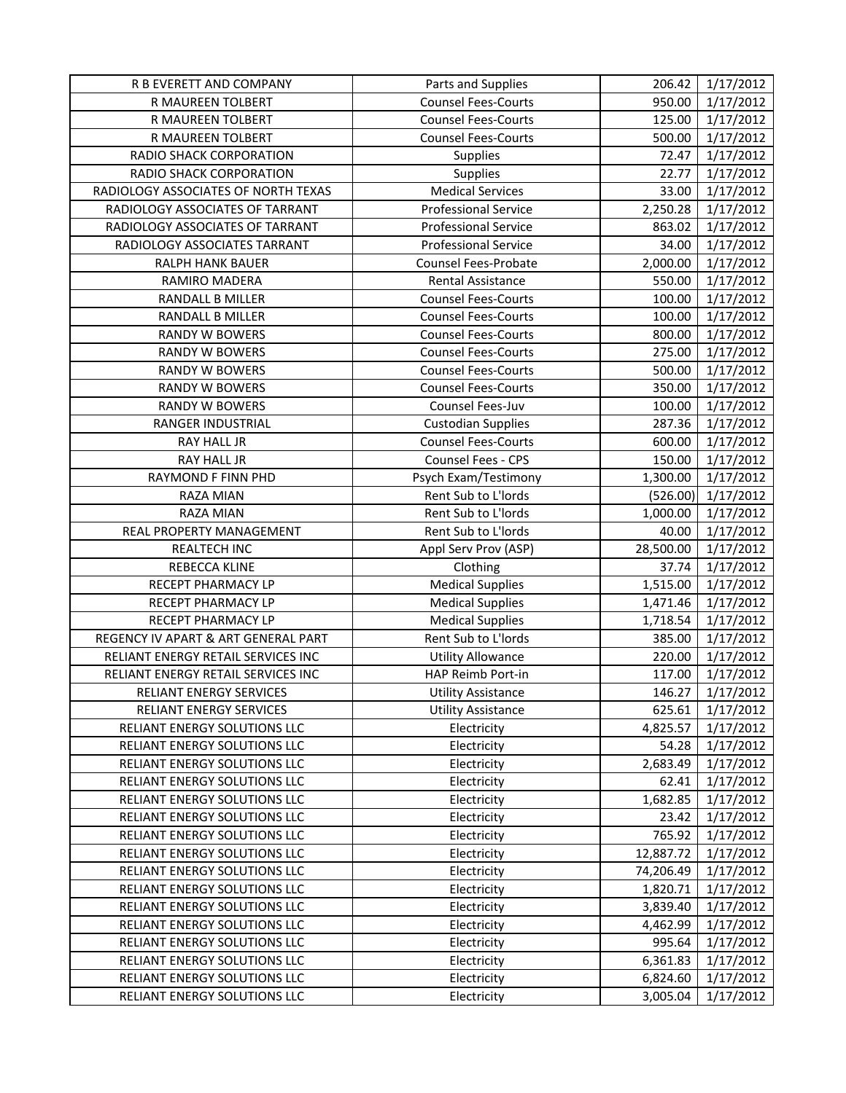| R B EVERETT AND COMPANY             | Parts and Supplies          | 206.42    | 1/17/2012 |
|-------------------------------------|-----------------------------|-----------|-----------|
| R MAUREEN TOLBERT                   | <b>Counsel Fees-Courts</b>  | 950.00    | 1/17/2012 |
| R MAUREEN TOLBERT                   | <b>Counsel Fees-Courts</b>  | 125.00    | 1/17/2012 |
| R MAUREEN TOLBERT                   | <b>Counsel Fees-Courts</b>  | 500.00    | 1/17/2012 |
| RADIO SHACK CORPORATION             | Supplies                    | 72.47     | 1/17/2012 |
| RADIO SHACK CORPORATION             | Supplies                    | 22.77     | 1/17/2012 |
| RADIOLOGY ASSOCIATES OF NORTH TEXAS | <b>Medical Services</b>     | 33.00     | 1/17/2012 |
| RADIOLOGY ASSOCIATES OF TARRANT     | <b>Professional Service</b> | 2,250.28  | 1/17/2012 |
| RADIOLOGY ASSOCIATES OF TARRANT     | <b>Professional Service</b> | 863.02    | 1/17/2012 |
| RADIOLOGY ASSOCIATES TARRANT        | <b>Professional Service</b> | 34.00     | 1/17/2012 |
| RALPH HANK BAUER                    | <b>Counsel Fees-Probate</b> | 2,000.00  | 1/17/2012 |
| RAMIRO MADERA                       | Rental Assistance           | 550.00    | 1/17/2012 |
| RANDALL B MILLER                    | <b>Counsel Fees-Courts</b>  | 100.00    | 1/17/2012 |
| RANDALL B MILLER                    | <b>Counsel Fees-Courts</b>  | 100.00    | 1/17/2012 |
| RANDY W BOWERS                      | <b>Counsel Fees-Courts</b>  | 800.00    | 1/17/2012 |
| <b>RANDY W BOWERS</b>               | <b>Counsel Fees-Courts</b>  | 275.00    | 1/17/2012 |
| RANDY W BOWERS                      | <b>Counsel Fees-Courts</b>  | 500.00    | 1/17/2012 |
| RANDY W BOWERS                      | <b>Counsel Fees-Courts</b>  | 350.00    | 1/17/2012 |
| RANDY W BOWERS                      | Counsel Fees-Juv            | 100.00    | 1/17/2012 |
| RANGER INDUSTRIAL                   | <b>Custodian Supplies</b>   | 287.36    | 1/17/2012 |
| <b>RAY HALL JR</b>                  | <b>Counsel Fees-Courts</b>  | 600.00    | 1/17/2012 |
| <b>RAY HALL JR</b>                  | Counsel Fees - CPS          | 150.00    | 1/17/2012 |
| RAYMOND F FINN PHD                  | Psych Exam/Testimony        | 1,300.00  | 1/17/2012 |
| RAZA MIAN                           | Rent Sub to L'Iords         | (526.00)  | 1/17/2012 |
| RAZA MIAN                           | Rent Sub to L'Iords         | 1,000.00  | 1/17/2012 |
| REAL PROPERTY MANAGEMENT            | Rent Sub to L'Iords         | 40.00     | 1/17/2012 |
| <b>REALTECH INC</b>                 | Appl Serv Prov (ASP)        | 28,500.00 | 1/17/2012 |
| REBECCA KLINE                       | Clothing                    | 37.74     | 1/17/2012 |
| RECEPT PHARMACY LP                  | <b>Medical Supplies</b>     | 1,515.00  | 1/17/2012 |
| RECEPT PHARMACY LP                  | <b>Medical Supplies</b>     | 1,471.46  | 1/17/2012 |
| <b>RECEPT PHARMACY LP</b>           | <b>Medical Supplies</b>     | 1,718.54  | 1/17/2012 |
| REGENCY IV APART & ART GENERAL PART | Rent Sub to L'Iords         | 385.00    | 1/17/2012 |
| RELIANT ENERGY RETAIL SERVICES INC  | <b>Utility Allowance</b>    | 220.00    | 1/17/2012 |
| RELIANT ENERGY RETAIL SERVICES INC  | HAP Reimb Port-in           | 117.00    | 1/17/2012 |
| RELIANT ENERGY SERVICES             | <b>Utility Assistance</b>   | 146.27    | 1/17/2012 |
| RELIANT ENERGY SERVICES             | <b>Utility Assistance</b>   | 625.61    | 1/17/2012 |
| RELIANT ENERGY SOLUTIONS LLC        | Electricity                 | 4,825.57  | 1/17/2012 |
| RELIANT ENERGY SOLUTIONS LLC        | Electricity                 | 54.28     | 1/17/2012 |
| RELIANT ENERGY SOLUTIONS LLC        | Electricity                 | 2,683.49  | 1/17/2012 |
| RELIANT ENERGY SOLUTIONS LLC        | Electricity                 | 62.41     | 1/17/2012 |
| RELIANT ENERGY SOLUTIONS LLC        | Electricity                 | 1,682.85  | 1/17/2012 |
| RELIANT ENERGY SOLUTIONS LLC        | Electricity                 | 23.42     | 1/17/2012 |
| RELIANT ENERGY SOLUTIONS LLC        | Electricity                 | 765.92    | 1/17/2012 |
| RELIANT ENERGY SOLUTIONS LLC        | Electricity                 | 12,887.72 | 1/17/2012 |
| RELIANT ENERGY SOLUTIONS LLC        | Electricity                 | 74,206.49 | 1/17/2012 |
| RELIANT ENERGY SOLUTIONS LLC        | Electricity                 | 1,820.71  | 1/17/2012 |
| RELIANT ENERGY SOLUTIONS LLC        | Electricity                 | 3,839.40  | 1/17/2012 |
| RELIANT ENERGY SOLUTIONS LLC        | Electricity                 | 4,462.99  | 1/17/2012 |
| RELIANT ENERGY SOLUTIONS LLC        | Electricity                 | 995.64    | 1/17/2012 |
| RELIANT ENERGY SOLUTIONS LLC        | Electricity                 | 6,361.83  | 1/17/2012 |
| RELIANT ENERGY SOLUTIONS LLC        | Electricity                 | 6,824.60  | 1/17/2012 |
| RELIANT ENERGY SOLUTIONS LLC        | Electricity                 | 3,005.04  | 1/17/2012 |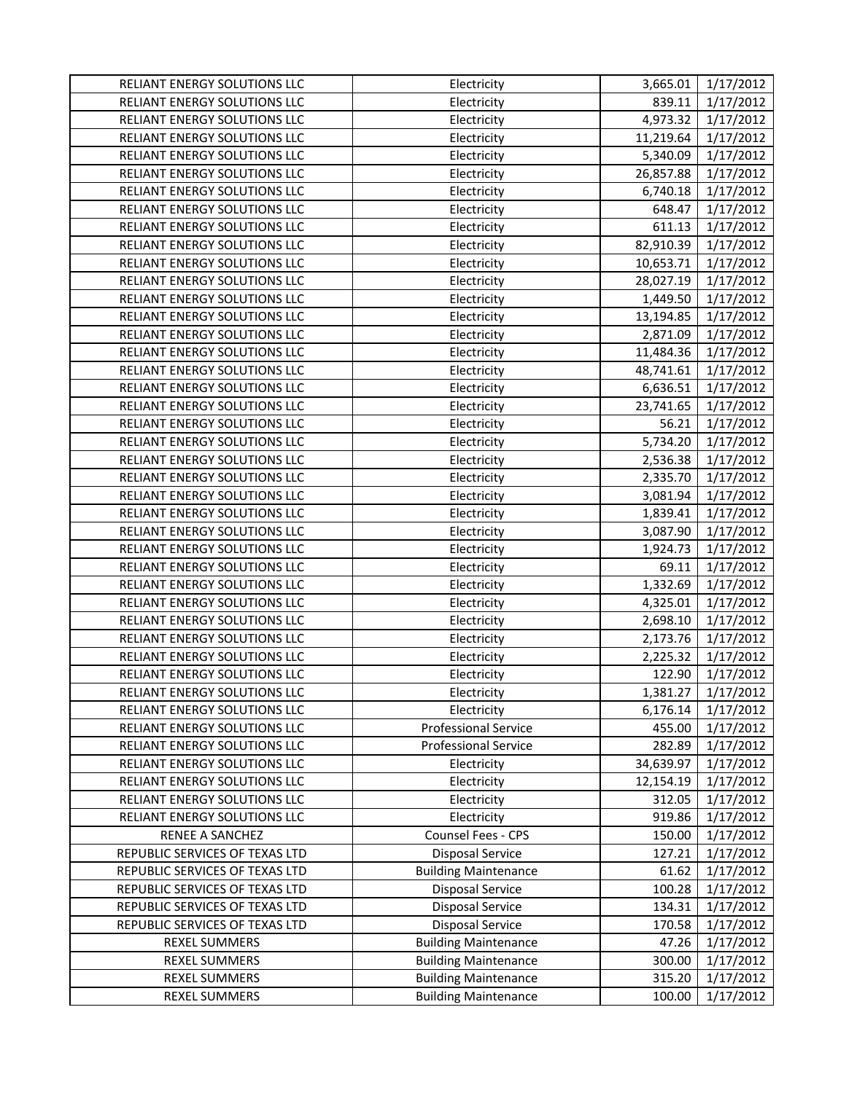| RELIANT ENERGY SOLUTIONS LLC   | Electricity                 | 3,665.01  | 1/17/2012 |
|--------------------------------|-----------------------------|-----------|-----------|
| RELIANT ENERGY SOLUTIONS LLC   | Electricity                 | 839.11    | 1/17/2012 |
| RELIANT ENERGY SOLUTIONS LLC   | Electricity                 | 4,973.32  | 1/17/2012 |
| RELIANT ENERGY SOLUTIONS LLC   | Electricity                 | 11,219.64 | 1/17/2012 |
| RELIANT ENERGY SOLUTIONS LLC   | Electricity                 | 5,340.09  | 1/17/2012 |
| RELIANT ENERGY SOLUTIONS LLC   | Electricity                 | 26,857.88 | 1/17/2012 |
| RELIANT ENERGY SOLUTIONS LLC   | Electricity                 | 6,740.18  | 1/17/2012 |
| RELIANT ENERGY SOLUTIONS LLC   | Electricity                 | 648.47    | 1/17/2012 |
| RELIANT ENERGY SOLUTIONS LLC   | Electricity                 | 611.13    | 1/17/2012 |
| RELIANT ENERGY SOLUTIONS LLC   | Electricity                 | 82,910.39 | 1/17/2012 |
| RELIANT ENERGY SOLUTIONS LLC   | Electricity                 | 10,653.71 | 1/17/2012 |
| RELIANT ENERGY SOLUTIONS LLC   | Electricity                 | 28,027.19 | 1/17/2012 |
| RELIANT ENERGY SOLUTIONS LLC   | Electricity                 | 1,449.50  | 1/17/2012 |
| RELIANT ENERGY SOLUTIONS LLC   | Electricity                 | 13,194.85 | 1/17/2012 |
| RELIANT ENERGY SOLUTIONS LLC   | Electricity                 | 2,871.09  | 1/17/2012 |
| RELIANT ENERGY SOLUTIONS LLC   | Electricity                 | 11,484.36 | 1/17/2012 |
| RELIANT ENERGY SOLUTIONS LLC   | Electricity                 | 48,741.61 | 1/17/2012 |
| RELIANT ENERGY SOLUTIONS LLC   | Electricity                 | 6,636.51  | 1/17/2012 |
| RELIANT ENERGY SOLUTIONS LLC   | Electricity                 | 23,741.65 | 1/17/2012 |
| RELIANT ENERGY SOLUTIONS LLC   | Electricity                 | 56.21     | 1/17/2012 |
| RELIANT ENERGY SOLUTIONS LLC   | Electricity                 | 5,734.20  | 1/17/2012 |
| RELIANT ENERGY SOLUTIONS LLC   | Electricity                 | 2,536.38  | 1/17/2012 |
| RELIANT ENERGY SOLUTIONS LLC   | Electricity                 | 2,335.70  | 1/17/2012 |
| RELIANT ENERGY SOLUTIONS LLC   | Electricity                 | 3,081.94  | 1/17/2012 |
| RELIANT ENERGY SOLUTIONS LLC   | Electricity                 | 1,839.41  | 1/17/2012 |
| RELIANT ENERGY SOLUTIONS LLC   | Electricity                 | 3,087.90  | 1/17/2012 |
| RELIANT ENERGY SOLUTIONS LLC   | Electricity                 | 1,924.73  | 1/17/2012 |
| RELIANT ENERGY SOLUTIONS LLC   | Electricity                 | 69.11     | 1/17/2012 |
| RELIANT ENERGY SOLUTIONS LLC   | Electricity                 | 1,332.69  | 1/17/2012 |
| RELIANT ENERGY SOLUTIONS LLC   | Electricity                 | 4,325.01  | 1/17/2012 |
| RELIANT ENERGY SOLUTIONS LLC   | Electricity                 | 2,698.10  | 1/17/2012 |
| RELIANT ENERGY SOLUTIONS LLC   | Electricity                 | 2,173.76  | 1/17/2012 |
| RELIANT ENERGY SOLUTIONS LLC   | Electricity                 | 2,225.32  | 1/17/2012 |
| RELIANT ENERGY SOLUTIONS LLC   | Electricity                 | 122.90    | 1/17/2012 |
| RELIANT ENERGY SOLUTIONS LLC   | Electricity                 | 1,381.27  | 1/17/2012 |
| RELIANT ENERGY SOLUTIONS LLC   | Electricity                 | 6,176.14  | 1/17/2012 |
| RELIANT ENERGY SOLUTIONS LLC   | <b>Professional Service</b> | 455.00    | 1/17/2012 |
| RELIANT ENERGY SOLUTIONS LLC   | Professional Service        | 282.89    | 1/17/2012 |
| RELIANT ENERGY SOLUTIONS LLC   | Electricity                 | 34,639.97 | 1/17/2012 |
| RELIANT ENERGY SOLUTIONS LLC   | Electricity                 | 12,154.19 | 1/17/2012 |
| RELIANT ENERGY SOLUTIONS LLC   | Electricity                 | 312.05    | 1/17/2012 |
| RELIANT ENERGY SOLUTIONS LLC   | Electricity                 | 919.86    | 1/17/2012 |
| RENEE A SANCHEZ                | Counsel Fees - CPS          | 150.00    | 1/17/2012 |
| REPUBLIC SERVICES OF TEXAS LTD | <b>Disposal Service</b>     | 127.21    | 1/17/2012 |
| REPUBLIC SERVICES OF TEXAS LTD | <b>Building Maintenance</b> | 61.62     | 1/17/2012 |
| REPUBLIC SERVICES OF TEXAS LTD | <b>Disposal Service</b>     | 100.28    | 1/17/2012 |
| REPUBLIC SERVICES OF TEXAS LTD | Disposal Service            | 134.31    | 1/17/2012 |
| REPUBLIC SERVICES OF TEXAS LTD | <b>Disposal Service</b>     | 170.58    | 1/17/2012 |
| <b>REXEL SUMMERS</b>           | <b>Building Maintenance</b> | 47.26     | 1/17/2012 |
| REXEL SUMMERS                  | <b>Building Maintenance</b> | 300.00    | 1/17/2012 |
| REXEL SUMMERS                  | <b>Building Maintenance</b> | 315.20    | 1/17/2012 |
| <b>REXEL SUMMERS</b>           | <b>Building Maintenance</b> | 100.00    | 1/17/2012 |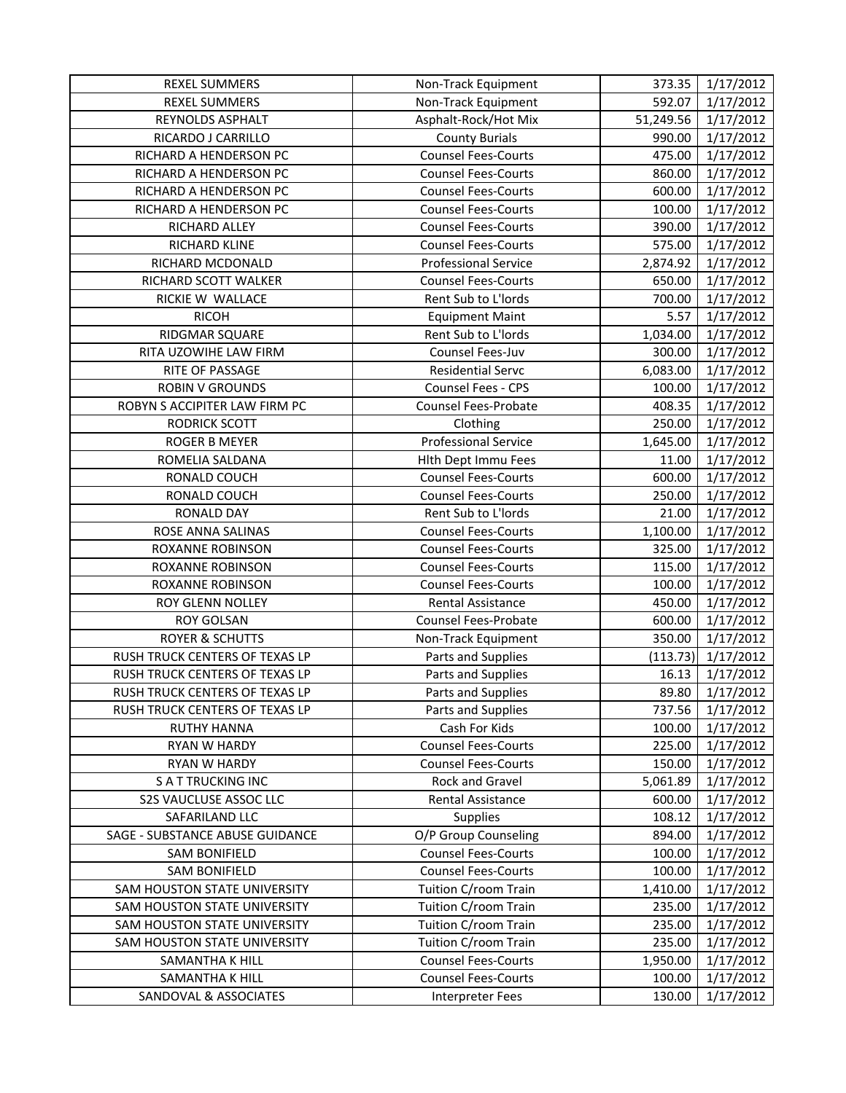| <b>REXEL SUMMERS</b>            | Non-Track Equipment         | 373.35    | 1/17/2012 |
|---------------------------------|-----------------------------|-----------|-----------|
| <b>REXEL SUMMERS</b>            | Non-Track Equipment         | 592.07    | 1/17/2012 |
| REYNOLDS ASPHALT                | Asphalt-Rock/Hot Mix        | 51,249.56 | 1/17/2012 |
| RICARDO J CARRILLO              | <b>County Burials</b>       | 990.00    | 1/17/2012 |
| RICHARD A HENDERSON PC          | <b>Counsel Fees-Courts</b>  | 475.00    | 1/17/2012 |
| RICHARD A HENDERSON PC          | <b>Counsel Fees-Courts</b>  | 860.00    | 1/17/2012 |
| RICHARD A HENDERSON PC          | <b>Counsel Fees-Courts</b>  | 600.00    | 1/17/2012 |
| RICHARD A HENDERSON PC          | <b>Counsel Fees-Courts</b>  | 100.00    | 1/17/2012 |
| RICHARD ALLEY                   | <b>Counsel Fees-Courts</b>  | 390.00    | 1/17/2012 |
| RICHARD KLINE                   | <b>Counsel Fees-Courts</b>  | 575.00    | 1/17/2012 |
| RICHARD MCDONALD                | <b>Professional Service</b> | 2,874.92  | 1/17/2012 |
| RICHARD SCOTT WALKER            | <b>Counsel Fees-Courts</b>  | 650.00    | 1/17/2012 |
| RICKIE W WALLACE                | Rent Sub to L'Iords         | 700.00    | 1/17/2012 |
| <b>RICOH</b>                    | <b>Equipment Maint</b>      | 5.57      | 1/17/2012 |
| RIDGMAR SQUARE                  | Rent Sub to L'Iords         | 1,034.00  | 1/17/2012 |
| RITA UZOWIHE LAW FIRM           | Counsel Fees-Juv            | 300.00    | 1/17/2012 |
| RITE OF PASSAGE                 | <b>Residential Servc</b>    | 6,083.00  | 1/17/2012 |
| <b>ROBIN V GROUNDS</b>          | <b>Counsel Fees - CPS</b>   | 100.00    | 1/17/2012 |
| ROBYN S ACCIPITER LAW FIRM PC   | <b>Counsel Fees-Probate</b> | 408.35    | 1/17/2012 |
| <b>RODRICK SCOTT</b>            | Clothing                    | 250.00    | 1/17/2012 |
| <b>ROGER B MEYER</b>            | <b>Professional Service</b> | 1,645.00  | 1/17/2012 |
| ROMELIA SALDANA                 | Hlth Dept Immu Fees         | 11.00     | 1/17/2012 |
| RONALD COUCH                    | <b>Counsel Fees-Courts</b>  | 600.00    | 1/17/2012 |
| RONALD COUCH                    | <b>Counsel Fees-Courts</b>  | 250.00    | 1/17/2012 |
| <b>RONALD DAY</b>               | Rent Sub to L'Iords         | 21.00     | 1/17/2012 |
| ROSE ANNA SALINAS               | <b>Counsel Fees-Courts</b>  | 1,100.00  | 1/17/2012 |
| ROXANNE ROBINSON                | <b>Counsel Fees-Courts</b>  | 325.00    | 1/17/2012 |
| ROXANNE ROBINSON                | <b>Counsel Fees-Courts</b>  | 115.00    | 1/17/2012 |
| ROXANNE ROBINSON                | <b>Counsel Fees-Courts</b>  | 100.00    | 1/17/2012 |
| ROY GLENN NOLLEY                | Rental Assistance           | 450.00    | 1/17/2012 |
| <b>ROY GOLSAN</b>               | <b>Counsel Fees-Probate</b> | 600.00    | 1/17/2012 |
| <b>ROYER &amp; SCHUTTS</b>      | Non-Track Equipment         | 350.00    | 1/17/2012 |
| RUSH TRUCK CENTERS OF TEXAS LP  | Parts and Supplies          | (113.73)  | 1/17/2012 |
| RUSH TRUCK CENTERS OF TEXAS LP  | Parts and Supplies          | 16.13     | 1/17/2012 |
| RUSH TRUCK CENTERS OF TEXAS LP  | Parts and Supplies          | 89.80     | 1/17/2012 |
| RUSH TRUCK CENTERS OF TEXAS LP  | Parts and Supplies          | 737.56    | 1/17/2012 |
| <b>RUTHY HANNA</b>              | Cash For Kids               | 100.00    | 1/17/2012 |
| <b>RYAN W HARDY</b>             | <b>Counsel Fees-Courts</b>  | 225.00    | 1/17/2012 |
| RYAN W HARDY                    | <b>Counsel Fees-Courts</b>  | 150.00    | 1/17/2012 |
| <b>SATTRUCKING INC</b>          | Rock and Gravel             | 5,061.89  | 1/17/2012 |
| S2S VAUCLUSE ASSOC LLC          | <b>Rental Assistance</b>    | 600.00    | 1/17/2012 |
| SAFARILAND LLC                  | <b>Supplies</b>             | 108.12    | 1/17/2012 |
| SAGE - SUBSTANCE ABUSE GUIDANCE | O/P Group Counseling        | 894.00    | 1/17/2012 |
| <b>SAM BONIFIELD</b>            | <b>Counsel Fees-Courts</b>  | 100.00    | 1/17/2012 |
| <b>SAM BONIFIELD</b>            | <b>Counsel Fees-Courts</b>  | 100.00    | 1/17/2012 |
| SAM HOUSTON STATE UNIVERSITY    | Tuition C/room Train        | 1,410.00  | 1/17/2012 |
| SAM HOUSTON STATE UNIVERSITY    | Tuition C/room Train        | 235.00    | 1/17/2012 |
| SAM HOUSTON STATE UNIVERSITY    | Tuition C/room Train        | 235.00    | 1/17/2012 |
| SAM HOUSTON STATE UNIVERSITY    | Tuition C/room Train        | 235.00    | 1/17/2012 |
| SAMANTHA K HILL                 | <b>Counsel Fees-Courts</b>  | 1,950.00  | 1/17/2012 |
| SAMANTHA K HILL                 | <b>Counsel Fees-Courts</b>  | 100.00    | 1/17/2012 |
| SANDOVAL & ASSOCIATES           | <b>Interpreter Fees</b>     | 130.00    | 1/17/2012 |
|                                 |                             |           |           |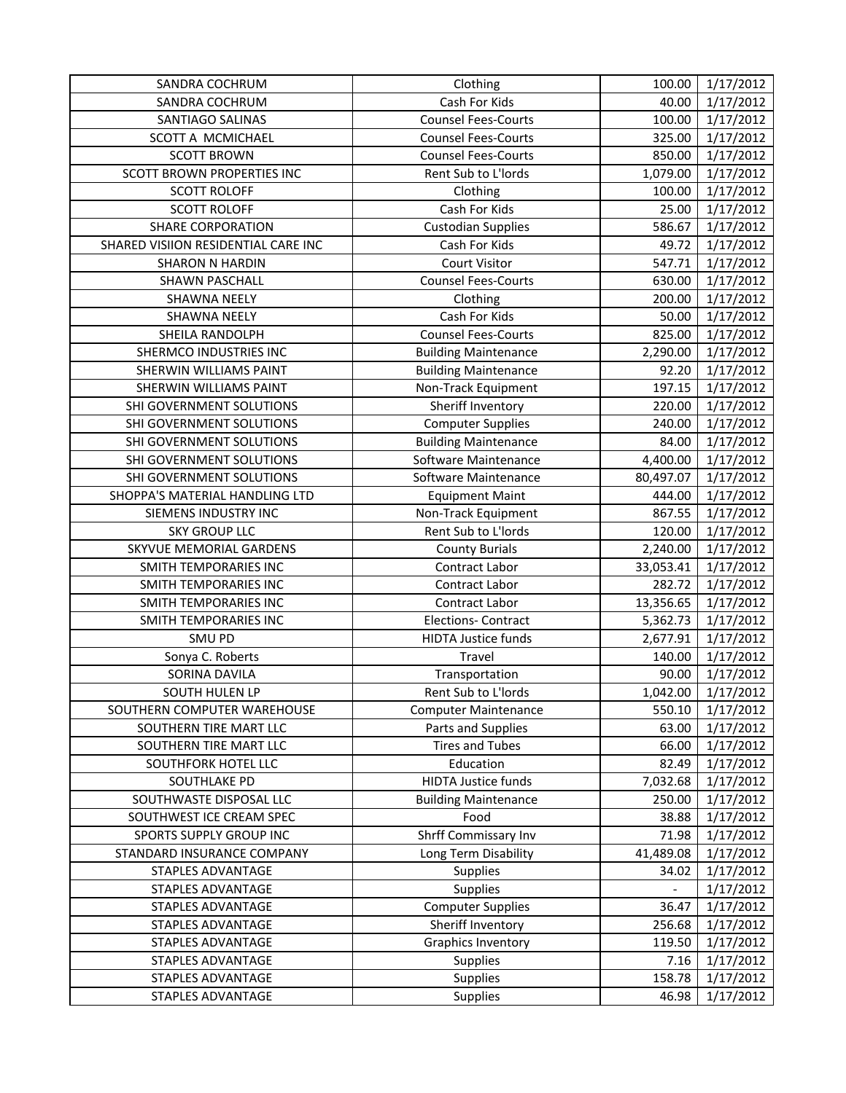| SANDRA COCHRUM                      | Clothing                    | 100.00    | 1/17/2012              |
|-------------------------------------|-----------------------------|-----------|------------------------|
| SANDRA COCHRUM                      | Cash For Kids               | 40.00     | 1/17/2012              |
| SANTIAGO SALINAS                    | <b>Counsel Fees-Courts</b>  | 100.00    | 1/17/2012              |
| SCOTT A MCMICHAEL                   | <b>Counsel Fees-Courts</b>  | 325.00    | 1/17/2012              |
| <b>SCOTT BROWN</b>                  | <b>Counsel Fees-Courts</b>  | 850.00    | 1/17/2012              |
| SCOTT BROWN PROPERTIES INC          | Rent Sub to L'Iords         | 1,079.00  | 1/17/2012              |
| <b>SCOTT ROLOFF</b>                 | Clothing                    | 100.00    | 1/17/2012              |
| <b>SCOTT ROLOFF</b>                 | Cash For Kids               | 25.00     | 1/17/2012              |
| <b>SHARE CORPORATION</b>            | <b>Custodian Supplies</b>   | 586.67    | 1/17/2012              |
| SHARED VISIION RESIDENTIAL CARE INC | Cash For Kids               | 49.72     | 1/17/2012              |
| <b>SHARON N HARDIN</b>              | <b>Court Visitor</b>        | 547.71    | 1/17/2012              |
| SHAWN PASCHALL                      | <b>Counsel Fees-Courts</b>  | 630.00    | 1/17/2012              |
| <b>SHAWNA NEELY</b>                 | Clothing                    | 200.00    | 1/17/2012              |
| <b>SHAWNA NEELY</b>                 | Cash For Kids               | 50.00     | 1/17/2012              |
| SHEILA RANDOLPH                     | <b>Counsel Fees-Courts</b>  | 825.00    | 1/17/2012              |
| SHERMCO INDUSTRIES INC              | <b>Building Maintenance</b> | 2,290.00  | 1/17/2012              |
| <b>SHERWIN WILLIAMS PAINT</b>       | <b>Building Maintenance</b> | 92.20     | 1/17/2012              |
| <b>SHERWIN WILLIAMS PAINT</b>       | Non-Track Equipment         | 197.15    | 1/17/2012              |
| SHI GOVERNMENT SOLUTIONS            | Sheriff Inventory           | 220.00    | 1/17/2012              |
| SHI GOVERNMENT SOLUTIONS            | <b>Computer Supplies</b>    | 240.00    | 1/17/2012              |
| SHI GOVERNMENT SOLUTIONS            | <b>Building Maintenance</b> | 84.00     | 1/17/2012              |
| SHI GOVERNMENT SOLUTIONS            | Software Maintenance        | 4,400.00  | 1/17/2012              |
| SHI GOVERNMENT SOLUTIONS            | Software Maintenance        | 80,497.07 | 1/17/2012              |
| SHOPPA'S MATERIAL HANDLING LTD      | <b>Equipment Maint</b>      | 444.00    | 1/17/2012              |
| SIEMENS INDUSTRY INC                | Non-Track Equipment         | 867.55    | 1/17/2012              |
| <b>SKY GROUP LLC</b>                | Rent Sub to L'Iords         | 120.00    | 1/17/2012              |
| SKYVUE MEMORIAL GARDENS             | <b>County Burials</b>       | 2,240.00  | 1/17/2012              |
| SMITH TEMPORARIES INC               | Contract Labor              | 33,053.41 | 1/17/2012              |
| <b>SMITH TEMPORARIES INC</b>        | Contract Labor              | 282.72    | 1/17/2012              |
| SMITH TEMPORARIES INC               | Contract Labor              | 13,356.65 | 1/17/2012              |
| SMITH TEMPORARIES INC               | <b>Elections- Contract</b>  | 5,362.73  | 1/17/2012              |
| SMU PD                              | <b>HIDTA Justice funds</b>  | 2,677.91  | 1/17/2012              |
| Sonya C. Roberts                    | Travel                      | 140.00    | $\frac{1}{1}$ /17/2012 |
| SORINA DAVILA                       | Transportation              | 90.00     | 1/17/2012              |
| SOUTH HULEN LP                      | Rent Sub to L'Iords         | 1,042.00  | 1/17/2012              |
| SOUTHERN COMPUTER WAREHOUSE         | <b>Computer Maintenance</b> | 550.10    | 1/17/2012              |
| SOUTHERN TIRE MART LLC              | Parts and Supplies          | 63.00     | 1/17/2012              |
| SOUTHERN TIRE MART LLC              | <b>Tires and Tubes</b>      | 66.00     | 1/17/2012              |
| SOUTHFORK HOTEL LLC                 | Education                   | 82.49     | 1/17/2012              |
| SOUTHLAKE PD                        | <b>HIDTA Justice funds</b>  | 7,032.68  | 1/17/2012              |
| SOUTHWASTE DISPOSAL LLC             | <b>Building Maintenance</b> | 250.00    | 1/17/2012              |
| SOUTHWEST ICE CREAM SPEC            | Food                        | 38.88     | 1/17/2012              |
| SPORTS SUPPLY GROUP INC             | Shrff Commissary Inv        | 71.98     | 1/17/2012              |
| STANDARD INSURANCE COMPANY          | Long Term Disability        | 41,489.08 | 1/17/2012              |
| STAPLES ADVANTAGE                   | <b>Supplies</b>             | 34.02     | 1/17/2012              |
| STAPLES ADVANTAGE                   | Supplies                    |           | 1/17/2012              |
| STAPLES ADVANTAGE                   | <b>Computer Supplies</b>    | 36.47     | 1/17/2012              |
| STAPLES ADVANTAGE                   | Sheriff Inventory           | 256.68    | 1/17/2012              |
| STAPLES ADVANTAGE                   | <b>Graphics Inventory</b>   | 119.50    | 1/17/2012              |
| STAPLES ADVANTAGE                   | Supplies                    | 7.16      | 1/17/2012              |
| STAPLES ADVANTAGE                   | <b>Supplies</b>             | 158.78    | 1/17/2012              |
| STAPLES ADVANTAGE                   | Supplies                    | 46.98     | 1/17/2012              |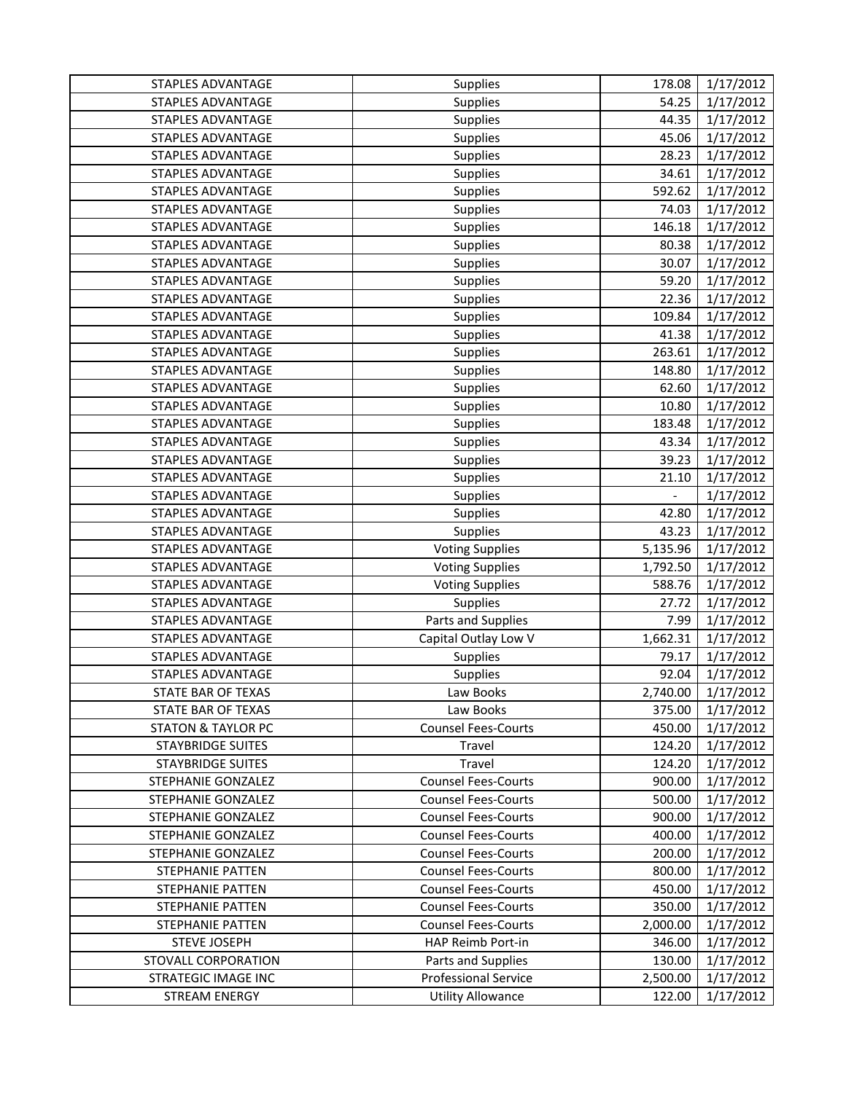| <b>STAPLES ADVANTAGE</b>                   | Supplies                                          | 178.08             | 1/17/2012              |
|--------------------------------------------|---------------------------------------------------|--------------------|------------------------|
| <b>STAPLES ADVANTAGE</b>                   | Supplies                                          | 54.25              | 1/17/2012              |
| STAPLES ADVANTAGE                          | Supplies                                          | 44.35              | 1/17/2012              |
| STAPLES ADVANTAGE                          | Supplies                                          | 45.06              | 1/17/2012              |
| STAPLES ADVANTAGE                          | Supplies                                          | 28.23              | 1/17/2012              |
| <b>STAPLES ADVANTAGE</b>                   | Supplies                                          | 34.61              | 1/17/2012              |
| STAPLES ADVANTAGE                          | Supplies                                          | 592.62             | 1/17/2012              |
| STAPLES ADVANTAGE                          | Supplies                                          | 74.03              | 1/17/2012              |
| <b>STAPLES ADVANTAGE</b>                   | Supplies                                          | 146.18             | 1/17/2012              |
| <b>STAPLES ADVANTAGE</b>                   | Supplies                                          | 80.38              | 1/17/2012              |
| <b>STAPLES ADVANTAGE</b>                   | Supplies                                          | 30.07              | 1/17/2012              |
| STAPLES ADVANTAGE                          | Supplies                                          | 59.20              | 1/17/2012              |
| STAPLES ADVANTAGE                          | Supplies                                          | 22.36              | 1/17/2012              |
| STAPLES ADVANTAGE                          | Supplies                                          | 109.84             | 1/17/2012              |
| STAPLES ADVANTAGE                          | Supplies                                          | 41.38              | 1/17/2012              |
| STAPLES ADVANTAGE                          | Supplies                                          | 263.61             | 1/17/2012              |
| STAPLES ADVANTAGE                          | Supplies                                          | 148.80             | 1/17/2012              |
| STAPLES ADVANTAGE                          | Supplies                                          | 62.60              | 1/17/2012              |
| STAPLES ADVANTAGE                          | Supplies                                          | 10.80              | 1/17/2012              |
| STAPLES ADVANTAGE                          | Supplies                                          | 183.48             | 1/17/2012              |
| <b>STAPLES ADVANTAGE</b>                   | Supplies                                          | 43.34              | 1/17/2012              |
| STAPLES ADVANTAGE                          | Supplies                                          | 39.23              | 1/17/2012              |
| STAPLES ADVANTAGE                          | Supplies                                          | 21.10              | 1/17/2012              |
| STAPLES ADVANTAGE                          | Supplies                                          | $\blacksquare$     | 1/17/2012              |
| STAPLES ADVANTAGE                          | Supplies                                          | 42.80              | 1/17/2012              |
| STAPLES ADVANTAGE                          | Supplies                                          | 43.23              | 1/17/2012              |
| STAPLES ADVANTAGE                          | <b>Voting Supplies</b>                            | 5,135.96           | 1/17/2012              |
| STAPLES ADVANTAGE                          | <b>Voting Supplies</b>                            | 1,792.50           | 1/17/2012              |
| STAPLES ADVANTAGE                          | <b>Voting Supplies</b>                            | 588.76             | 1/17/2012              |
| STAPLES ADVANTAGE                          | Supplies                                          | 27.72              | 1/17/2012              |
| <b>STAPLES ADVANTAGE</b>                   | Parts and Supplies                                | 7.99               | 1/17/2012              |
| STAPLES ADVANTAGE                          | Capital Outlay Low V                              | 1,662.31           | 1/17/2012              |
| STAPLES ADVANTAGE                          | Supplies                                          | 79.17              | 1/17/2012              |
| STAPLES ADVANTAGE                          | Supplies                                          | 92.04              | 1/17/2012              |
| STATE BAR OF TEXAS                         | Law Books                                         | 2,740.00           | 1/17/2012              |
| STATE BAR OF TEXAS                         | Law Books                                         | 375.00             | 1/17/2012              |
| <b>STATON &amp; TAYLOR PC</b>              | <b>Counsel Fees-Courts</b>                        | 450.00             | 1/17/2012              |
| <b>STAYBRIDGE SUITES</b>                   | Travel                                            | 124.20             | 1/17/2012              |
| <b>STAYBRIDGE SUITES</b>                   | Travel                                            | 124.20             | 1/17/2012              |
| STEPHANIE GONZALEZ                         | <b>Counsel Fees-Courts</b>                        | 900.00             | 1/17/2012              |
| STEPHANIE GONZALEZ                         | <b>Counsel Fees-Courts</b>                        | 500.00             | 1/17/2012              |
| STEPHANIE GONZALEZ                         | <b>Counsel Fees-Courts</b>                        | 900.00             | 1/17/2012              |
| STEPHANIE GONZALEZ                         | <b>Counsel Fees-Courts</b>                        | 400.00             | 1/17/2012              |
| STEPHANIE GONZALEZ                         | <b>Counsel Fees-Courts</b>                        | 200.00             | 1/17/2012              |
| <b>STEPHANIE PATTEN</b>                    | <b>Counsel Fees-Courts</b>                        | 800.00             | 1/17/2012              |
| STEPHANIE PATTEN                           | <b>Counsel Fees-Courts</b>                        | 450.00             | 1/17/2012              |
| STEPHANIE PATTEN                           | <b>Counsel Fees-Courts</b>                        | 350.00             | 1/17/2012              |
| STEPHANIE PATTEN                           | <b>Counsel Fees-Courts</b>                        | 2,000.00           | 1/17/2012              |
| <b>STEVE JOSEPH</b>                        | HAP Reimb Port-in                                 | 346.00             | 1/17/2012              |
| STOVALL CORPORATION<br>STRATEGIC IMAGE INC | Parts and Supplies<br><b>Professional Service</b> | 130.00<br>2,500.00 | 1/17/2012<br>1/17/2012 |
| <b>STREAM ENERGY</b>                       | <b>Utility Allowance</b>                          | 122.00             | 1/17/2012              |
|                                            |                                                   |                    |                        |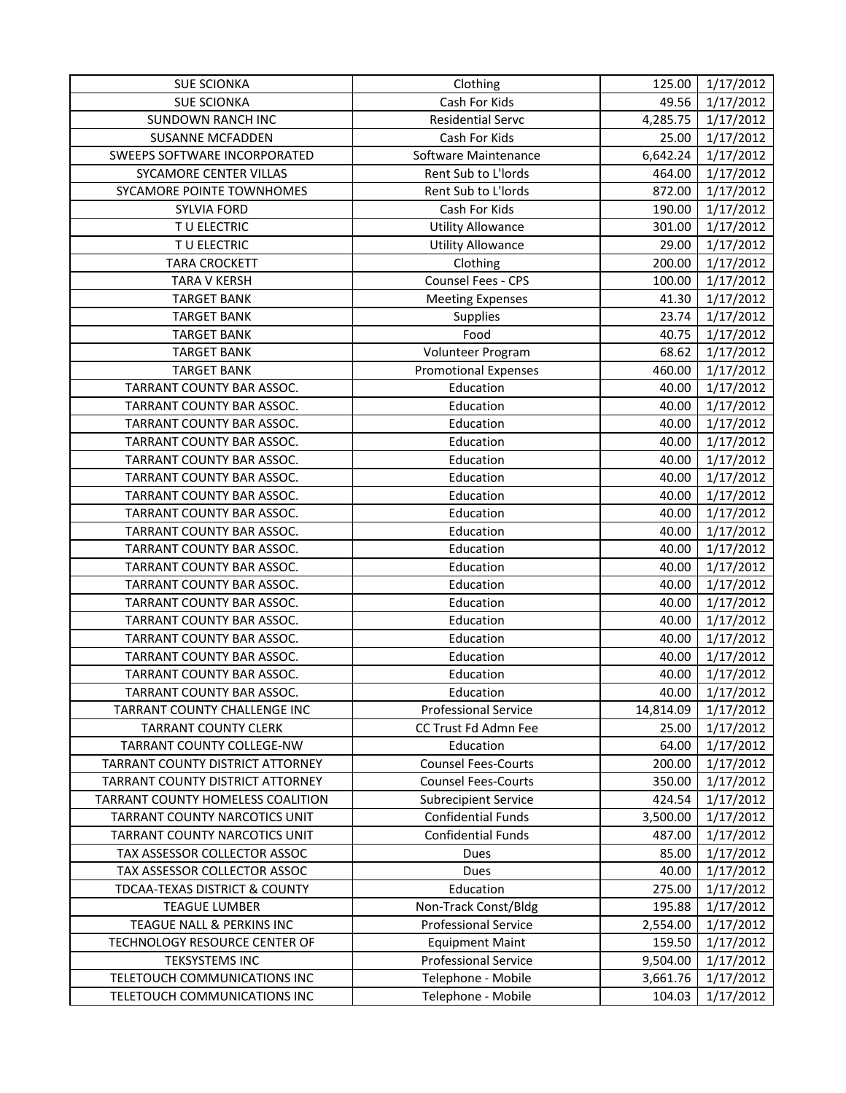| <b>SUE SCIONKA</b>                  | Clothing                    | 125.00    | 1/17/2012 |
|-------------------------------------|-----------------------------|-----------|-----------|
| <b>SUE SCIONKA</b>                  | Cash For Kids               | 49.56     | 1/17/2012 |
| <b>SUNDOWN RANCH INC</b>            | Residential Servc           | 4,285.75  | 1/17/2012 |
| <b>SUSANNE MCFADDEN</b>             | Cash For Kids               | 25.00     | 1/17/2012 |
| <b>SWEEPS SOFTWARE INCORPORATED</b> | Software Maintenance        | 6,642.24  | 1/17/2012 |
| SYCAMORE CENTER VILLAS              | Rent Sub to L'Iords         | 464.00    | 1/17/2012 |
| SYCAMORE POINTE TOWNHOMES           | Rent Sub to L'Iords         | 872.00    | 1/17/2012 |
| <b>SYLVIA FORD</b>                  | Cash For Kids               | 190.00    | 1/17/2012 |
| TU ELECTRIC                         | <b>Utility Allowance</b>    | 301.00    | 1/17/2012 |
| TU ELECTRIC                         | <b>Utility Allowance</b>    | 29.00     | 1/17/2012 |
| <b>TARA CROCKETT</b>                | Clothing                    | 200.00    | 1/17/2012 |
| <b>TARA V KERSH</b>                 | Counsel Fees - CPS          | 100.00    | 1/17/2012 |
| <b>TARGET BANK</b>                  | <b>Meeting Expenses</b>     | 41.30     | 1/17/2012 |
| <b>TARGET BANK</b>                  | Supplies                    | 23.74     | 1/17/2012 |
| <b>TARGET BANK</b>                  | Food                        | 40.75     | 1/17/2012 |
| <b>TARGET BANK</b>                  | Volunteer Program           | 68.62     | 1/17/2012 |
| <b>TARGET BANK</b>                  | <b>Promotional Expenses</b> | 460.00    | 1/17/2012 |
| TARRANT COUNTY BAR ASSOC.           | Education                   | 40.00     | 1/17/2012 |
| TARRANT COUNTY BAR ASSOC.           | Education                   | 40.00     | 1/17/2012 |
| TARRANT COUNTY BAR ASSOC.           | Education                   | 40.00     | 1/17/2012 |
| TARRANT COUNTY BAR ASSOC.           | Education                   | 40.00     | 1/17/2012 |
| TARRANT COUNTY BAR ASSOC.           | Education                   | 40.00     | 1/17/2012 |
| TARRANT COUNTY BAR ASSOC.           | Education                   | 40.00     | 1/17/2012 |
| TARRANT COUNTY BAR ASSOC.           | Education                   | 40.00     | 1/17/2012 |
| TARRANT COUNTY BAR ASSOC.           | Education                   | 40.00     | 1/17/2012 |
| TARRANT COUNTY BAR ASSOC.           | Education                   | 40.00     | 1/17/2012 |
| TARRANT COUNTY BAR ASSOC.           | Education                   | 40.00     | 1/17/2012 |
| TARRANT COUNTY BAR ASSOC.           | Education                   | 40.00     | 1/17/2012 |
| TARRANT COUNTY BAR ASSOC.           | Education                   | 40.00     | 1/17/2012 |
| TARRANT COUNTY BAR ASSOC.           | Education                   | 40.00     | 1/17/2012 |
| TARRANT COUNTY BAR ASSOC.           | Education                   | 40.00     | 1/17/2012 |
| TARRANT COUNTY BAR ASSOC.           | Education                   | 40.00     | 1/17/2012 |
| TARRANT COUNTY BAR ASSOC.           | Education                   | 40.00     | 1/17/2012 |
| TARRANT COUNTY BAR ASSOC.           | Education                   | 40.00     | 1/17/2012 |
| TARRANT COUNTY BAR ASSOC.           | Education                   | 40.00     | 1/17/2012 |
| TARRANT COUNTY CHALLENGE INC        | <b>Professional Service</b> | 14,814.09 | 1/17/2012 |
| <b>TARRANT COUNTY CLERK</b>         | CC Trust Fd Admn Fee        | 25.00     | 1/17/2012 |
| TARRANT COUNTY COLLEGE-NW           | Education                   | 64.00     | 1/17/2012 |
| TARRANT COUNTY DISTRICT ATTORNEY    | <b>Counsel Fees-Courts</b>  | 200.00    | 1/17/2012 |
| TARRANT COUNTY DISTRICT ATTORNEY    | <b>Counsel Fees-Courts</b>  | 350.00    | 1/17/2012 |
| TARRANT COUNTY HOMELESS COALITION   | <b>Subrecipient Service</b> | 424.54    | 1/17/2012 |
| TARRANT COUNTY NARCOTICS UNIT       | <b>Confidential Funds</b>   | 3,500.00  | 1/17/2012 |
| TARRANT COUNTY NARCOTICS UNIT       | <b>Confidential Funds</b>   | 487.00    | 1/17/2012 |
| TAX ASSESSOR COLLECTOR ASSOC        | Dues                        | 85.00     | 1/17/2012 |
| TAX ASSESSOR COLLECTOR ASSOC        | Dues                        | 40.00     | 1/17/2012 |
| TDCAA-TEXAS DISTRICT & COUNTY       | Education                   | 275.00    | 1/17/2012 |
| <b>TEAGUE LUMBER</b>                | Non-Track Const/Bldg        | 195.88    | 1/17/2012 |
| TEAGUE NALL & PERKINS INC           | <b>Professional Service</b> | 2,554.00  | 1/17/2012 |
| TECHNOLOGY RESOURCE CENTER OF       | <b>Equipment Maint</b>      | 159.50    | 1/17/2012 |
| <b>TEKSYSTEMS INC</b>               | <b>Professional Service</b> | 9,504.00  | 1/17/2012 |
| TELETOUCH COMMUNICATIONS INC        | Telephone - Mobile          | 3,661.76  | 1/17/2012 |
| TELETOUCH COMMUNICATIONS INC        | Telephone - Mobile          | 104.03    | 1/17/2012 |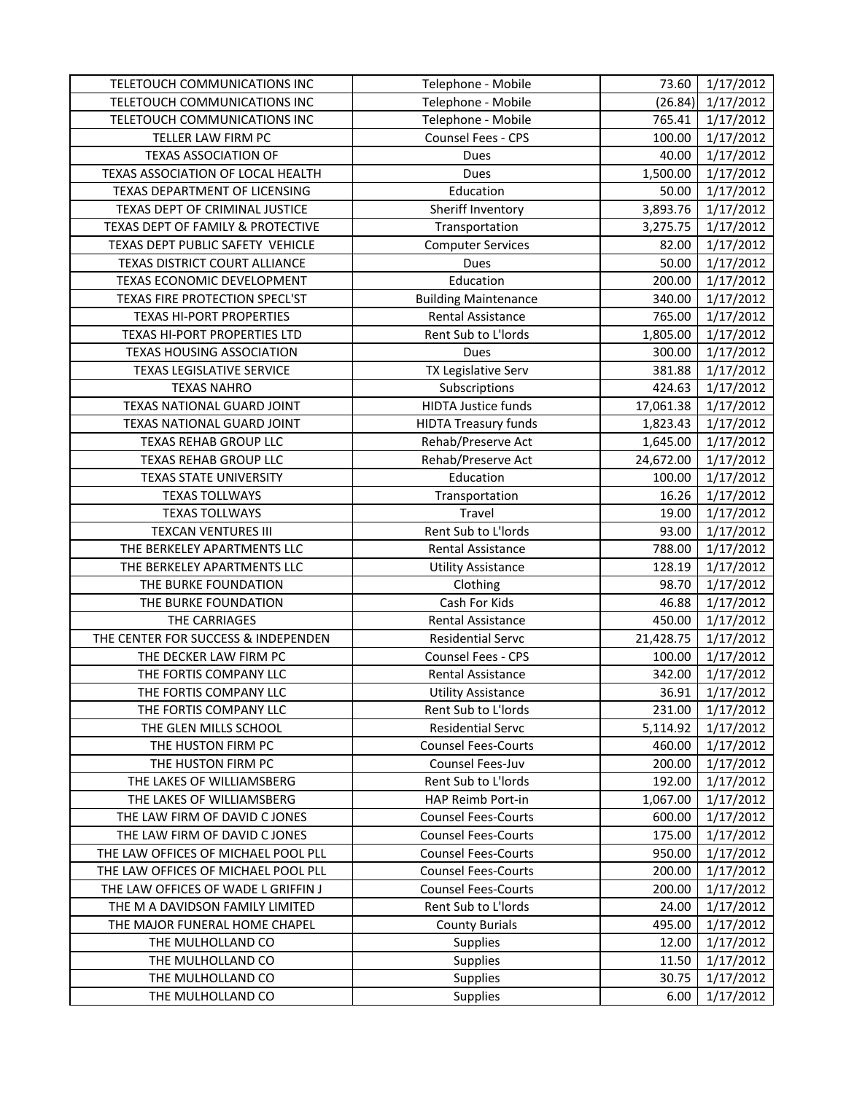| TELETOUCH COMMUNICATIONS INC        | Telephone - Mobile          | 73.60     | 1/17/2012 |
|-------------------------------------|-----------------------------|-----------|-----------|
| TELETOUCH COMMUNICATIONS INC        | Telephone - Mobile          | (26.84)   | 1/17/2012 |
| TELETOUCH COMMUNICATIONS INC        | Telephone - Mobile          | 765.41    | 1/17/2012 |
| TELLER LAW FIRM PC                  | Counsel Fees - CPS          | 100.00    | 1/17/2012 |
| <b>TEXAS ASSOCIATION OF</b>         | Dues                        | 40.00     | 1/17/2012 |
| TEXAS ASSOCIATION OF LOCAL HEALTH   | Dues                        | 1,500.00  | 1/17/2012 |
| TEXAS DEPARTMENT OF LICENSING       | Education                   | 50.00     | 1/17/2012 |
| TEXAS DEPT OF CRIMINAL JUSTICE      | Sheriff Inventory           | 3,893.76  | 1/17/2012 |
| TEXAS DEPT OF FAMILY & PROTECTIVE   | Transportation              | 3,275.75  | 1/17/2012 |
| TEXAS DEPT PUBLIC SAFETY VEHICLE    | <b>Computer Services</b>    | 82.00     | 1/17/2012 |
| TEXAS DISTRICT COURT ALLIANCE       | Dues                        | 50.00     | 1/17/2012 |
| TEXAS ECONOMIC DEVELOPMENT          | Education                   | 200.00    | 1/17/2012 |
| TEXAS FIRE PROTECTION SPECL'ST      | <b>Building Maintenance</b> | 340.00    | 1/17/2012 |
| <b>TEXAS HI-PORT PROPERTIES</b>     | <b>Rental Assistance</b>    | 765.00    | 1/17/2012 |
| TEXAS HI-PORT PROPERTIES LTD        | Rent Sub to L'Iords         | 1,805.00  | 1/17/2012 |
| <b>TEXAS HOUSING ASSOCIATION</b>    | Dues                        | 300.00    | 1/17/2012 |
| <b>TEXAS LEGISLATIVE SERVICE</b>    | TX Legislative Serv         | 381.88    | 1/17/2012 |
| <b>TEXAS NAHRO</b>                  | Subscriptions               | 424.63    | 1/17/2012 |
| TEXAS NATIONAL GUARD JOINT          | <b>HIDTA Justice funds</b>  | 17,061.38 | 1/17/2012 |
| TEXAS NATIONAL GUARD JOINT          | <b>HIDTA Treasury funds</b> | 1,823.43  | 1/17/2012 |
| TEXAS REHAB GROUP LLC               | Rehab/Preserve Act          | 1,645.00  | 1/17/2012 |
| TEXAS REHAB GROUP LLC               | Rehab/Preserve Act          | 24,672.00 | 1/17/2012 |
| <b>TEXAS STATE UNIVERSITY</b>       | Education                   | 100.00    | 1/17/2012 |
| <b>TEXAS TOLLWAYS</b>               | Transportation              | 16.26     | 1/17/2012 |
| <b>TEXAS TOLLWAYS</b>               | Travel                      | 19.00     | 1/17/2012 |
| <b>TEXCAN VENTURES III</b>          | Rent Sub to L'Iords         | 93.00     | 1/17/2012 |
| THE BERKELEY APARTMENTS LLC         | Rental Assistance           | 788.00    | 1/17/2012 |
| THE BERKELEY APARTMENTS LLC         | <b>Utility Assistance</b>   | 128.19    | 1/17/2012 |
| THE BURKE FOUNDATION                | Clothing                    | 98.70     | 1/17/2012 |
| THE BURKE FOUNDATION                | Cash For Kids               | 46.88     | 1/17/2012 |
| THE CARRIAGES                       | Rental Assistance           | 450.00    | 1/17/2012 |
| THE CENTER FOR SUCCESS & INDEPENDEN | <b>Residential Servc</b>    | 21,428.75 | 1/17/2012 |
| THE DECKER LAW FIRM PC              | Counsel Fees - CPS          | 100.00    | 1/17/2012 |
| THE FORTIS COMPANY LLC              | Rental Assistance           | 342.00    | 1/17/2012 |
| THE FORTIS COMPANY LLC              | <b>Utility Assistance</b>   | 36.91     | 1/17/2012 |
| THE FORTIS COMPANY LLC              | Rent Sub to L'Iords         | 231.00    | 1/17/2012 |
| THE GLEN MILLS SCHOOL               | <b>Residential Servc</b>    | 5,114.92  | 1/17/2012 |
| THE HUSTON FIRM PC                  | <b>Counsel Fees-Courts</b>  | 460.00    | 1/17/2012 |
| THE HUSTON FIRM PC                  | Counsel Fees-Juv            | 200.00    | 1/17/2012 |
| THE LAKES OF WILLIAMSBERG           | Rent Sub to L'Iords         | 192.00    | 1/17/2012 |
| THE LAKES OF WILLIAMSBERG           | HAP Reimb Port-in           | 1,067.00  | 1/17/2012 |
| THE LAW FIRM OF DAVID C JONES       | <b>Counsel Fees-Courts</b>  | 600.00    | 1/17/2012 |
| THE LAW FIRM OF DAVID C JONES       | <b>Counsel Fees-Courts</b>  | 175.00    | 1/17/2012 |
| THE LAW OFFICES OF MICHAEL POOL PLL | <b>Counsel Fees-Courts</b>  | 950.00    | 1/17/2012 |
| THE LAW OFFICES OF MICHAEL POOL PLL | <b>Counsel Fees-Courts</b>  | 200.00    | 1/17/2012 |
| THE LAW OFFICES OF WADE L GRIFFIN J | <b>Counsel Fees-Courts</b>  | 200.00    | 1/17/2012 |
| THE M A DAVIDSON FAMILY LIMITED     | Rent Sub to L'Iords         | 24.00     | 1/17/2012 |
| THE MAJOR FUNERAL HOME CHAPEL       | <b>County Burials</b>       | 495.00    | 1/17/2012 |
| THE MULHOLLAND CO                   | Supplies                    | 12.00     | 1/17/2012 |
| THE MULHOLLAND CO                   | Supplies                    | 11.50     | 1/17/2012 |
| THE MULHOLLAND CO                   | <b>Supplies</b>             | 30.75     | 1/17/2012 |
| THE MULHOLLAND CO                   | <b>Supplies</b>             | 6.00      | 1/17/2012 |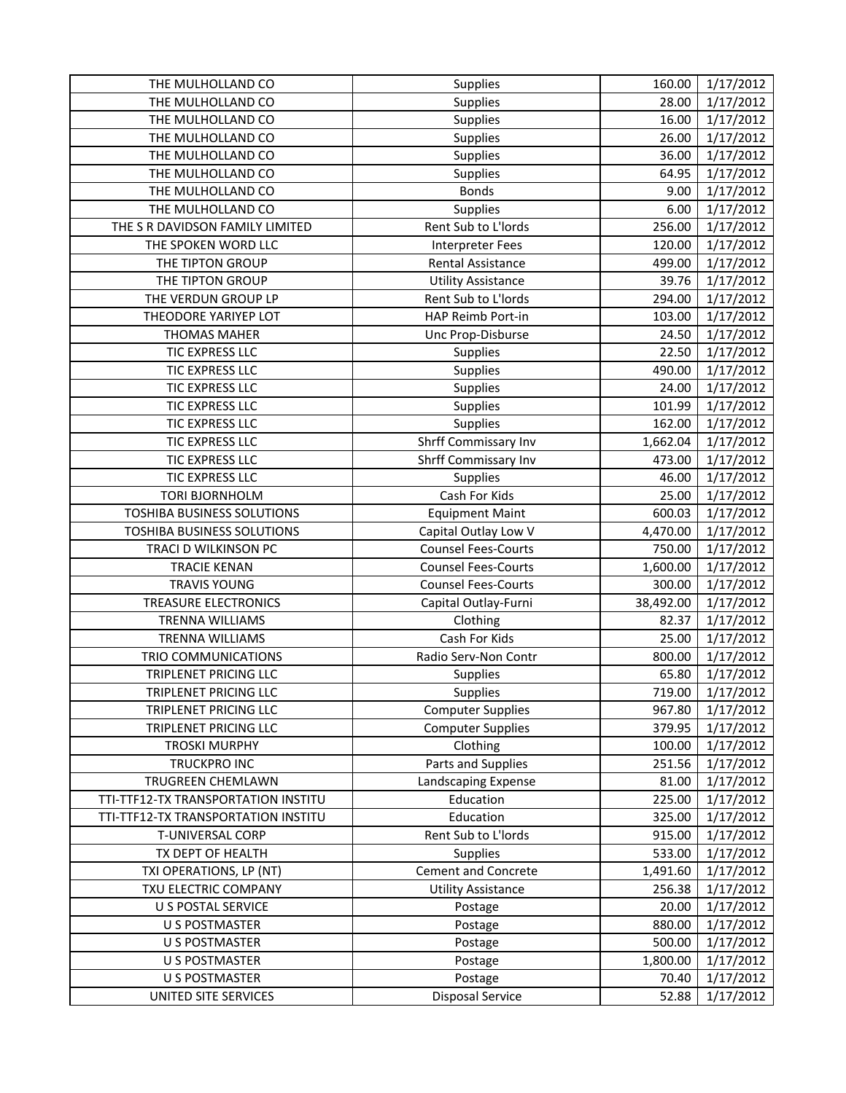| THE MULHOLLAND CO                   | Supplies                   | 160.00    | 1/17/2012 |
|-------------------------------------|----------------------------|-----------|-----------|
| THE MULHOLLAND CO                   | Supplies                   | 28.00     | 1/17/2012 |
| THE MULHOLLAND CO                   | Supplies                   | 16.00     | 1/17/2012 |
| THE MULHOLLAND CO                   | Supplies                   | 26.00     | 1/17/2012 |
| THE MULHOLLAND CO                   | Supplies                   | 36.00     | 1/17/2012 |
| THE MULHOLLAND CO                   | Supplies                   | 64.95     | 1/17/2012 |
| THE MULHOLLAND CO                   | <b>Bonds</b>               | 9.00      | 1/17/2012 |
| THE MULHOLLAND CO                   | Supplies                   | 6.00      | 1/17/2012 |
| THE S R DAVIDSON FAMILY LIMITED     | Rent Sub to L'Iords        | 256.00    | 1/17/2012 |
| THE SPOKEN WORD LLC                 | <b>Interpreter Fees</b>    | 120.00    | 1/17/2012 |
| THE TIPTON GROUP                    | Rental Assistance          | 499.00    | 1/17/2012 |
| THE TIPTON GROUP                    | <b>Utility Assistance</b>  | 39.76     | 1/17/2012 |
| THE VERDUN GROUP LP                 | Rent Sub to L'Iords        | 294.00    | 1/17/2012 |
| THEODORE YARIYEP LOT                | HAP Reimb Port-in          | 103.00    | 1/17/2012 |
| <b>THOMAS MAHER</b>                 | Unc Prop-Disburse          | 24.50     | 1/17/2012 |
| TIC EXPRESS LLC                     | Supplies                   | 22.50     | 1/17/2012 |
| TIC EXPRESS LLC                     | Supplies                   | 490.00    | 1/17/2012 |
| TIC EXPRESS LLC                     | Supplies                   | 24.00     | 1/17/2012 |
| TIC EXPRESS LLC                     | Supplies                   | 101.99    | 1/17/2012 |
| TIC EXPRESS LLC                     | Supplies                   | 162.00    | 1/17/2012 |
| TIC EXPRESS LLC                     | Shrff Commissary Inv       | 1,662.04  | 1/17/2012 |
| TIC EXPRESS LLC                     | Shrff Commissary Inv       | 473.00    | 1/17/2012 |
| TIC EXPRESS LLC                     | Supplies                   | 46.00     | 1/17/2012 |
| <b>TORI BJORNHOLM</b>               | Cash For Kids              | 25.00     | 1/17/2012 |
| TOSHIBA BUSINESS SOLUTIONS          | <b>Equipment Maint</b>     | 600.03    | 1/17/2012 |
| TOSHIBA BUSINESS SOLUTIONS          | Capital Outlay Low V       | 4,470.00  | 1/17/2012 |
| TRACI D WILKINSON PC                | <b>Counsel Fees-Courts</b> | 750.00    | 1/17/2012 |
| <b>TRACIE KENAN</b>                 | <b>Counsel Fees-Courts</b> | 1,600.00  | 1/17/2012 |
| <b>TRAVIS YOUNG</b>                 | <b>Counsel Fees-Courts</b> | 300.00    | 1/17/2012 |
| TREASURE ELECTRONICS                | Capital Outlay-Furni       | 38,492.00 | 1/17/2012 |
| <b>TRENNA WILLIAMS</b>              | Clothing                   | 82.37     | 1/17/2012 |
| <b>TRENNA WILLIAMS</b>              | Cash For Kids              | 25.00     | 1/17/2012 |
| TRIO COMMUNICATIONS                 | Radio Serv-Non Contr       | 800.00    | 1/17/2012 |
| TRIPLENET PRICING LLC               | <b>Supplies</b>            | 65.80     | 1/17/2012 |
| TRIPLENET PRICING LLC               | Supplies                   | 719.00    | 1/17/2012 |
| TRIPLENET PRICING LLC               | <b>Computer Supplies</b>   | 967.80    | 1/17/2012 |
| TRIPLENET PRICING LLC               | <b>Computer Supplies</b>   | 379.95    | 1/17/2012 |
| <b>TROSKI MURPHY</b>                | Clothing                   | 100.00    | 1/17/2012 |
| TRUCKPRO INC                        | Parts and Supplies         | 251.56    | 1/17/2012 |
| TRUGREEN CHEMLAWN                   | Landscaping Expense        | 81.00     | 1/17/2012 |
| TTI-TTF12-TX TRANSPORTATION INSTITU | Education                  | 225.00    | 1/17/2012 |
| TTI-TTF12-TX TRANSPORTATION INSTITU | Education                  | 325.00    | 1/17/2012 |
| T-UNIVERSAL CORP                    | Rent Sub to L'Iords        | 915.00    | 1/17/2012 |
| TX DEPT OF HEALTH                   | <b>Supplies</b>            | 533.00    | 1/17/2012 |
| TXI OPERATIONS, LP (NT)             | <b>Cement and Concrete</b> | 1,491.60  | 1/17/2012 |
| TXU ELECTRIC COMPANY                | <b>Utility Assistance</b>  | 256.38    | 1/17/2012 |
| <b>U S POSTAL SERVICE</b>           | Postage                    | 20.00     | 1/17/2012 |
| <b>U S POSTMASTER</b>               | Postage                    | 880.00    | 1/17/2012 |
| <b>U S POSTMASTER</b>               | Postage                    | 500.00    | 1/17/2012 |
| <b>U S POSTMASTER</b>               | Postage                    | 1,800.00  | 1/17/2012 |
| <b>U S POSTMASTER</b>               | Postage                    | 70.40     | 1/17/2012 |
| UNITED SITE SERVICES                | <b>Disposal Service</b>    | 52.88     | 1/17/2012 |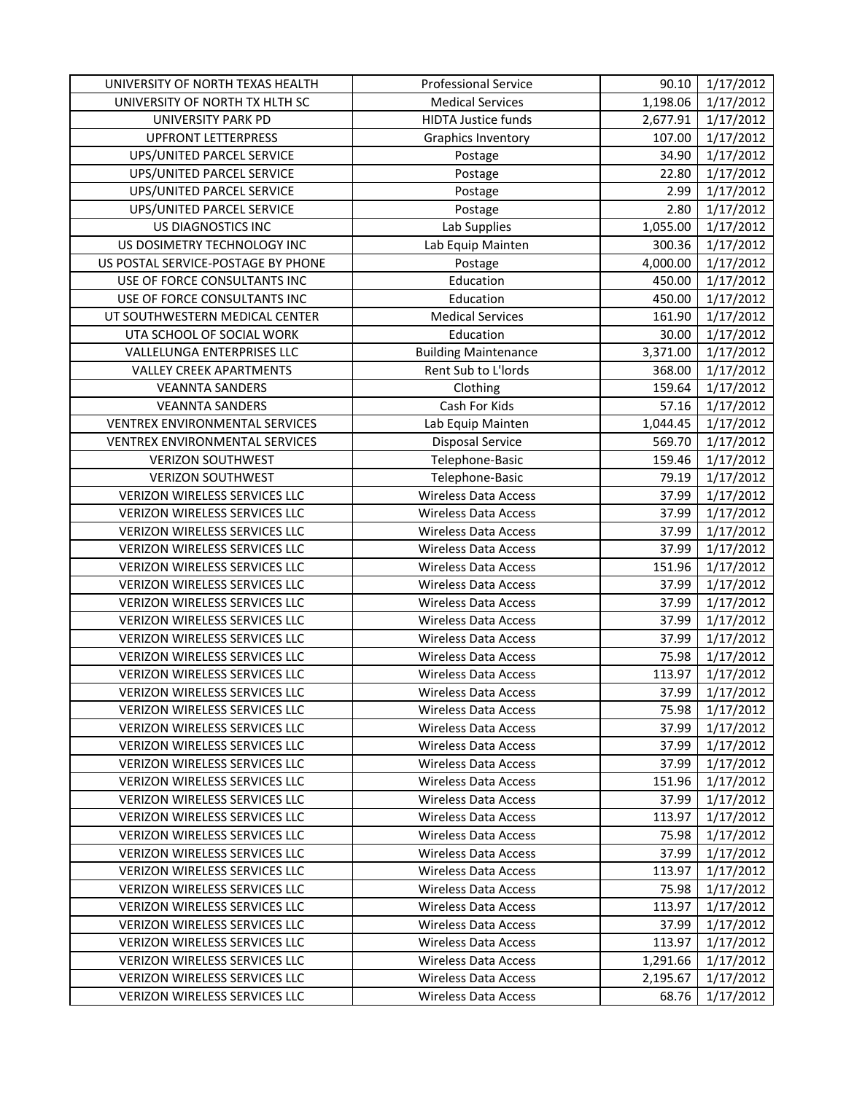| UNIVERSITY OF NORTH TEXAS HEALTH     | <b>Professional Service</b> | 90.10    | 1/17/2012 |
|--------------------------------------|-----------------------------|----------|-----------|
| UNIVERSITY OF NORTH TX HLTH SC       | <b>Medical Services</b>     | 1,198.06 | 1/17/2012 |
| UNIVERSITY PARK PD                   | <b>HIDTA Justice funds</b>  | 2,677.91 | 1/17/2012 |
| <b>UPFRONT LETTERPRESS</b>           | <b>Graphics Inventory</b>   | 107.00   | 1/17/2012 |
| UPS/UNITED PARCEL SERVICE            | Postage                     | 34.90    | 1/17/2012 |
| UPS/UNITED PARCEL SERVICE            | Postage                     | 22.80    | 1/17/2012 |
| UPS/UNITED PARCEL SERVICE            | Postage                     | 2.99     | 1/17/2012 |
| UPS/UNITED PARCEL SERVICE            | Postage                     | 2.80     | 1/17/2012 |
| US DIAGNOSTICS INC                   | Lab Supplies                | 1,055.00 | 1/17/2012 |
| US DOSIMETRY TECHNOLOGY INC          | Lab Equip Mainten           | 300.36   | 1/17/2012 |
| US POSTAL SERVICE-POSTAGE BY PHONE   | Postage                     | 4,000.00 | 1/17/2012 |
| USE OF FORCE CONSULTANTS INC         | Education                   | 450.00   | 1/17/2012 |
| USE OF FORCE CONSULTANTS INC         | Education                   | 450.00   | 1/17/2012 |
| UT SOUTHWESTERN MEDICAL CENTER       | <b>Medical Services</b>     | 161.90   | 1/17/2012 |
| UTA SCHOOL OF SOCIAL WORK            | Education                   | 30.00    | 1/17/2012 |
| VALLELUNGA ENTERPRISES LLC           | <b>Building Maintenance</b> | 3,371.00 | 1/17/2012 |
| <b>VALLEY CREEK APARTMENTS</b>       | Rent Sub to L'Iords         | 368.00   | 1/17/2012 |
| <b>VEANNTA SANDERS</b>               | Clothing                    | 159.64   | 1/17/2012 |
| <b>VEANNTA SANDERS</b>               | Cash For Kids               | 57.16    | 1/17/2012 |
| VENTREX ENVIRONMENTAL SERVICES       | Lab Equip Mainten           | 1,044.45 | 1/17/2012 |
| VENTREX ENVIRONMENTAL SERVICES       | Disposal Service            | 569.70   | 1/17/2012 |
| <b>VERIZON SOUTHWEST</b>             | Telephone-Basic             | 159.46   | 1/17/2012 |
| <b>VERIZON SOUTHWEST</b>             | Telephone-Basic             | 79.19    | 1/17/2012 |
| VERIZON WIRELESS SERVICES LLC        | <b>Wireless Data Access</b> | 37.99    | 1/17/2012 |
| VERIZON WIRELESS SERVICES LLC        | <b>Wireless Data Access</b> | 37.99    | 1/17/2012 |
| VERIZON WIRELESS SERVICES LLC        | <b>Wireless Data Access</b> | 37.99    | 1/17/2012 |
| VERIZON WIRELESS SERVICES LLC        | <b>Wireless Data Access</b> | 37.99    | 1/17/2012 |
| <b>VERIZON WIRELESS SERVICES LLC</b> | <b>Wireless Data Access</b> | 151.96   | 1/17/2012 |
| VERIZON WIRELESS SERVICES LLC        | <b>Wireless Data Access</b> | 37.99    | 1/17/2012 |
| VERIZON WIRELESS SERVICES LLC        | <b>Wireless Data Access</b> | 37.99    | 1/17/2012 |
| <b>VERIZON WIRELESS SERVICES LLC</b> | <b>Wireless Data Access</b> | 37.99    | 1/17/2012 |
| VERIZON WIRELESS SERVICES LLC        | <b>Wireless Data Access</b> | 37.99    | 1/17/2012 |
| <b>VERIZON WIRELESS SERVICES LLC</b> | <b>Wireless Data Access</b> | 75.98    | 1/17/2012 |
| VERIZON WIRELESS SERVICES LLC        | <b>Wireless Data Access</b> | 113.97   | 1/17/2012 |
| VERIZON WIRELESS SERVICES LLC        | <b>Wireless Data Access</b> | 37.99    | 1/17/2012 |
| VERIZON WIRELESS SERVICES LLC        | <b>Wireless Data Access</b> | 75.98    | 1/17/2012 |
| VERIZON WIRELESS SERVICES LLC        | Wireless Data Access        | 37.99    | 1/17/2012 |
| <b>VERIZON WIRELESS SERVICES LLC</b> | <b>Wireless Data Access</b> | 37.99    | 1/17/2012 |
| VERIZON WIRELESS SERVICES LLC        | <b>Wireless Data Access</b> | 37.99    | 1/17/2012 |
| <b>VERIZON WIRELESS SERVICES LLC</b> | <b>Wireless Data Access</b> | 151.96   | 1/17/2012 |
| <b>VERIZON WIRELESS SERVICES LLC</b> | <b>Wireless Data Access</b> | 37.99    | 1/17/2012 |
| <b>VERIZON WIRELESS SERVICES LLC</b> | Wireless Data Access        | 113.97   | 1/17/2012 |
| <b>VERIZON WIRELESS SERVICES LLC</b> | <b>Wireless Data Access</b> | 75.98    | 1/17/2012 |
| VERIZON WIRELESS SERVICES LLC        | <b>Wireless Data Access</b> | 37.99    | 1/17/2012 |
| <b>VERIZON WIRELESS SERVICES LLC</b> | <b>Wireless Data Access</b> | 113.97   | 1/17/2012 |
| VERIZON WIRELESS SERVICES LLC        | <b>Wireless Data Access</b> | 75.98    | 1/17/2012 |
| VERIZON WIRELESS SERVICES LLC        | <b>Wireless Data Access</b> | 113.97   | 1/17/2012 |
| <b>VERIZON WIRELESS SERVICES LLC</b> | <b>Wireless Data Access</b> | 37.99    | 1/17/2012 |
| VERIZON WIRELESS SERVICES LLC        | <b>Wireless Data Access</b> | 113.97   | 1/17/2012 |
| VERIZON WIRELESS SERVICES LLC        | <b>Wireless Data Access</b> | 1,291.66 | 1/17/2012 |
| VERIZON WIRELESS SERVICES LLC        | <b>Wireless Data Access</b> | 2,195.67 | 1/17/2012 |
| VERIZON WIRELESS SERVICES LLC        | <b>Wireless Data Access</b> | 68.76    | 1/17/2012 |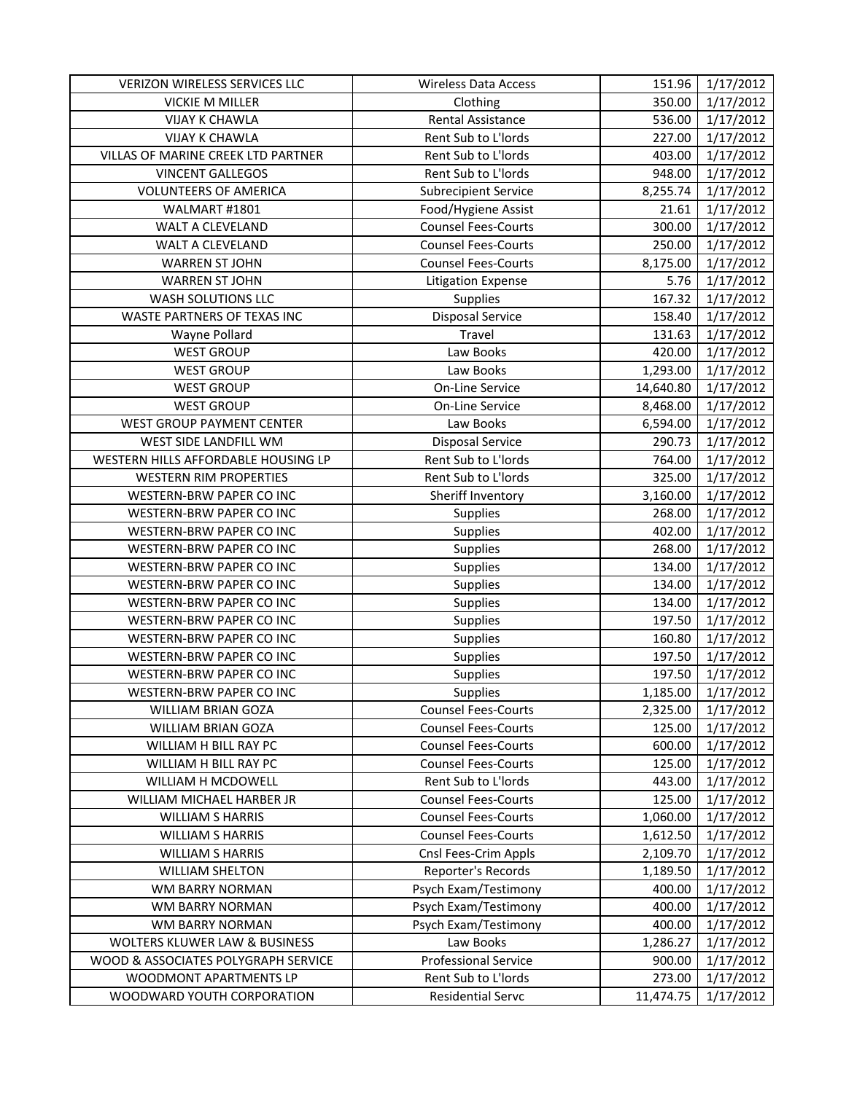| VERIZON WIRELESS SERVICES LLC            | <b>Wireless Data Access</b> | 151.96    | 1/17/2012 |
|------------------------------------------|-----------------------------|-----------|-----------|
| <b>VICKIE M MILLER</b>                   | Clothing                    | 350.00    | 1/17/2012 |
| <b>VIJAY K CHAWLA</b>                    | Rental Assistance           | 536.00    | 1/17/2012 |
| <b>VIJAY K CHAWLA</b>                    | Rent Sub to L'Iords         | 227.00    | 1/17/2012 |
| VILLAS OF MARINE CREEK LTD PARTNER       | Rent Sub to L'Iords         | 403.00    | 1/17/2012 |
| <b>VINCENT GALLEGOS</b>                  | Rent Sub to L'Iords         | 948.00    | 1/17/2012 |
| <b>VOLUNTEERS OF AMERICA</b>             | <b>Subrecipient Service</b> | 8,255.74  | 1/17/2012 |
| WALMART #1801                            | Food/Hygiene Assist         | 21.61     | 1/17/2012 |
| WALT A CLEVELAND                         | <b>Counsel Fees-Courts</b>  | 300.00    | 1/17/2012 |
| WALT A CLEVELAND                         | <b>Counsel Fees-Courts</b>  | 250.00    | 1/17/2012 |
| <b>WARREN ST JOHN</b>                    | <b>Counsel Fees-Courts</b>  | 8,175.00  | 1/17/2012 |
| <b>WARREN ST JOHN</b>                    | <b>Litigation Expense</b>   | 5.76      | 1/17/2012 |
| WASH SOLUTIONS LLC                       | Supplies                    | 167.32    | 1/17/2012 |
| WASTE PARTNERS OF TEXAS INC              | <b>Disposal Service</b>     | 158.40    | 1/17/2012 |
| Wayne Pollard                            | Travel                      | 131.63    | 1/17/2012 |
| <b>WEST GROUP</b>                        | Law Books                   | 420.00    | 1/17/2012 |
| <b>WEST GROUP</b>                        | Law Books                   | 1,293.00  | 1/17/2012 |
| <b>WEST GROUP</b>                        | <b>On-Line Service</b>      | 14,640.80 | 1/17/2012 |
| <b>WEST GROUP</b>                        | On-Line Service             | 8,468.00  | 1/17/2012 |
| WEST GROUP PAYMENT CENTER                | Law Books                   | 6,594.00  | 1/17/2012 |
| WEST SIDE LANDFILL WM                    | <b>Disposal Service</b>     | 290.73    | 1/17/2012 |
| WESTERN HILLS AFFORDABLE HOUSING LP      | Rent Sub to L'Iords         | 764.00    | 1/17/2012 |
| <b>WESTERN RIM PROPERTIES</b>            | Rent Sub to L'Iords         | 325.00    | 1/17/2012 |
| WESTERN-BRW PAPER CO INC                 | Sheriff Inventory           | 3,160.00  | 1/17/2012 |
| WESTERN-BRW PAPER CO INC                 | Supplies                    | 268.00    | 1/17/2012 |
| WESTERN-BRW PAPER CO INC                 | Supplies                    | 402.00    | 1/17/2012 |
| WESTERN-BRW PAPER CO INC                 | Supplies                    | 268.00    | 1/17/2012 |
| WESTERN-BRW PAPER CO INC                 | Supplies                    | 134.00    | 1/17/2012 |
| WESTERN-BRW PAPER CO INC                 | Supplies                    | 134.00    | 1/17/2012 |
| WESTERN-BRW PAPER CO INC                 | Supplies                    | 134.00    | 1/17/2012 |
| WESTERN-BRW PAPER CO INC                 | Supplies                    | 197.50    | 1/17/2012 |
| WESTERN-BRW PAPER CO INC                 | Supplies                    | 160.80    | 1/17/2012 |
| WESTERN-BRW PAPER CO INC                 | Supplies                    | 197.50    | 1/17/2012 |
| WESTERN-BRW PAPER CO INC                 | Supplies                    | 197.50    | 1/17/2012 |
| WESTERN-BRW PAPER CO INC                 | Supplies                    | 1,185.00  | 1/17/2012 |
| WILLIAM BRIAN GOZA                       | <b>Counsel Fees-Courts</b>  | 2,325.00  | 1/17/2012 |
| <b>WILLIAM BRIAN GOZA</b>                | <b>Counsel Fees-Courts</b>  | 125.00    | 1/17/2012 |
| WILLIAM H BILL RAY PC                    | <b>Counsel Fees-Courts</b>  | 600.00    | 1/17/2012 |
| WILLIAM H BILL RAY PC                    | <b>Counsel Fees-Courts</b>  | 125.00    | 1/17/2012 |
| WILLIAM H MCDOWELL                       | Rent Sub to L'Iords         | 443.00    | 1/17/2012 |
| WILLIAM MICHAEL HARBER JR                | <b>Counsel Fees-Courts</b>  | 125.00    | 1/17/2012 |
| <b>WILLIAM S HARRIS</b>                  | <b>Counsel Fees-Courts</b>  | 1,060.00  | 1/17/2012 |
| <b>WILLIAM S HARRIS</b>                  | <b>Counsel Fees-Courts</b>  | 1,612.50  | 1/17/2012 |
| <b>WILLIAM S HARRIS</b>                  | Cnsl Fees-Crim Appls        | 2,109.70  | 1/17/2012 |
| <b>WILLIAM SHELTON</b>                   | Reporter's Records          | 1,189.50  | 1/17/2012 |
| WM BARRY NORMAN                          | Psych Exam/Testimony        | 400.00    | 1/17/2012 |
| WM BARRY NORMAN                          | Psych Exam/Testimony        | 400.00    | 1/17/2012 |
| WM BARRY NORMAN                          | Psych Exam/Testimony        | 400.00    | 1/17/2012 |
| <b>WOLTERS KLUWER LAW &amp; BUSINESS</b> | Law Books                   | 1,286.27  | 1/17/2012 |
| WOOD & ASSOCIATES POLYGRAPH SERVICE      | <b>Professional Service</b> | 900.00    | 1/17/2012 |
| <b>WOODMONT APARTMENTS LP</b>            | Rent Sub to L'Iords         | 273.00    | 1/17/2012 |
| WOODWARD YOUTH CORPORATION               | <b>Residential Servc</b>    | 11,474.75 | 1/17/2012 |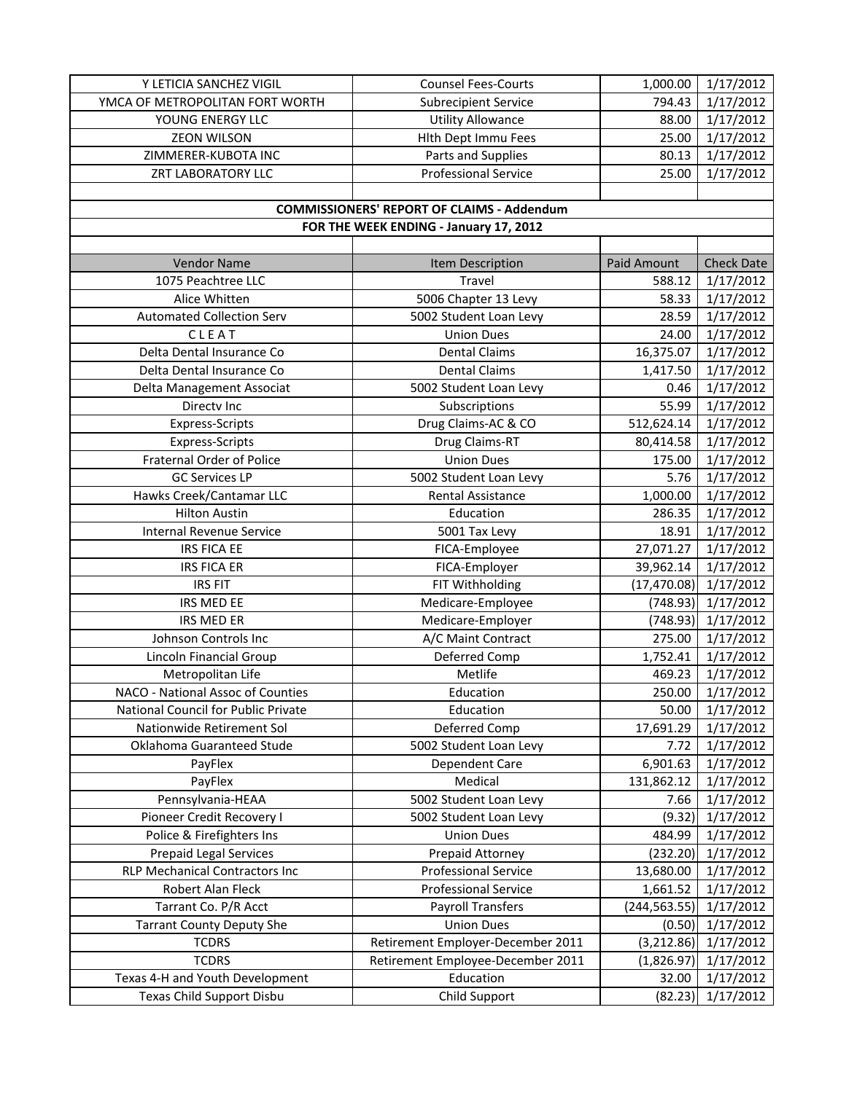| Y LETICIA SANCHEZ VIGIL               | <b>Counsel Fees-Courts</b>                        | 1,000.00      | 1/17/2012              |
|---------------------------------------|---------------------------------------------------|---------------|------------------------|
| YMCA OF METROPOLITAN FORT WORTH       | <b>Subrecipient Service</b>                       | 794.43        | 1/17/2012              |
| YOUNG ENERGY LLC                      | <b>Utility Allowance</b>                          | 88.00         | 1/17/2012              |
| <b>ZEON WILSON</b>                    | Hith Dept Immu Fees                               | 25.00         | 1/17/2012              |
| ZIMMERER-KUBOTA INC                   | Parts and Supplies                                | 80.13         | 1/17/2012              |
| ZRT LABORATORY LLC                    | <b>Professional Service</b>                       | 25.00         | 1/17/2012              |
|                                       |                                                   |               |                        |
|                                       | <b>COMMISSIONERS' REPORT OF CLAIMS - Addendum</b> |               |                        |
|                                       | FOR THE WEEK ENDING - January 17, 2012            |               |                        |
|                                       |                                                   |               |                        |
| <b>Vendor Name</b>                    | Item Description                                  | Paid Amount   | <b>Check Date</b>      |
| 1075 Peachtree LLC                    | <b>Travel</b>                                     | 588.12        | 1/17/2012              |
| Alice Whitten                         | 5006 Chapter 13 Levy                              | 58.33         | 1/17/2012              |
| <b>Automated Collection Serv</b>      | 5002 Student Loan Levy                            | 28.59         | 1/17/2012              |
| CLEAT                                 | <b>Union Dues</b>                                 | 24.00         | 1/17/2012              |
| Delta Dental Insurance Co             | <b>Dental Claims</b>                              | 16,375.07     | 1/17/2012              |
| Delta Dental Insurance Co             | <b>Dental Claims</b>                              | 1,417.50      | 1/17/2012              |
| Delta Management Associat             | 5002 Student Loan Levy                            | 0.46          | 1/17/2012              |
| Directv Inc                           | Subscriptions                                     | 55.99         | 1/17/2012              |
| <b>Express-Scripts</b>                | Drug Claims-AC & CO                               | 512,624.14    | 1/17/2012              |
| Express-Scripts                       | Drug Claims-RT                                    | 80,414.58     | 1/17/2012              |
| <b>Fraternal Order of Police</b>      | <b>Union Dues</b>                                 | 175.00        | 1/17/2012              |
| <b>GC Services LP</b>                 | 5002 Student Loan Levy                            | 5.76          | 1/17/2012              |
| Hawks Creek/Cantamar LLC              | Rental Assistance                                 | 1,000.00      | 1/17/2012              |
| <b>Hilton Austin</b>                  | Education                                         | 286.35        | 1/17/2012              |
| Internal Revenue Service              | 5001 Tax Levy                                     | 18.91         | 1/17/2012              |
| IRS FICA EE                           | FICA-Employee                                     | 27,071.27     | 1/17/2012              |
| <b>IRS FICA ER</b>                    | FICA-Employer                                     | 39,962.14     | 1/17/2012              |
| <b>IRS FIT</b>                        | FIT Withholding                                   | (17, 470.08)  | 1/17/2012              |
| IRS MED EE                            | Medicare-Employee                                 | (748.93)      | 1/17/2012              |
| IRS MED ER                            | Medicare-Employer                                 | (748.93)      | 1/17/2012              |
| Johnson Controls Inc                  | A/C Maint Contract                                | 275.00        | 1/17/2012              |
| <b>Lincoln Financial Group</b>        | Deferred Comp                                     | 1,752.41      | 1/17/2012              |
| Metropolitan Life                     | Metlife                                           | 469.23        | 1/17/2012              |
| NACO - National Assoc of Counties     | Education                                         | 250.00        | 1/17/2012              |
| National Council for Public Private   | Education                                         | 50.00         | 1/17/2012              |
| Nationwide Retirement Sol             | Deferred Comp                                     | 17,691.29     | 1/17/2012              |
| Oklahoma Guaranteed Stude             | 5002 Student Loan Levy                            | 7.72          | 1/17/2012              |
| PayFlex                               | Dependent Care                                    | 6,901.63      | 1/17/2012              |
| PayFlex                               | Medical                                           | 131,862.12    | 1/17/2012              |
| Pennsylvania-HEAA                     | 5002 Student Loan Levy                            | 7.66          | 1/17/2012              |
| Pioneer Credit Recovery I             | 5002 Student Loan Levy                            | (9.32)        | $\frac{1}{1}$ /17/2012 |
| Police & Firefighters Ins             | <b>Union Dues</b>                                 | 484.99        | 1/17/2012              |
| <b>Prepaid Legal Services</b>         | Prepaid Attorney                                  | (232.20)      | 1/17/2012              |
| <b>RLP Mechanical Contractors Inc</b> | <b>Professional Service</b>                       | 13,680.00     | 1/17/2012              |
| Robert Alan Fleck                     | <b>Professional Service</b>                       | 1,661.52      | 1/17/2012              |
| Tarrant Co. P/R Acct                  | <b>Payroll Transfers</b>                          | (244, 563.55) | 1/17/2012              |
| <b>Tarrant County Deputy She</b>      | <b>Union Dues</b>                                 | (0.50)        | 1/17/2012              |
| <b>TCDRS</b>                          | Retirement Employer-December 2011                 | (3, 212.86)   | 1/17/2012              |
| <b>TCDRS</b>                          | Retirement Employee-December 2011                 | (1,826.97)    | 1/17/2012              |
| Texas 4-H and Youth Development       | Education                                         | 32.00         | 1/17/2012              |
| Texas Child Support Disbu             | Child Support                                     | (82.23)       | 1/17/2012              |